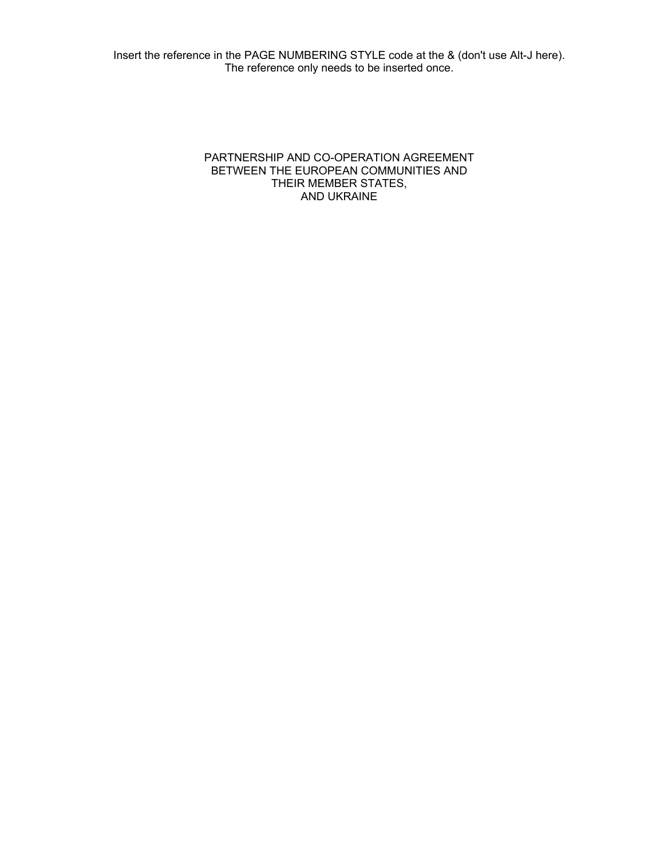#### PARTNERSHIP AND CO-OPERATION AGREEMENT BETWEEN THE EUROPEAN COMMUNITIES AND THEIR MEMBER STATES, AND UKRAINE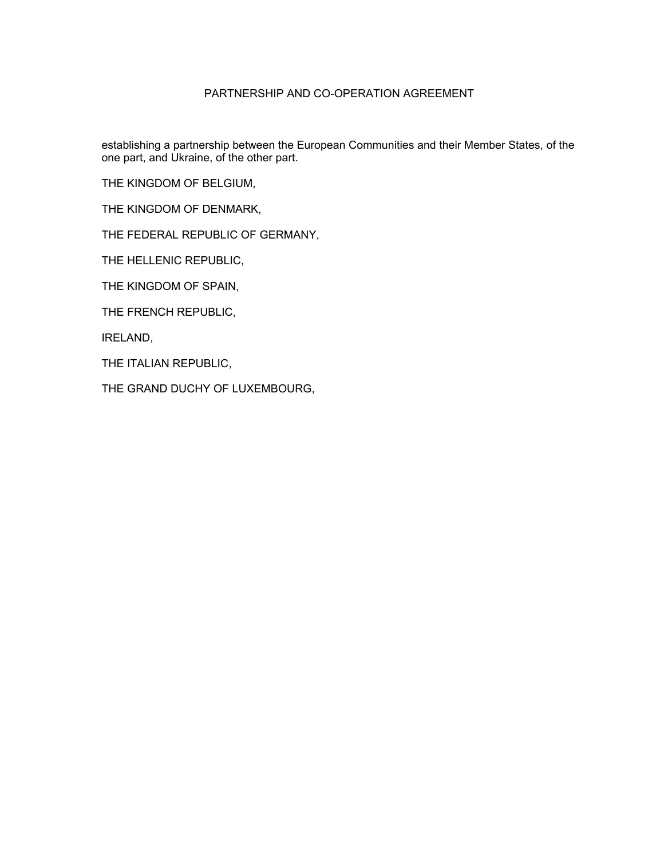### PARTNERSHIP AND CO-OPERATION AGREEMENT

establishing a partnership between the European Communities and their Member States, of the one part, and Ukraine, of the other part.

THE KINGDOM OF BELGIUM,

THE KINGDOM OF DENMARK,

THE FEDERAL REPUBLIC OF GERMANY,

THE HELLENIC REPUBLIC,

THE KINGDOM OF SPAIN,

THE FRENCH REPUBLIC,

IRELAND,

THE ITALIAN REPUBLIC,

THE GRAND DUCHY OF LUXEMBOURG,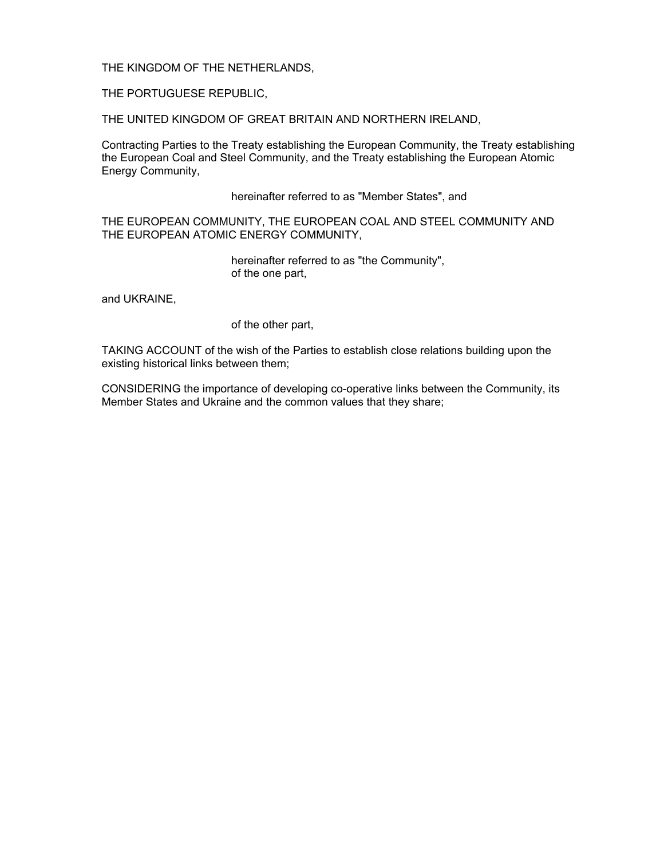THE KINGDOM OF THE NETHERLANDS,

THE PORTUGUESE REPUBLIC,

THE UNITED KINGDOM OF GREAT BRITAIN AND NORTHERN IRELAND,

Contracting Parties to the Treaty establishing the European Community, the Treaty establishing the European Coal and Steel Community, and the Treaty establishing the European Atomic Energy Community,

hereinafter referred to as "Member States", and

THE EUROPEAN COMMUNITY, THE EUROPEAN COAL AND STEEL COMMUNITY AND THE EUROPEAN ATOMIC ENERGY COMMUNITY,

> hereinafter referred to as "the Community", of the one part,

and UKRAINE,

of the other part,

TAKING ACCOUNT of the wish of the Parties to establish close relations building upon the existing historical links between them;

CONSIDERING the importance of developing co-operative links between the Community, its Member States and Ukraine and the common values that they share;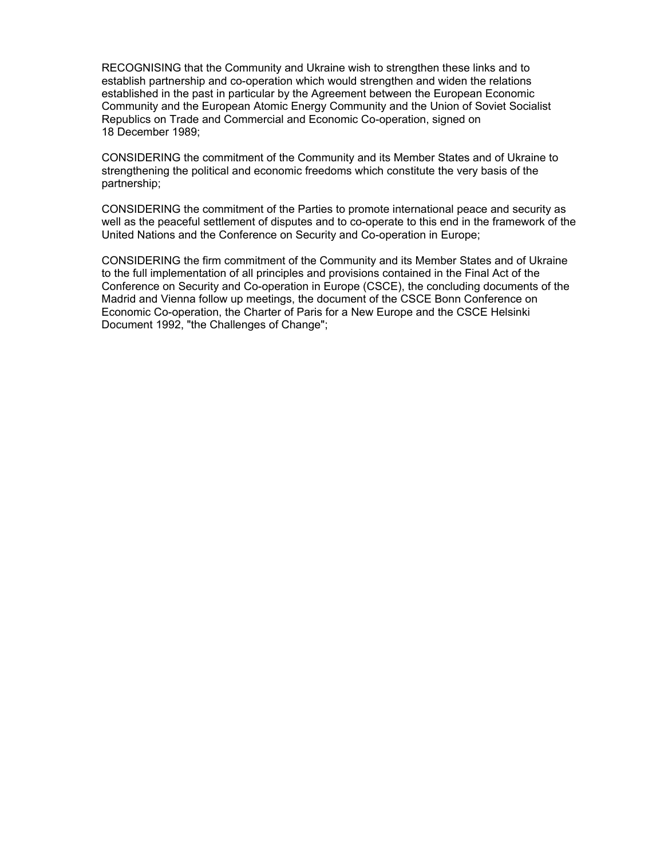RECOGNISING that the Community and Ukraine wish to strengthen these links and to establish partnership and co-operation which would strengthen and widen the relations established in the past in particular by the Agreement between the European Economic Community and the European Atomic Energy Community and the Union of Soviet Socialist Republics on Trade and Commercial and Economic Co-operation, signed on 18 December 1989;

CONSIDERING the commitment of the Community and its Member States and of Ukraine to strengthening the political and economic freedoms which constitute the very basis of the partnership;

CONSIDERING the commitment of the Parties to promote international peace and security as well as the peaceful settlement of disputes and to co-operate to this end in the framework of the United Nations and the Conference on Security and Co-operation in Europe;

CONSIDERING the firm commitment of the Community and its Member States and of Ukraine to the full implementation of all principles and provisions contained in the Final Act of the Conference on Security and Co-operation in Europe (CSCE), the concluding documents of the Madrid and Vienna follow up meetings, the document of the CSCE Bonn Conference on Economic Co-operation, the Charter of Paris for a New Europe and the CSCE Helsinki Document 1992, "the Challenges of Change";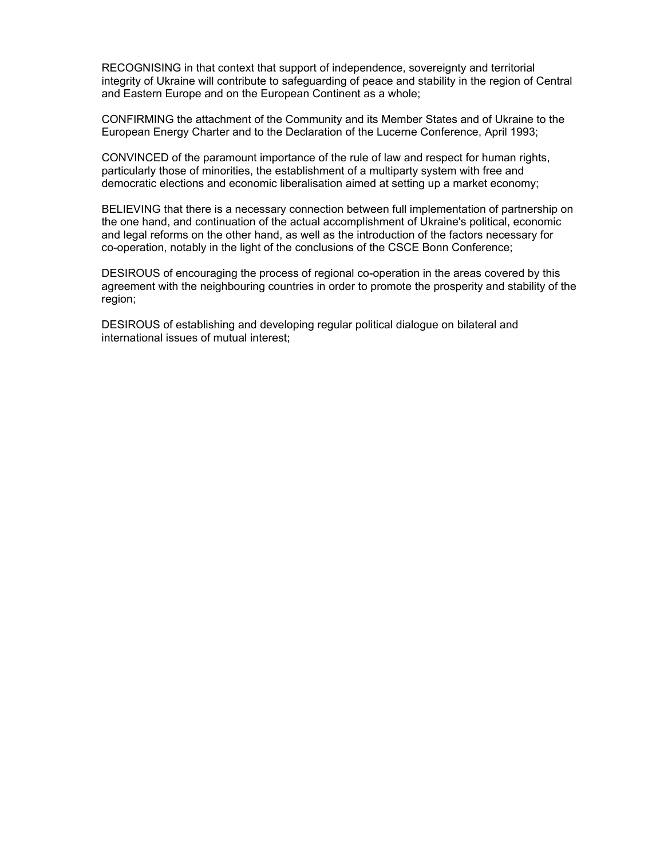RECOGNISING in that context that support of independence, sovereignty and territorial integrity of Ukraine will contribute to safeguarding of peace and stability in the region of Central and Eastern Europe and on the European Continent as a whole;

CONFIRMING the attachment of the Community and its Member States and of Ukraine to the European Energy Charter and to the Declaration of the Lucerne Conference, April 1993;

CONVINCED of the paramount importance of the rule of law and respect for human rights, particularly those of minorities, the establishment of a multiparty system with free and democratic elections and economic liberalisation aimed at setting up a market economy;

BELIEVING that there is a necessary connection between full implementation of partnership on the one hand, and continuation of the actual accomplishment of Ukraine's political, economic and legal reforms on the other hand, as well as the introduction of the factors necessary for co-operation, notably in the light of the conclusions of the CSCE Bonn Conference;

DESIROUS of encouraging the process of regional co-operation in the areas covered by this agreement with the neighbouring countries in order to promote the prosperity and stability of the region;

DESIROUS of establishing and developing regular political dialogue on bilateral and international issues of mutual interest;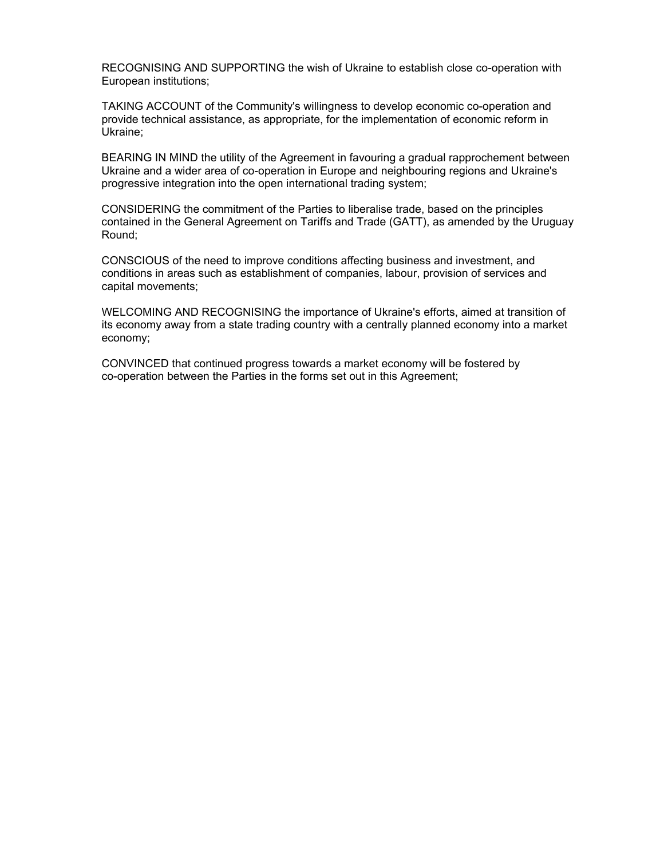RECOGNISING AND SUPPORTING the wish of Ukraine to establish close co-operation with European institutions;

TAKING ACCOUNT of the Community's willingness to develop economic co-operation and provide technical assistance, as appropriate, for the implementation of economic reform in Ukraine;

BEARING IN MIND the utility of the Agreement in favouring a gradual rapprochement between Ukraine and a wider area of co-operation in Europe and neighbouring regions and Ukraine's progressive integration into the open international trading system;

CONSIDERING the commitment of the Parties to liberalise trade, based on the principles contained in the General Agreement on Tariffs and Trade (GATT), as amended by the Uruguay Round;

CONSCIOUS of the need to improve conditions affecting business and investment, and conditions in areas such as establishment of companies, labour, provision of services and capital movements;

WELCOMING AND RECOGNISING the importance of Ukraine's efforts, aimed at transition of its economy away from a state trading country with a centrally planned economy into a market economy;

CONVINCED that continued progress towards a market economy will be fostered by co-operation between the Parties in the forms set out in this Agreement;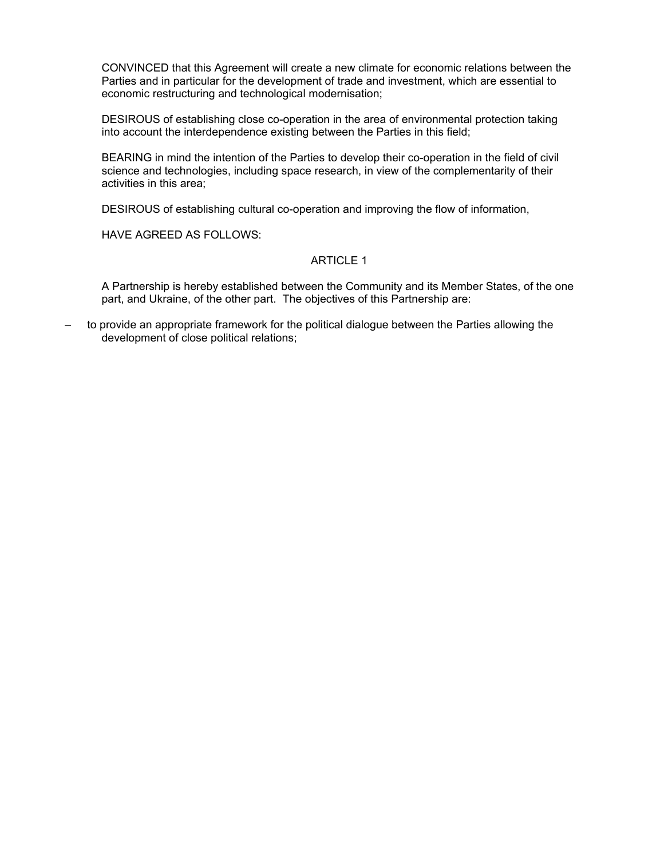CONVINCED that this Agreement will create a new climate for economic relations between the Parties and in particular for the development of trade and investment, which are essential to economic restructuring and technological modernisation;

DESIROUS of establishing close co-operation in the area of environmental protection taking into account the interdependence existing between the Parties in this field;

BEARING in mind the intention of the Parties to develop their co-operation in the field of civil science and technologies, including space research, in view of the complementarity of their activities in this area;

DESIROUS of establishing cultural co-operation and improving the flow of information,

HAVE AGREED AS FOLLOWS:

#### ARTICLE 1

A Partnership is hereby established between the Community and its Member States, of the one part, and Ukraine, of the other part. The objectives of this Partnership are:

– to provide an appropriate framework for the political dialogue between the Parties allowing the development of close political relations;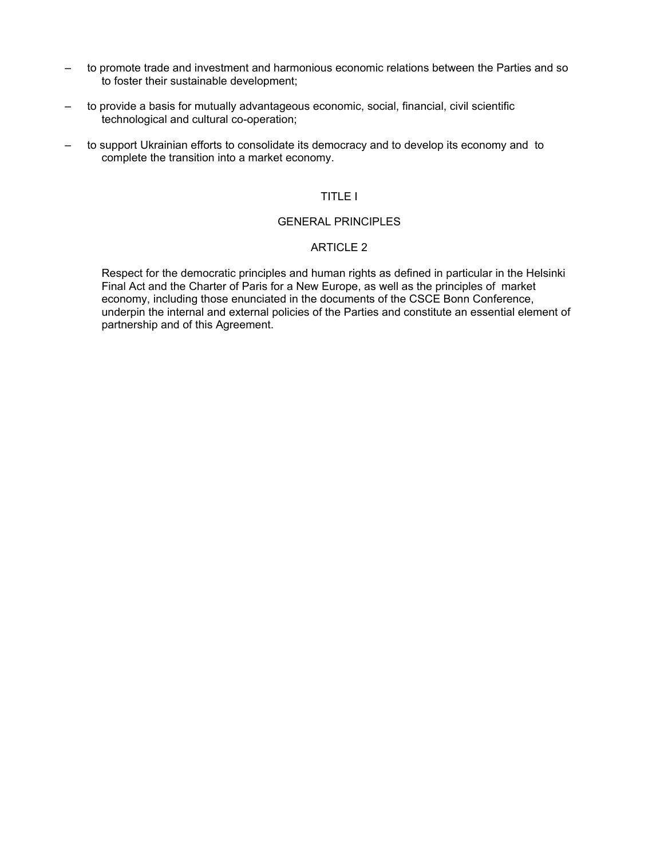- to promote trade and investment and harmonious economic relations between the Parties and so to foster their sustainable development;
- to provide a basis for mutually advantageous economic, social, financial, civil scientific technological and cultural co-operation;
- to support Ukrainian efforts to consolidate its democracy and to develop its economy and to complete the transition into a market economy.

## TITLE I

# GENERAL PRINCIPLES

### ARTICLE 2

Respect for the democratic principles and human rights as defined in particular in the Helsinki Final Act and the Charter of Paris for a New Europe, as well as the principles of market economy, including those enunciated in the documents of the CSCE Bonn Conference, underpin the internal and external policies of the Parties and constitute an essential element of partnership and of this Agreement.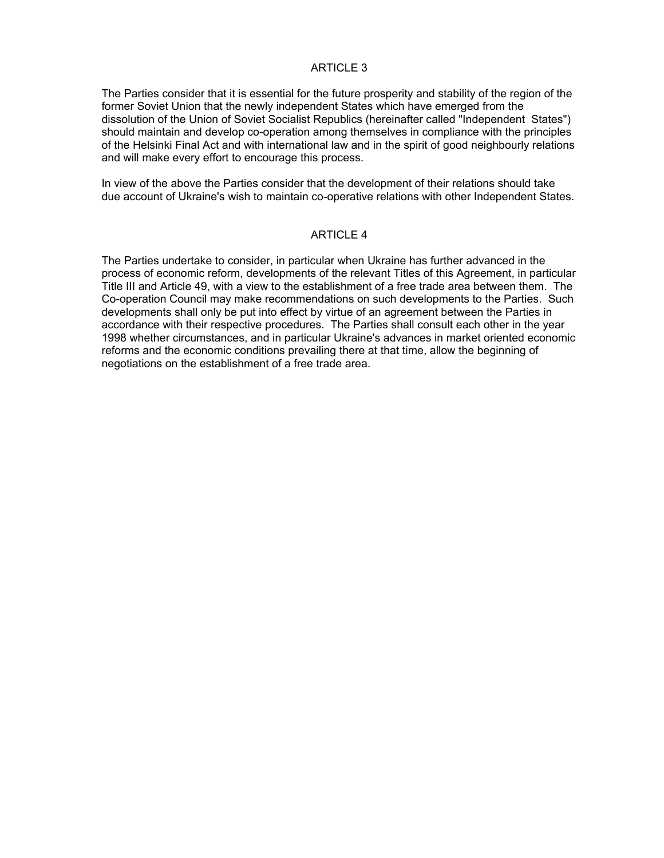The Parties consider that it is essential for the future prosperity and stability of the region of the former Soviet Union that the newly independent States which have emerged from the dissolution of the Union of Soviet Socialist Republics (hereinafter called "Independent States") should maintain and develop co-operation among themselves in compliance with the principles of the Helsinki Final Act and with international law and in the spirit of good neighbourly relations and will make every effort to encourage this process.

In view of the above the Parties consider that the development of their relations should take due account of Ukraine's wish to maintain co-operative relations with other Independent States.

### ARTICLE 4

The Parties undertake to consider, in particular when Ukraine has further advanced in the process of economic reform, developments of the relevant Titles of this Agreement, in particular Title III and Article 49, with a view to the establishment of a free trade area between them. The Co-operation Council may make recommendations on such developments to the Parties. Such developments shall only be put into effect by virtue of an agreement between the Parties in accordance with their respective procedures. The Parties shall consult each other in the year 1998 whether circumstances, and in particular Ukraine's advances in market oriented economic reforms and the economic conditions prevailing there at that time, allow the beginning of negotiations on the establishment of a free trade area.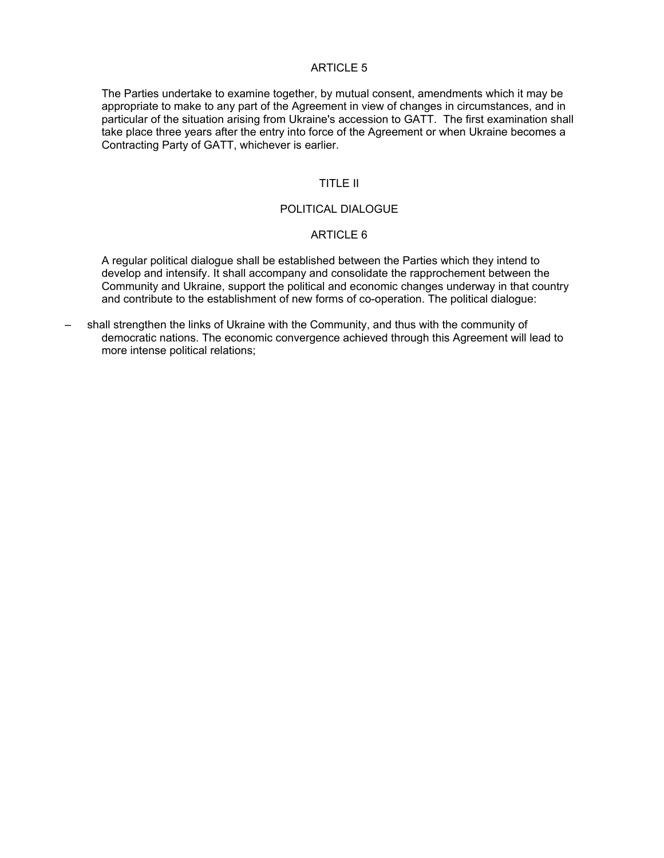The Parties undertake to examine together, by mutual consent, amendments which it may be appropriate to make to any part of the Agreement in view of changes in circumstances, and in particular of the situation arising from Ukraine's accession to GATT. The first examination shall take place three years after the entry into force of the Agreement or when Ukraine becomes a Contracting Party of GATT, whichever is earlier.

### TITLE II

### POLITICAL DIALOGUE

#### ARTICLE 6

A regular political dialogue shall be established between the Parties which they intend to develop and intensify. It shall accompany and consolidate the rapprochement between the Community and Ukraine, support the political and economic changes underway in that country and contribute to the establishment of new forms of co-operation. The political dialogue:

– shall strengthen the links of Ukraine with the Community, and thus with the community of democratic nations. The economic convergence achieved through this Agreement will lead to more intense political relations;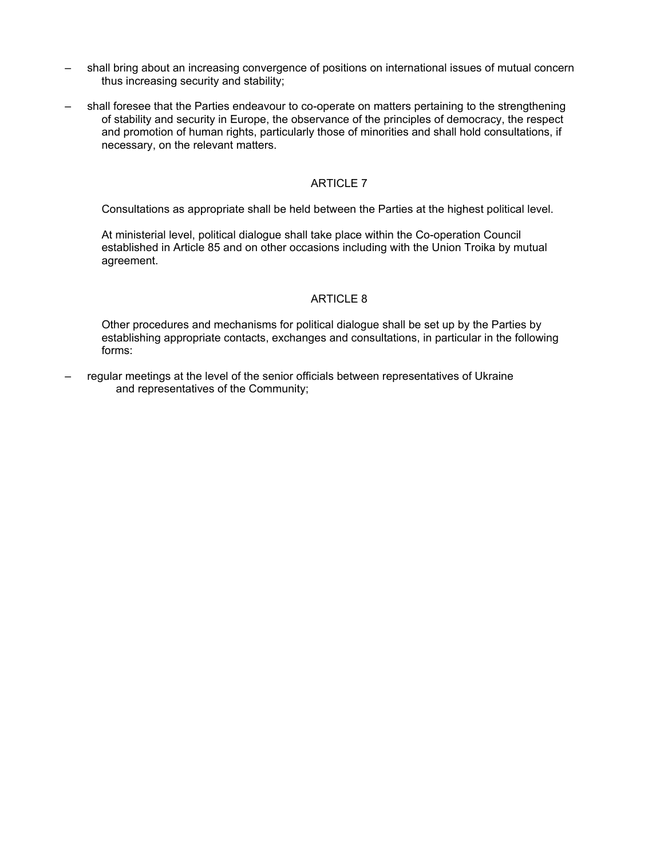- shall bring about an increasing convergence of positions on international issues of mutual concern thus increasing security and stability;
- shall foresee that the Parties endeavour to co-operate on matters pertaining to the strengthening of stability and security in Europe, the observance of the principles of democracy, the respect and promotion of human rights, particularly those of minorities and shall hold consultations, if necessary, on the relevant matters.

Consultations as appropriate shall be held between the Parties at the highest political level.

At ministerial level, political dialogue shall take place within the Co-operation Council established in Article 85 and on other occasions including with the Union Troika by mutual agreement.

### ARTICLE 8

Other procedures and mechanisms for political dialogue shall be set up by the Parties by establishing appropriate contacts, exchanges and consultations, in particular in the following forms:

– regular meetings at the level of the senior officials between representatives of Ukraine and representatives of the Community;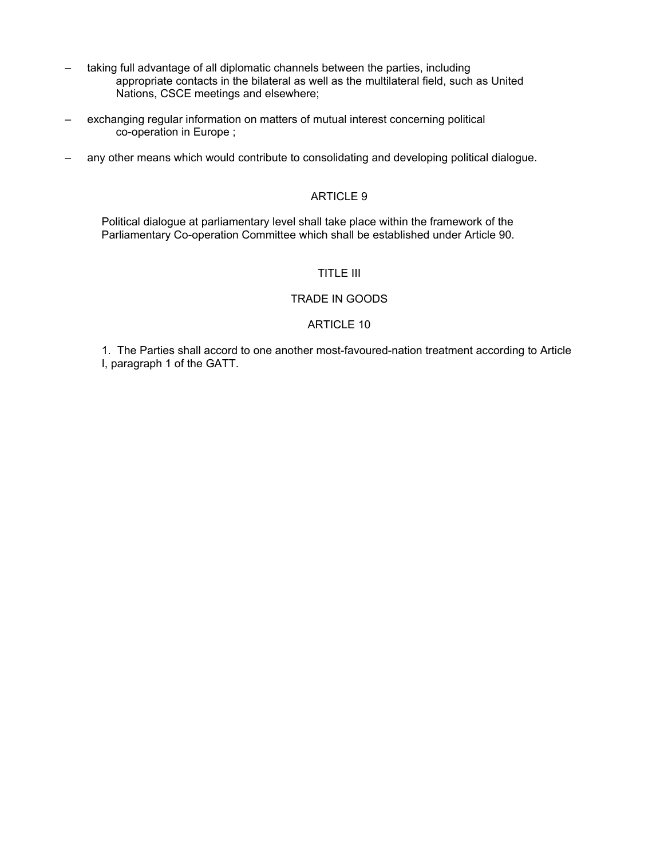- taking full advantage of all diplomatic channels between the parties, including appropriate contacts in the bilateral as well as the multilateral field, such as United Nations, CSCE meetings and elsewhere;
- exchanging regular information on matters of mutual interest concerning political co-operation in Europe ;
- any other means which would contribute to consolidating and developing political dialogue.

Political dialogue at parliamentary level shall take place within the framework of the Parliamentary Co-operation Committee which shall be established under Article 90.

# TITLE III

# TRADE IN GOODS

### ARTICLE 10

1. The Parties shall accord to one another most-favoured-nation treatment according to Article I, paragraph 1 of the GATT.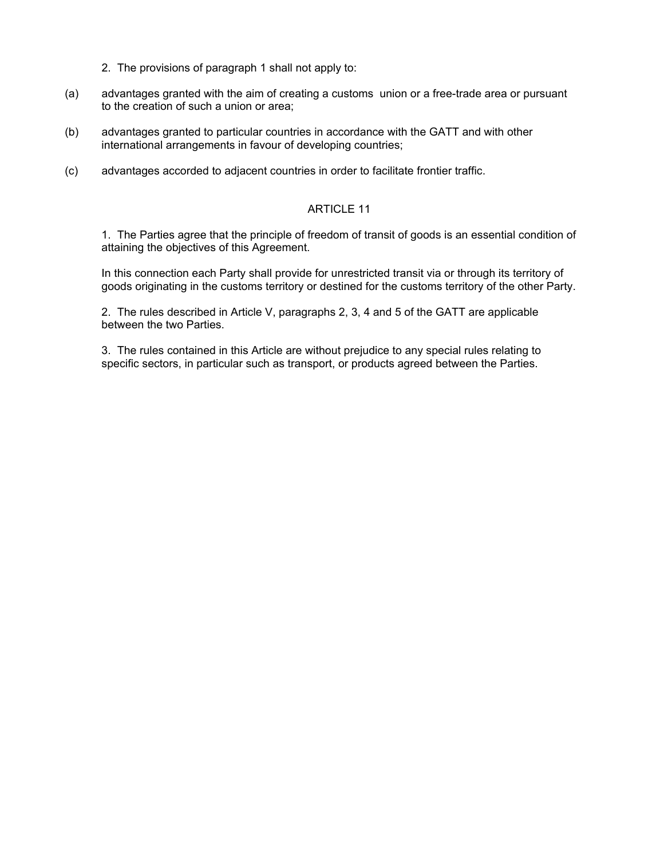- 2. The provisions of paragraph 1 shall not apply to:
- (a) advantages granted with the aim of creating a customs union or a free-trade area or pursuant to the creation of such a union or area;
- (b) advantages granted to particular countries in accordance with the GATT and with other international arrangements in favour of developing countries;
- (c) advantages accorded to adjacent countries in order to facilitate frontier traffic.

1. The Parties agree that the principle of freedom of transit of goods is an essential condition of attaining the objectives of this Agreement.

In this connection each Party shall provide for unrestricted transit via or through its territory of goods originating in the customs territory or destined for the customs territory of the other Party.

2. The rules described in Article V, paragraphs 2, 3, 4 and 5 of the GATT are applicable between the two Parties.

3. The rules contained in this Article are without prejudice to any special rules relating to specific sectors, in particular such as transport, or products agreed between the Parties.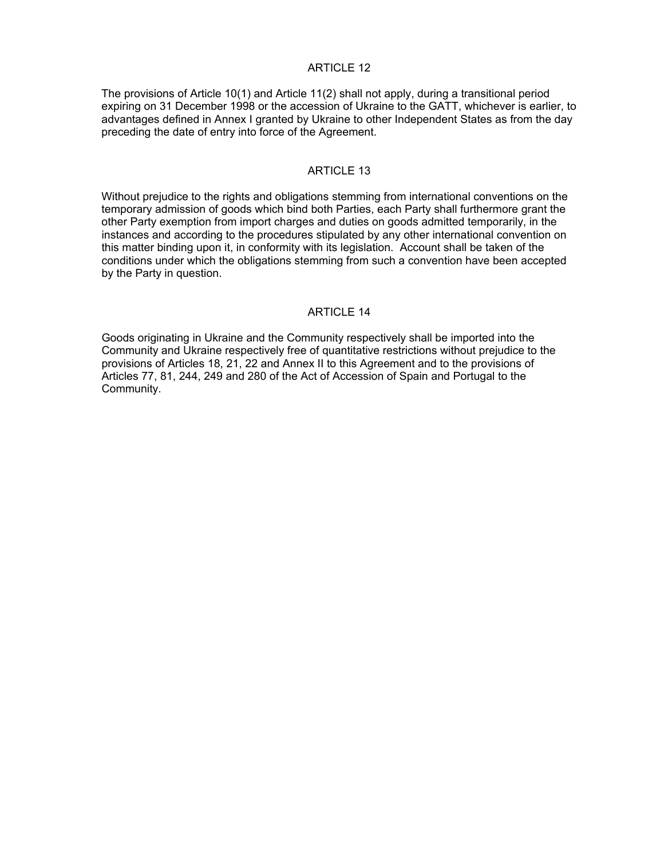The provisions of Article 10(1) and Article 11(2) shall not apply, during a transitional period expiring on 31 December 1998 or the accession of Ukraine to the GATT, whichever is earlier, to advantages defined in Annex I granted by Ukraine to other Independent States as from the day preceding the date of entry into force of the Agreement.

### ARTICLE 13

Without prejudice to the rights and obligations stemming from international conventions on the temporary admission of goods which bind both Parties, each Party shall furthermore grant the other Party exemption from import charges and duties on goods admitted temporarily, in the instances and according to the procedures stipulated by any other international convention on this matter binding upon it, in conformity with its legislation. Account shall be taken of the conditions under which the obligations stemming from such a convention have been accepted by the Party in question.

## ARTICLE 14

Goods originating in Ukraine and the Community respectively shall be imported into the Community and Ukraine respectively free of quantitative restrictions without prejudice to the provisions of Articles 18, 21, 22 and Annex II to this Agreement and to the provisions of Articles 77, 81, 244, 249 and 280 of the Act of Accession of Spain and Portugal to the Community.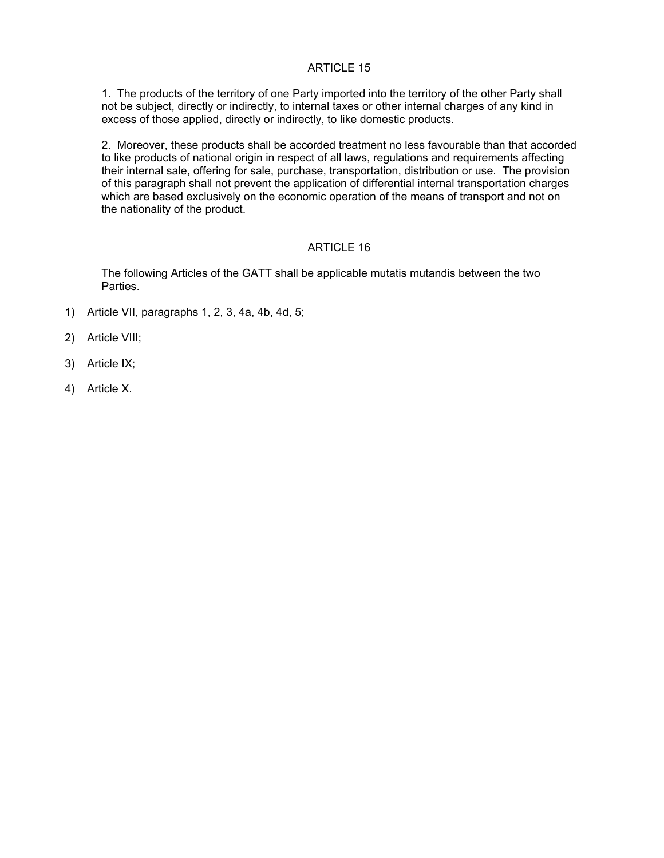1. The products of the territory of one Party imported into the territory of the other Party shall not be subject, directly or indirectly, to internal taxes or other internal charges of any kind in excess of those applied, directly or indirectly, to like domestic products.

2. Moreover, these products shall be accorded treatment no less favourable than that accorded to like products of national origin in respect of all laws, regulations and requirements affecting their internal sale, offering for sale, purchase, transportation, distribution or use. The provision of this paragraph shall not prevent the application of differential internal transportation charges which are based exclusively on the economic operation of the means of transport and not on the nationality of the product.

# ARTICLE 16

The following Articles of the GATT shall be applicable mutatis mutandis between the two Parties.

- 1) Article VII, paragraphs 1, 2, 3, 4a, 4b, 4d, 5;
- 2) Article VIII;
- 3) Article IX;
- 4) Article X.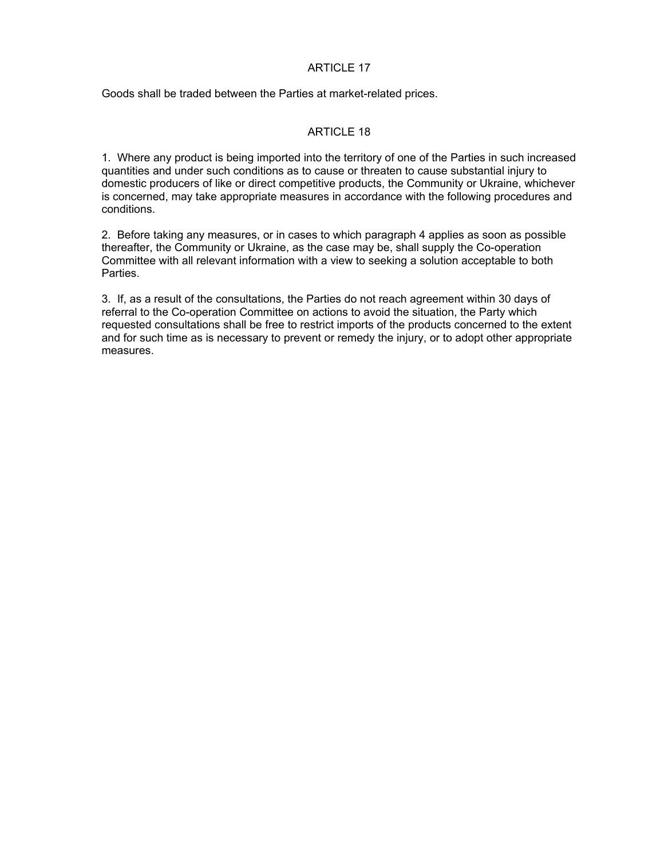Goods shall be traded between the Parties at market-related prices.

# ARTICLE 18

1. Where any product is being imported into the territory of one of the Parties in such increased quantities and under such conditions as to cause or threaten to cause substantial injury to domestic producers of like or direct competitive products, the Community or Ukraine, whichever is concerned, may take appropriate measures in accordance with the following procedures and conditions.

2. Before taking any measures, or in cases to which paragraph 4 applies as soon as possible thereafter, the Community or Ukraine, as the case may be, shall supply the Co-operation Committee with all relevant information with a view to seeking a solution acceptable to both Parties.

3. If, as a result of the consultations, the Parties do not reach agreement within 30 days of referral to the Co-operation Committee on actions to avoid the situation, the Party which requested consultations shall be free to restrict imports of the products concerned to the extent and for such time as is necessary to prevent or remedy the injury, or to adopt other appropriate measures.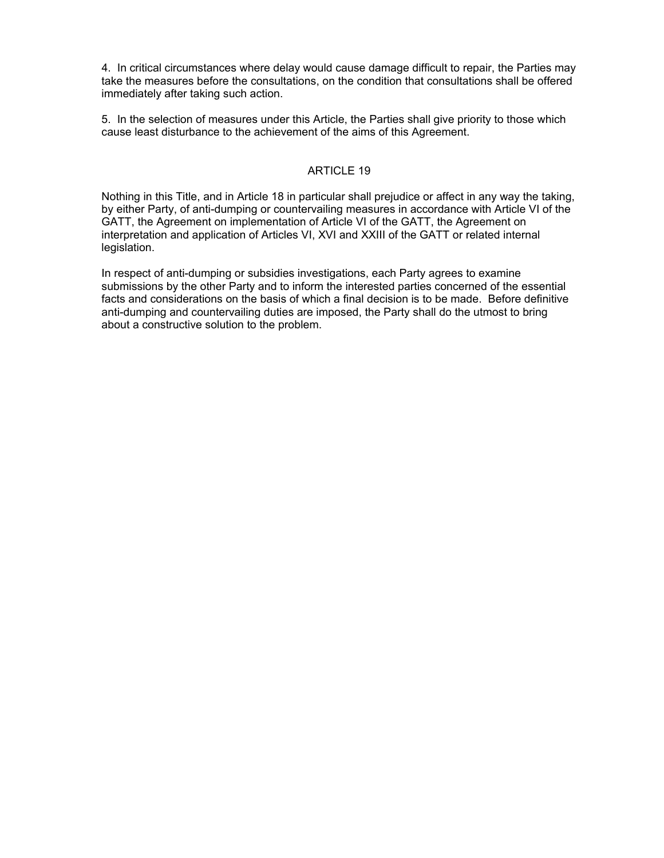4. In critical circumstances where delay would cause damage difficult to repair, the Parties may take the measures before the consultations, on the condition that consultations shall be offered immediately after taking such action.

5. In the selection of measures under this Article, the Parties shall give priority to those which cause least disturbance to the achievement of the aims of this Agreement.

# ARTICLE 19

Nothing in this Title, and in Article 18 in particular shall prejudice or affect in any way the taking, by either Party, of anti-dumping or countervailing measures in accordance with Article VI of the GATT, the Agreement on implementation of Article VI of the GATT, the Agreement on interpretation and application of Articles VI, XVI and XXIII of the GATT or related internal legislation.

In respect of anti-dumping or subsidies investigations, each Party agrees to examine submissions by the other Party and to inform the interested parties concerned of the essential facts and considerations on the basis of which a final decision is to be made. Before definitive anti-dumping and countervailing duties are imposed, the Party shall do the utmost to bring about a constructive solution to the problem.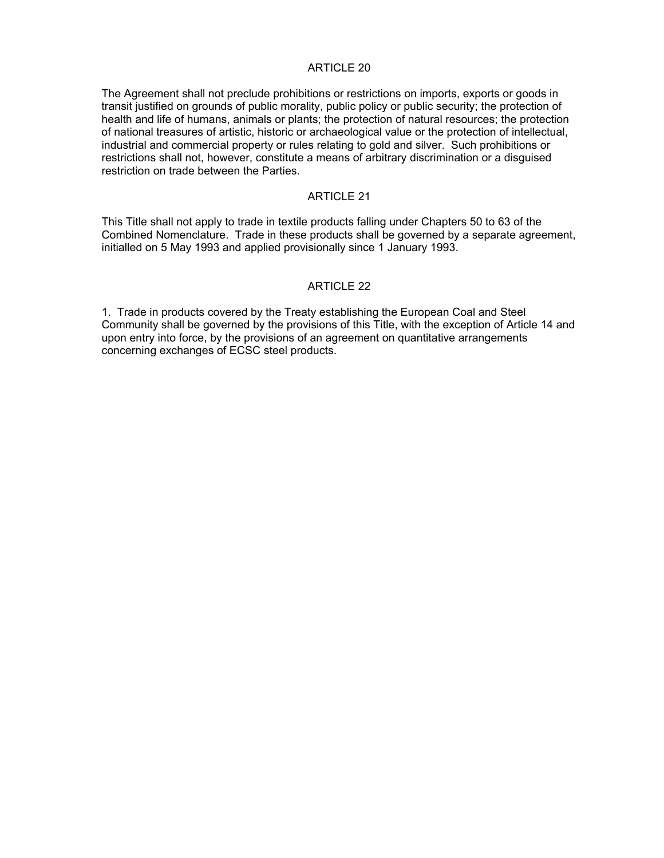The Agreement shall not preclude prohibitions or restrictions on imports, exports or goods in transit justified on grounds of public morality, public policy or public security; the protection of health and life of humans, animals or plants; the protection of natural resources; the protection of national treasures of artistic, historic or archaeological value or the protection of intellectual, industrial and commercial property or rules relating to gold and silver. Such prohibitions or restrictions shall not, however, constitute a means of arbitrary discrimination or a disguised restriction on trade between the Parties.

# ARTICLE 21

This Title shall not apply to trade in textile products falling under Chapters 50 to 63 of the Combined Nomenclature. Trade in these products shall be governed by a separate agreement, initialled on 5 May 1993 and applied provisionally since 1 January 1993.

# ARTICLE 22

1. Trade in products covered by the Treaty establishing the European Coal and Steel Community shall be governed by the provisions of this Title, with the exception of Article 14 and upon entry into force, by the provisions of an agreement on quantitative arrangements concerning exchanges of ECSC steel products.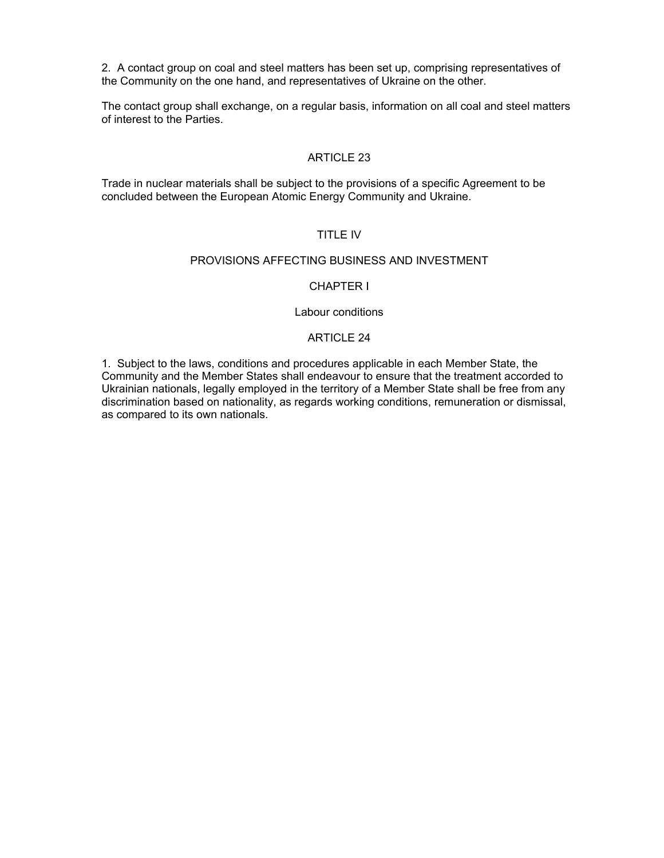2. A contact group on coal and steel matters has been set up, comprising representatives of the Community on the one hand, and representatives of Ukraine on the other.

The contact group shall exchange, on a regular basis, information on all coal and steel matters of interest to the Parties.

# ARTICLE 23

Trade in nuclear materials shall be subject to the provisions of a specific Agreement to be concluded between the European Atomic Energy Community and Ukraine.

# TITLE IV

#### PROVISIONS AFFECTING BUSINESS AND INVESTMENT

# CHAPTER I

#### Labour conditions

#### ARTICLE 24

1. Subject to the laws, conditions and procedures applicable in each Member State, the Community and the Member States shall endeavour to ensure that the treatment accorded to Ukrainian nationals, legally employed in the territory of a Member State shall be free from any discrimination based on nationality, as regards working conditions, remuneration or dismissal, as compared to its own nationals.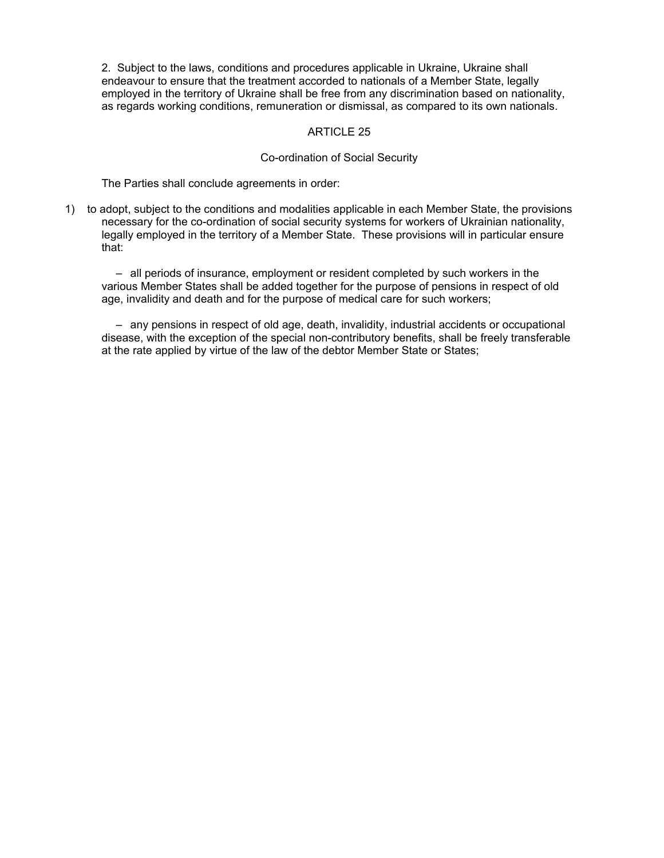2. Subject to the laws, conditions and procedures applicable in Ukraine, Ukraine shall endeavour to ensure that the treatment accorded to nationals of a Member State, legally employed in the territory of Ukraine shall be free from any discrimination based on nationality, as regards working conditions, remuneration or dismissal, as compared to its own nationals.

# ARTICLE 25

### Co-ordination of Social Security

The Parties shall conclude agreements in order:

1) to adopt, subject to the conditions and modalities applicable in each Member State, the provisions necessary for the co-ordination of social security systems for workers of Ukrainian nationality, legally employed in the territory of a Member State. These provisions will in particular ensure that:

 – all periods of insurance, employment or resident completed by such workers in the various Member States shall be added together for the purpose of pensions in respect of old age, invalidity and death and for the purpose of medical care for such workers;

 – any pensions in respect of old age, death, invalidity, industrial accidents or occupational disease, with the exception of the special non-contributory benefits, shall be freely transferable at the rate applied by virtue of the law of the debtor Member State or States;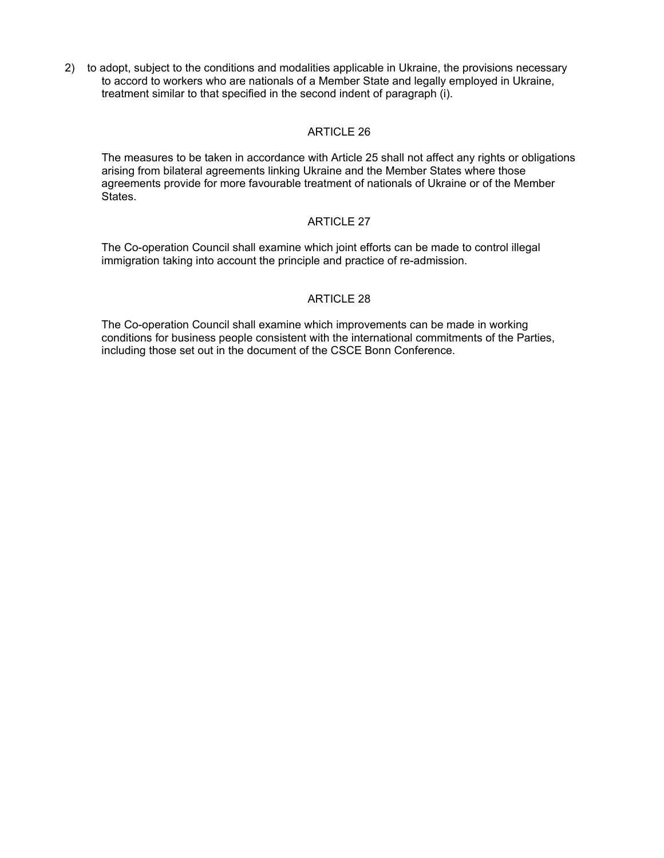2) to adopt, subject to the conditions and modalities applicable in Ukraine, the provisions necessary to accord to workers who are nationals of a Member State and legally employed in Ukraine, treatment similar to that specified in the second indent of paragraph (i).

# ARTICLE 26

The measures to be taken in accordance with Article 25 shall not affect any rights or obligations arising from bilateral agreements linking Ukraine and the Member States where those agreements provide for more favourable treatment of nationals of Ukraine or of the Member States.

# ARTICLE 27

The Co-operation Council shall examine which joint efforts can be made to control illegal immigration taking into account the principle and practice of re-admission.

# ARTICLE 28

The Co-operation Council shall examine which improvements can be made in working conditions for business people consistent with the international commitments of the Parties, including those set out in the document of the CSCE Bonn Conference.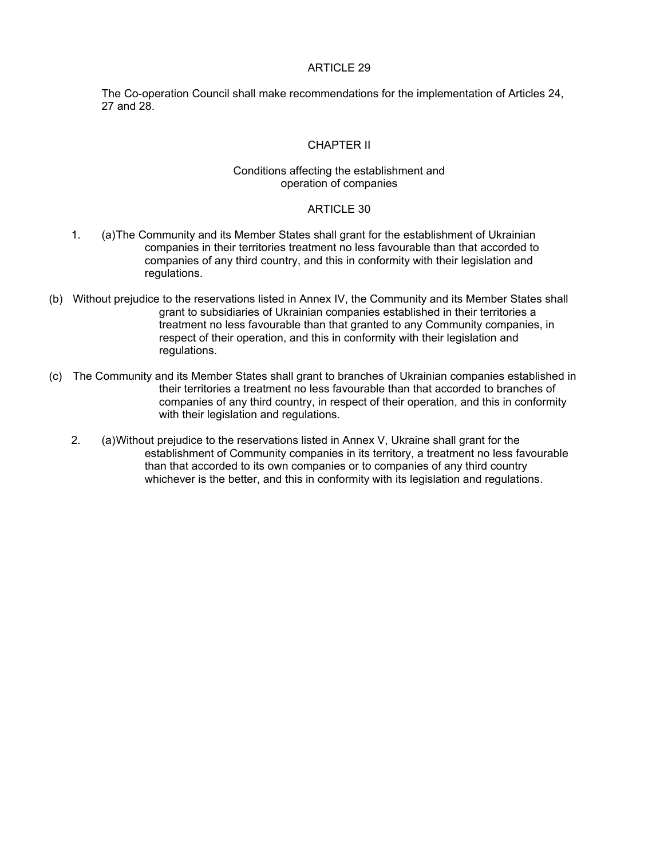The Co-operation Council shall make recommendations for the implementation of Articles 24, 27 and 28.

### CHAPTER II

### Conditions affecting the establishment and operation of companies

#### ARTICLE 30

- 1. (a) The Community and its Member States shall grant for the establishment of Ukrainian companies in their territories treatment no less favourable than that accorded to companies of any third country, and this in conformity with their legislation and regulations.
- (b) Without prejudice to the reservations listed in Annex IV, the Community and its Member States shall grant to subsidiaries of Ukrainian companies established in their territories a treatment no less favourable than that granted to any Community companies, in respect of their operation, and this in conformity with their legislation and regulations.
- (c) The Community and its Member States shall grant to branches of Ukrainian companies established in their territories a treatment no less favourable than that accorded to branches of companies of any third country, in respect of their operation, and this in conformity with their legislation and regulations.
	- 2. (a) Without prejudice to the reservations listed in Annex V, Ukraine shall grant for the establishment of Community companies in its territory, a treatment no less favourable than that accorded to its own companies or to companies of any third country whichever is the better, and this in conformity with its legislation and regulations.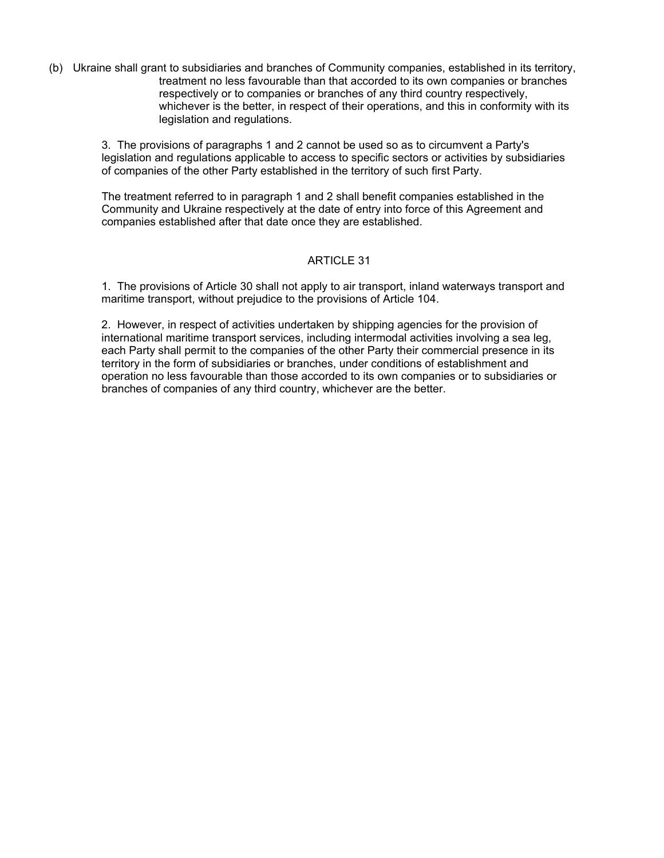(b) Ukraine shall grant to subsidiaries and branches of Community companies, established in its territory, treatment no less favourable than that accorded to its own companies or branches respectively or to companies or branches of any third country respectively, whichever is the better, in respect of their operations, and this in conformity with its legislation and regulations.

3. The provisions of paragraphs 1 and 2 cannot be used so as to circumvent a Party's legislation and regulations applicable to access to specific sectors or activities by subsidiaries of companies of the other Party established in the territory of such first Party.

The treatment referred to in paragraph 1 and 2 shall benefit companies established in the Community and Ukraine respectively at the date of entry into force of this Agreement and companies established after that date once they are established.

# ARTICLE 31

1. The provisions of Article 30 shall not apply to air transport, inland waterways transport and maritime transport, without prejudice to the provisions of Article 104.

2. However, in respect of activities undertaken by shipping agencies for the provision of international maritime transport services, including intermodal activities involving a sea leg, each Party shall permit to the companies of the other Party their commercial presence in its territory in the form of subsidiaries or branches, under conditions of establishment and operation no less favourable than those accorded to its own companies or to subsidiaries or branches of companies of any third country, whichever are the better.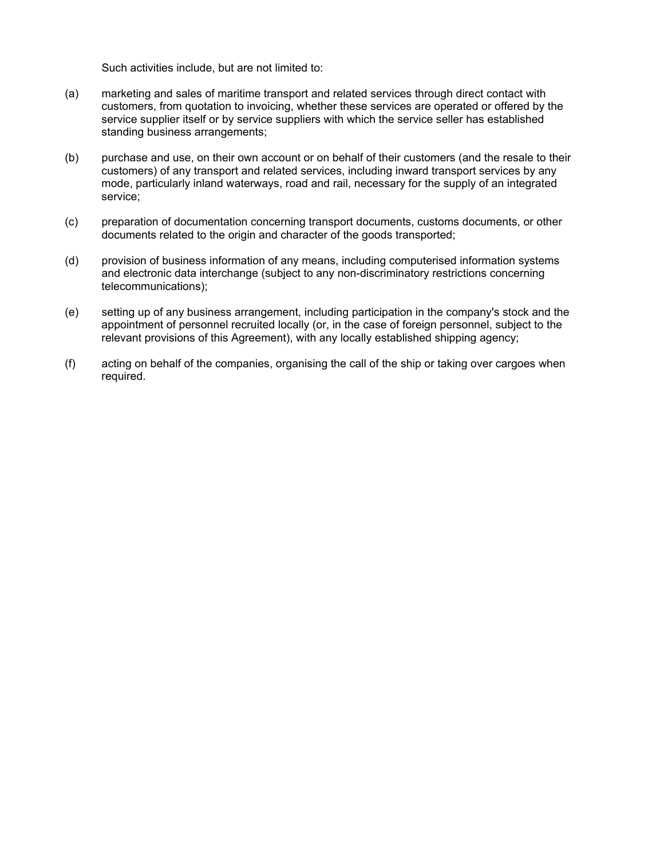Such activities include, but are not limited to:

- (a) marketing and sales of maritime transport and related services through direct contact with customers, from quotation to invoicing, whether these services are operated or offered by the service supplier itself or by service suppliers with which the service seller has established standing business arrangements;
- (b) purchase and use, on their own account or on behalf of their customers (and the resale to their customers) of any transport and related services, including inward transport services by any mode, particularly inland waterways, road and rail, necessary for the supply of an integrated service;
- (c) preparation of documentation concerning transport documents, customs documents, or other documents related to the origin and character of the goods transported;
- (d) provision of business information of any means, including computerised information systems and electronic data interchange (subject to any non-discriminatory restrictions concerning telecommunications);
- (e) setting up of any business arrangement, including participation in the company's stock and the appointment of personnel recruited locally (or, in the case of foreign personnel, subject to the relevant provisions of this Agreement), with any locally established shipping agency;
- (f) acting on behalf of the companies, organising the call of the ship or taking over cargoes when required.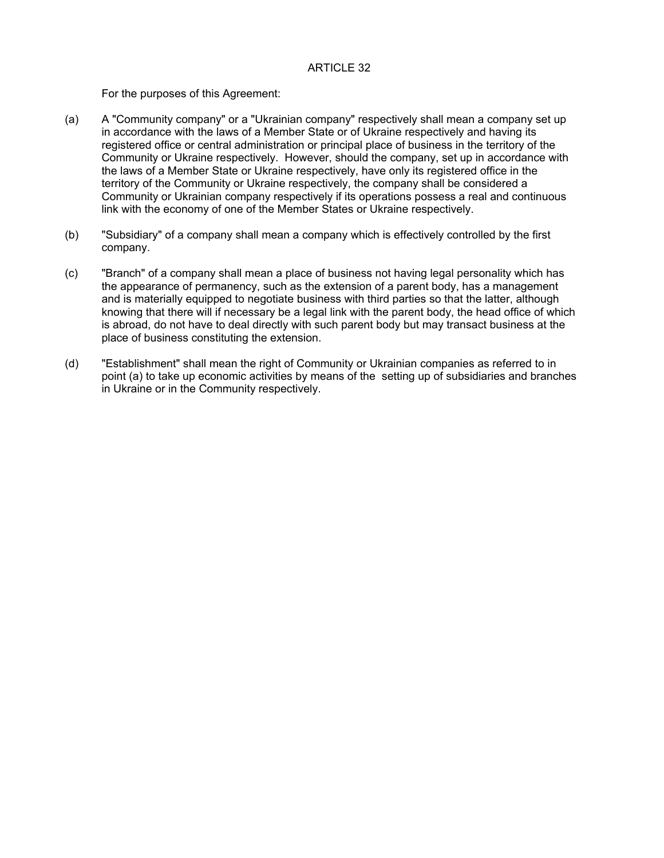For the purposes of this Agreement:

- (a) A "Community company" or a "Ukrainian company" respectively shall mean a company set up in accordance with the laws of a Member State or of Ukraine respectively and having its registered office or central administration or principal place of business in the territory of the Community or Ukraine respectively. However, should the company, set up in accordance with the laws of a Member State or Ukraine respectively, have only its registered office in the territory of the Community or Ukraine respectively, the company shall be considered a Community or Ukrainian company respectively if its operations possess a real and continuous link with the economy of one of the Member States or Ukraine respectively.
- (b) "Subsidiary" of a company shall mean a company which is effectively controlled by the first company.
- (c) "Branch" of a company shall mean a place of business not having legal personality which has the appearance of permanency, such as the extension of a parent body, has a management and is materially equipped to negotiate business with third parties so that the latter, although knowing that there will if necessary be a legal link with the parent body, the head office of which is abroad, do not have to deal directly with such parent body but may transact business at the place of business constituting the extension.
- (d) "Establishment" shall mean the right of Community or Ukrainian companies as referred to in point (a) to take up economic activities by means of the setting up of subsidiaries and branches in Ukraine or in the Community respectively.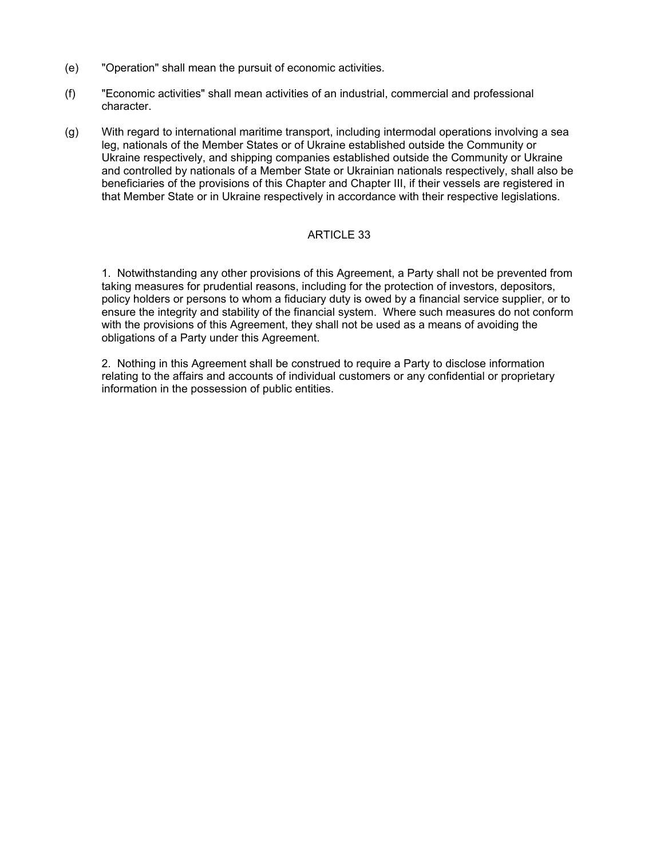- (e) "Operation" shall mean the pursuit of economic activities.
- (f) "Economic activities" shall mean activities of an industrial, commercial and professional character.
- (g) With regard to international maritime transport, including intermodal operations involving a sea leg, nationals of the Member States or of Ukraine established outside the Community or Ukraine respectively, and shipping companies established outside the Community or Ukraine and controlled by nationals of a Member State or Ukrainian nationals respectively, shall also be beneficiaries of the provisions of this Chapter and Chapter III, if their vessels are registered in that Member State or in Ukraine respectively in accordance with their respective legislations.

1. Notwithstanding any other provisions of this Agreement, a Party shall not be prevented from taking measures for prudential reasons, including for the protection of investors, depositors, policy holders or persons to whom a fiduciary duty is owed by a financial service supplier, or to ensure the integrity and stability of the financial system. Where such measures do not conform with the provisions of this Agreement, they shall not be used as a means of avoiding the obligations of a Party under this Agreement.

2. Nothing in this Agreement shall be construed to require a Party to disclose information relating to the affairs and accounts of individual customers or any confidential or proprietary information in the possession of public entities.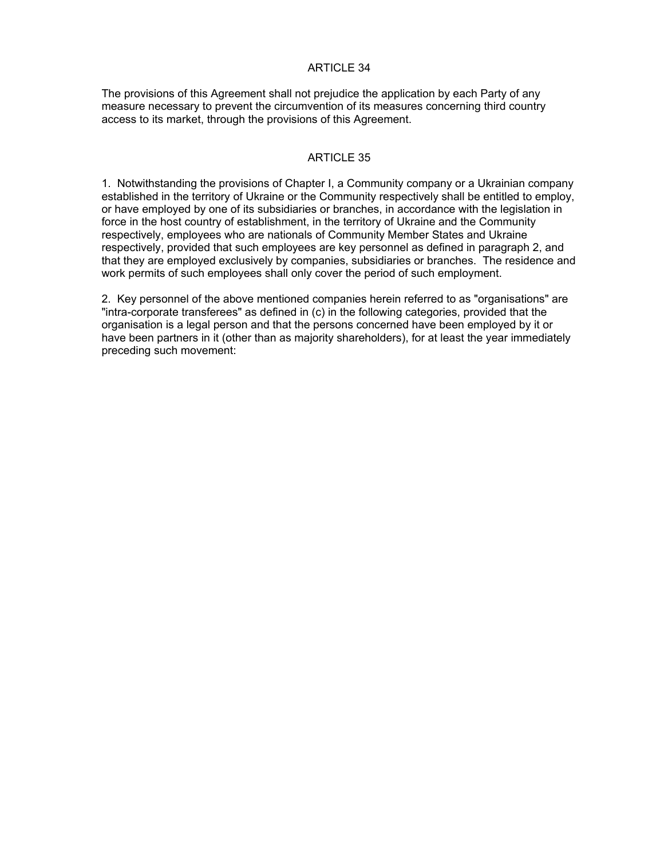The provisions of this Agreement shall not prejudice the application by each Party of any measure necessary to prevent the circumvention of its measures concerning third country access to its market, through the provisions of this Agreement.

# ARTICLE 35

1. Notwithstanding the provisions of Chapter I, a Community company or a Ukrainian company established in the territory of Ukraine or the Community respectively shall be entitled to employ, or have employed by one of its subsidiaries or branches, in accordance with the legislation in force in the host country of establishment, in the territory of Ukraine and the Community respectively, employees who are nationals of Community Member States and Ukraine respectively, provided that such employees are key personnel as defined in paragraph 2, and that they are employed exclusively by companies, subsidiaries or branches. The residence and work permits of such employees shall only cover the period of such employment.

2. Key personnel of the above mentioned companies herein referred to as "organisations" are "intra-corporate transferees" as defined in (c) in the following categories, provided that the organisation is a legal person and that the persons concerned have been employed by it or have been partners in it (other than as majority shareholders), for at least the year immediately preceding such movement: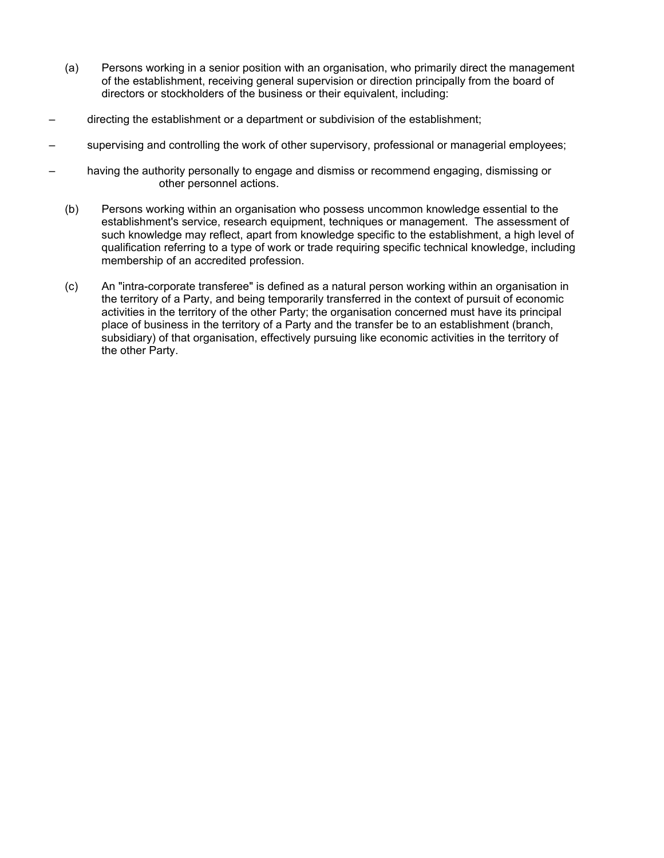- (a) Persons working in a senior position with an organisation, who primarily direct the management of the establishment, receiving general supervision or direction principally from the board of directors or stockholders of the business or their equivalent, including:
- directing the establishment or a department or subdivision of the establishment;
- supervising and controlling the work of other supervisory, professional or managerial employees;
- having the authority personally to engage and dismiss or recommend engaging, dismissing or other personnel actions.
	- (b) Persons working within an organisation who possess uncommon knowledge essential to the establishment's service, research equipment, techniques or management. The assessment of such knowledge may reflect, apart from knowledge specific to the establishment, a high level of qualification referring to a type of work or trade requiring specific technical knowledge, including membership of an accredited profession.
	- (c) An "intra-corporate transferee" is defined as a natural person working within an organisation in the territory of a Party, and being temporarily transferred in the context of pursuit of economic activities in the territory of the other Party; the organisation concerned must have its principal place of business in the territory of a Party and the transfer be to an establishment (branch, subsidiary) of that organisation, effectively pursuing like economic activities in the territory of the other Party.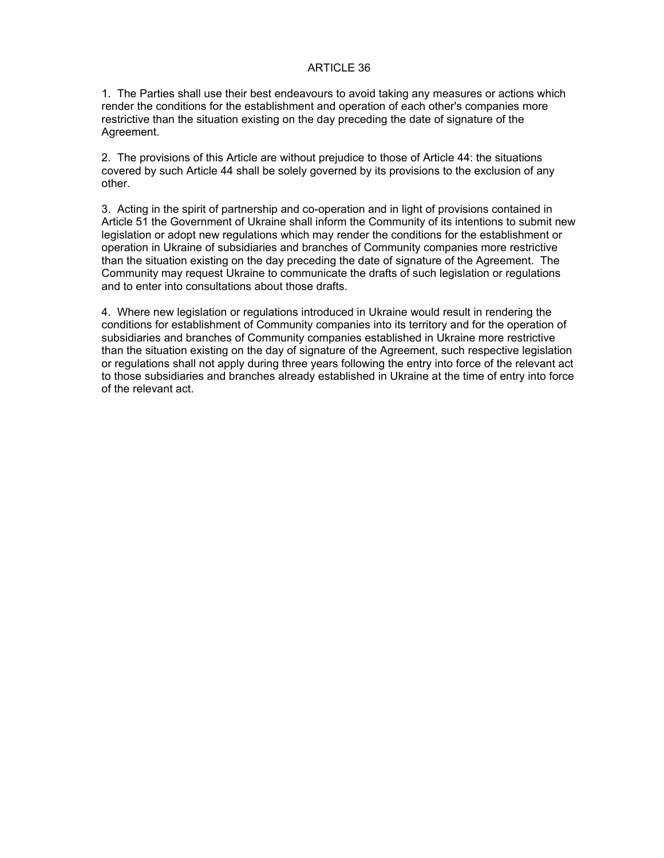1. The Parties shall use their best endeavours to avoid taking any measures or actions which render the conditions for the establishment and operation of each other's companies more restrictive than the situation existing on the day preceding the date of signature of the Agreement.

2. The provisions of this Article are without prejudice to those of Article 44: the situations covered by such Article 44 shall be solely governed by its provisions to the exclusion of any other.

3. Acting in the spirit of partnership and co-operation and in light of provisions contained in Article 51 the Government of Ukraine shall inform the Community of its intentions to submit new legislation or adopt new regulations which may render the conditions for the establishment or operation in Ukraine of subsidiaries and branches of Community companies more restrictive than the situation existing on the day preceding the date of signature of the Agreement. The Community may request Ukraine to communicate the drafts of such legislation or regulations and to enter into consultations about those drafts.

4. Where new legislation or regulations introduced in Ukraine would result in rendering the conditions for establishment of Community companies into its territory and for the operation of subsidiaries and branches of Community companies established in Ukraine more restrictive than the situation existing on the day of signature of the Agreement, such respective legislation or regulations shall not apply during three years following the entry into force of the relevant act to those subsidiaries and branches already established in Ukraine at the time of entry into force of the relevant act.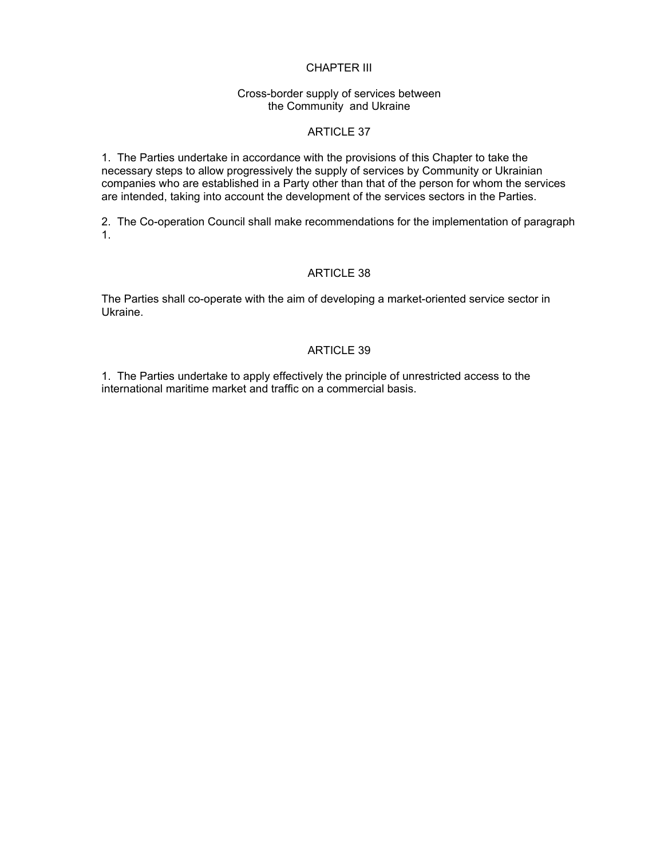# CHAPTER III

#### Cross-border supply of services between the Community and Ukraine

# ARTICLE 37

1. The Parties undertake in accordance with the provisions of this Chapter to take the necessary steps to allow progressively the supply of services by Community or Ukrainian companies who are established in a Party other than that of the person for whom the services are intended, taking into account the development of the services sectors in the Parties.

2. The Co-operation Council shall make recommendations for the implementation of paragraph 1.

## ARTICLE 38

The Parties shall co-operate with the aim of developing a market-oriented service sector in Ukraine.

# ARTICLE 39

1. The Parties undertake to apply effectively the principle of unrestricted access to the international maritime market and traffic on a commercial basis.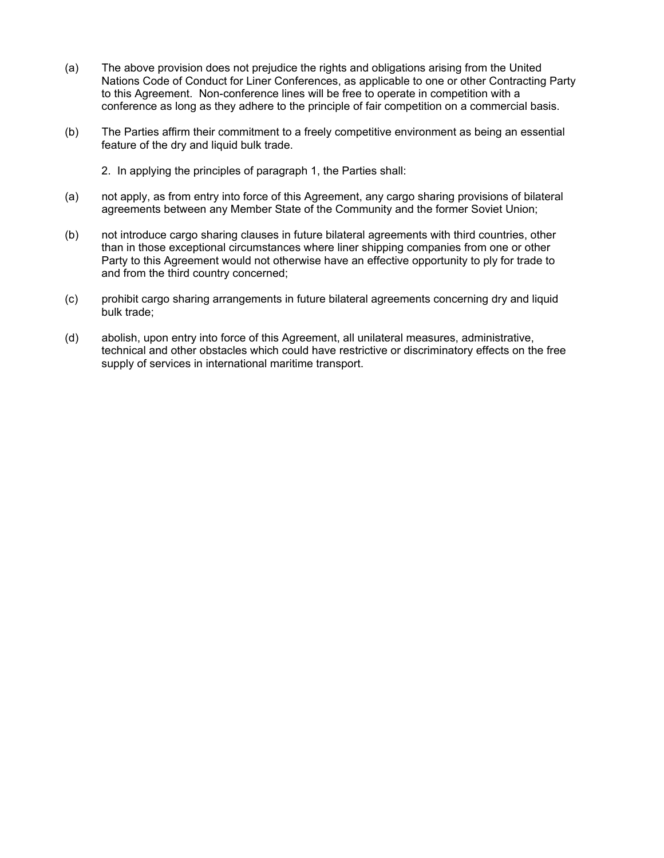- (a) The above provision does not prejudice the rights and obligations arising from the United Nations Code of Conduct for Liner Conferences, as applicable to one or other Contracting Party to this Agreement. Non-conference lines will be free to operate in competition with a conference as long as they adhere to the principle of fair competition on a commercial basis.
- (b) The Parties affirm their commitment to a freely competitive environment as being an essential feature of the dry and liquid bulk trade.
	- 2. In applying the principles of paragraph 1, the Parties shall:
- (a) not apply, as from entry into force of this Agreement, any cargo sharing provisions of bilateral agreements between any Member State of the Community and the former Soviet Union;
- (b) not introduce cargo sharing clauses in future bilateral agreements with third countries, other than in those exceptional circumstances where liner shipping companies from one or other Party to this Agreement would not otherwise have an effective opportunity to ply for trade to and from the third country concerned;
- (c) prohibit cargo sharing arrangements in future bilateral agreements concerning dry and liquid bulk trade;
- (d) abolish, upon entry into force of this Agreement, all unilateral measures, administrative, technical and other obstacles which could have restrictive or discriminatory effects on the free supply of services in international maritime transport.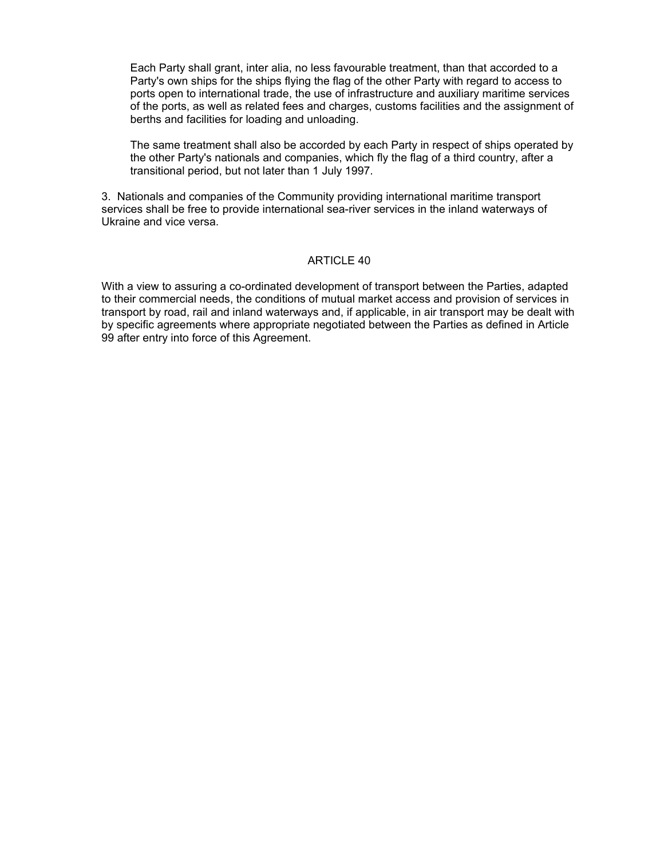Each Party shall grant, inter alia, no less favourable treatment, than that accorded to a Party's own ships for the ships flying the flag of the other Party with regard to access to ports open to international trade, the use of infrastructure and auxiliary maritime services of the ports, as well as related fees and charges, customs facilities and the assignment of berths and facilities for loading and unloading.

The same treatment shall also be accorded by each Party in respect of ships operated by the other Party's nationals and companies, which fly the flag of a third country, after a transitional period, but not later than 1 July 1997.

3. Nationals and companies of the Community providing international maritime transport services shall be free to provide international sea-river services in the inland waterways of Ukraine and vice versa.

#### ARTICLE 40

With a view to assuring a co-ordinated development of transport between the Parties, adapted to their commercial needs, the conditions of mutual market access and provision of services in transport by road, rail and inland waterways and, if applicable, in air transport may be dealt with by specific agreements where appropriate negotiated between the Parties as defined in Article 99 after entry into force of this Agreement.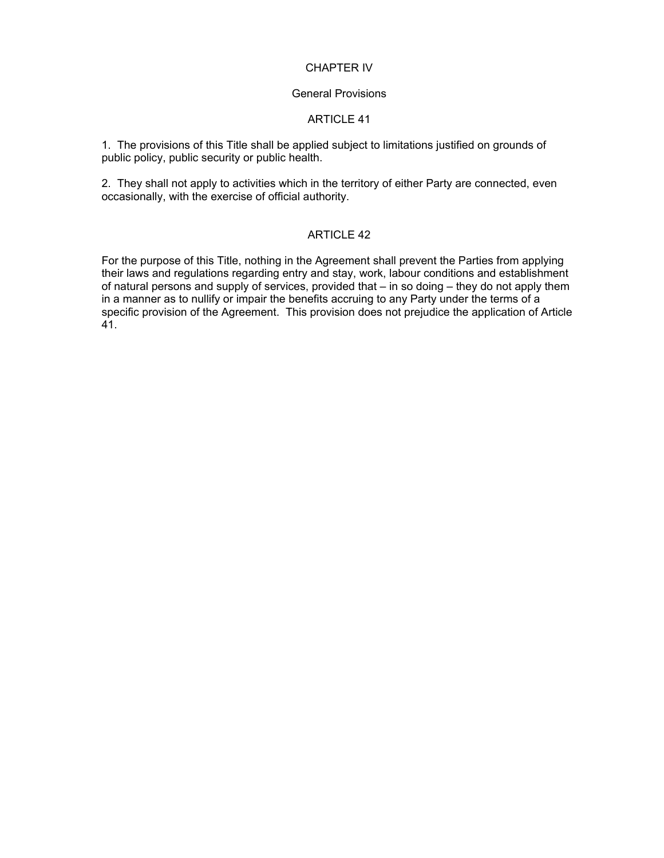# CHAPTER IV

#### General Provisions

# ARTICLE 41

1. The provisions of this Title shall be applied subject to limitations justified on grounds of public policy, public security or public health.

2. They shall not apply to activities which in the territory of either Party are connected, even occasionally, with the exercise of official authority.

## ARTICLE 42

For the purpose of this Title, nothing in the Agreement shall prevent the Parties from applying their laws and regulations regarding entry and stay, work, labour conditions and establishment of natural persons and supply of services, provided that – in so doing – they do not apply them in a manner as to nullify or impair the benefits accruing to any Party under the terms of a specific provision of the Agreement. This provision does not prejudice the application of Article 41.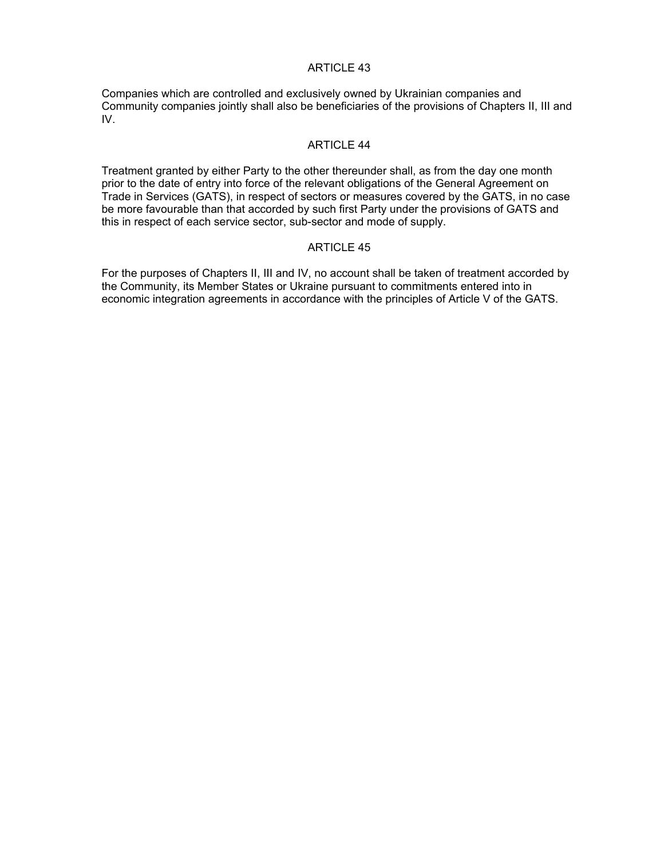Companies which are controlled and exclusively owned by Ukrainian companies and Community companies jointly shall also be beneficiaries of the provisions of Chapters II, III and IV.

#### ARTICLE 44

Treatment granted by either Party to the other thereunder shall, as from the day one month prior to the date of entry into force of the relevant obligations of the General Agreement on Trade in Services (GATS), in respect of sectors or measures covered by the GATS, in no case be more favourable than that accorded by such first Party under the provisions of GATS and this in respect of each service sector, sub-sector and mode of supply.

## ARTICLE 45

For the purposes of Chapters II, III and IV, no account shall be taken of treatment accorded by the Community, its Member States or Ukraine pursuant to commitments entered into in economic integration agreements in accordance with the principles of Article V of the GATS.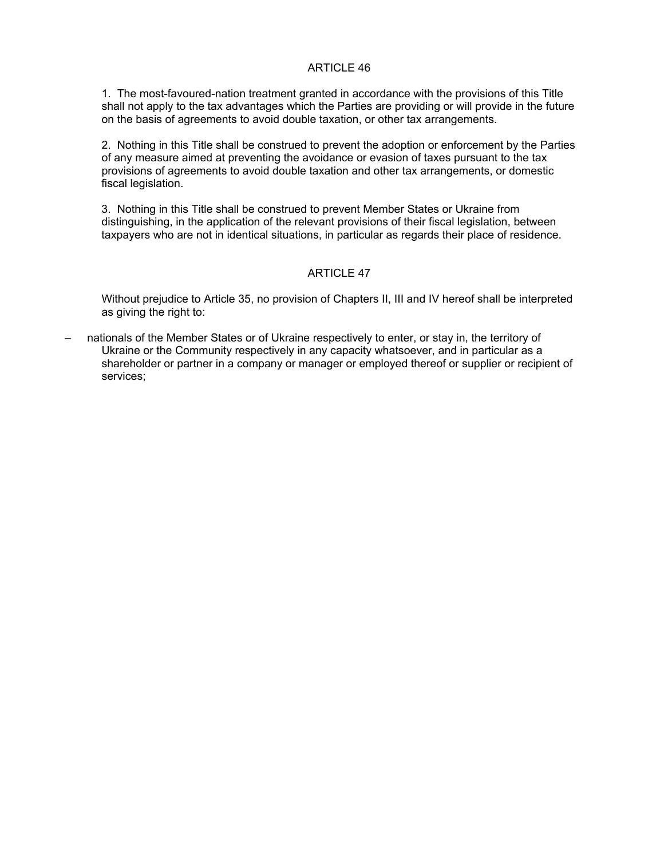1. The most-favoured-nation treatment granted in accordance with the provisions of this Title shall not apply to the tax advantages which the Parties are providing or will provide in the future on the basis of agreements to avoid double taxation, or other tax arrangements.

2. Nothing in this Title shall be construed to prevent the adoption or enforcement by the Parties of any measure aimed at preventing the avoidance or evasion of taxes pursuant to the tax provisions of agreements to avoid double taxation and other tax arrangements, or domestic fiscal legislation.

3. Nothing in this Title shall be construed to prevent Member States or Ukraine from distinguishing, in the application of the relevant provisions of their fiscal legislation, between taxpayers who are not in identical situations, in particular as regards their place of residence.

# ARTICLE 47

Without prejudice to Article 35, no provision of Chapters II, III and IV hereof shall be interpreted as giving the right to:

– nationals of the Member States or of Ukraine respectively to enter, or stay in, the territory of Ukraine or the Community respectively in any capacity whatsoever, and in particular as a shareholder or partner in a company or manager or employed thereof or supplier or recipient of services;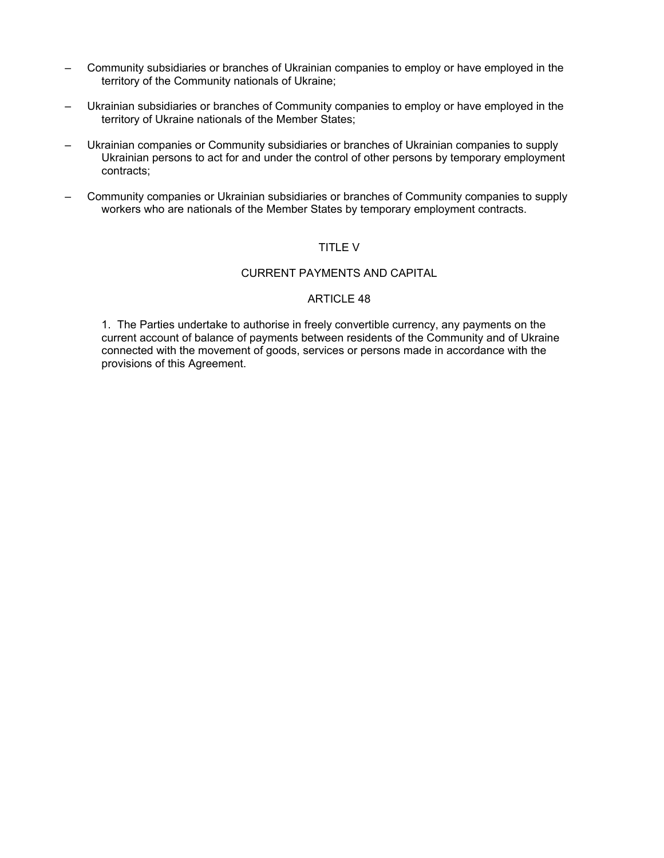- Community subsidiaries or branches of Ukrainian companies to employ or have employed in the territory of the Community nationals of Ukraine;
- Ukrainian subsidiaries or branches of Community companies to employ or have employed in the territory of Ukraine nationals of the Member States;
- Ukrainian companies or Community subsidiaries or branches of Ukrainian companies to supply Ukrainian persons to act for and under the control of other persons by temporary employment contracts;
- Community companies or Ukrainian subsidiaries or branches of Community companies to supply workers who are nationals of the Member States by temporary employment contracts.

## TITLE V

#### CURRENT PAYMENTS AND CAPITAL

### ARTICLE 48

1. The Parties undertake to authorise in freely convertible currency, any payments on the current account of balance of payments between residents of the Community and of Ukraine connected with the movement of goods, services or persons made in accordance with the provisions of this Agreement.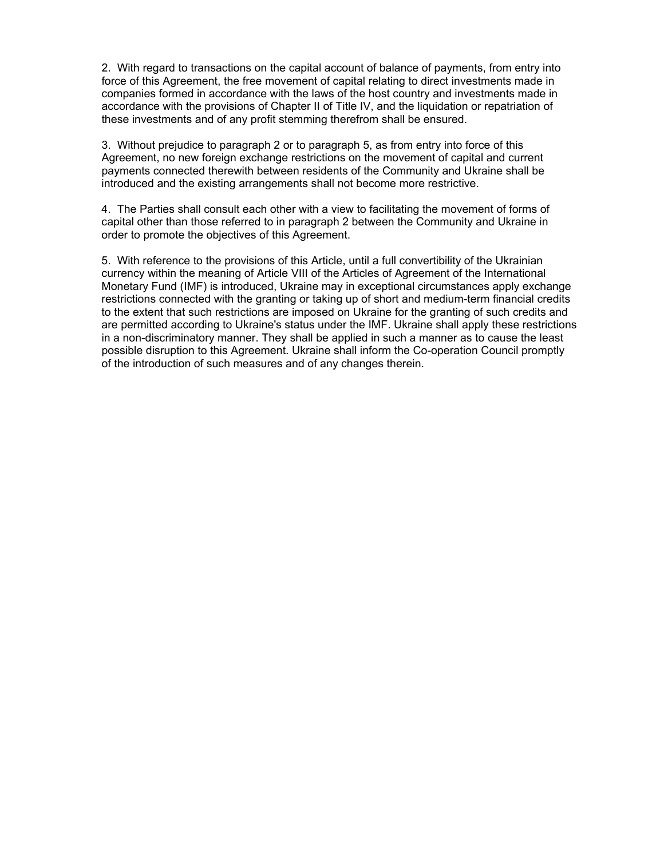2. With regard to transactions on the capital account of balance of payments, from entry into force of this Agreement, the free movement of capital relating to direct investments made in companies formed in accordance with the laws of the host country and investments made in accordance with the provisions of Chapter II of Title IV, and the liquidation or repatriation of these investments and of any profit stemming therefrom shall be ensured.

3. Without prejudice to paragraph 2 or to paragraph 5, as from entry into force of this Agreement, no new foreign exchange restrictions on the movement of capital and current payments connected therewith between residents of the Community and Ukraine shall be introduced and the existing arrangements shall not become more restrictive.

4. The Parties shall consult each other with a view to facilitating the movement of forms of capital other than those referred to in paragraph 2 between the Community and Ukraine in order to promote the objectives of this Agreement.

5. With reference to the provisions of this Article, until a full convertibility of the Ukrainian currency within the meaning of Article VIII of the Articles of Agreement of the International Monetary Fund (IMF) is introduced, Ukraine may in exceptional circumstances apply exchange restrictions connected with the granting or taking up of short and medium-term financial credits to the extent that such restrictions are imposed on Ukraine for the granting of such credits and are permitted according to Ukraine's status under the IMF. Ukraine shall apply these restrictions in a non-discriminatory manner. They shall be applied in such a manner as to cause the least possible disruption to this Agreement. Ukraine shall inform the Co-operation Council promptly of the introduction of such measures and of any changes therein.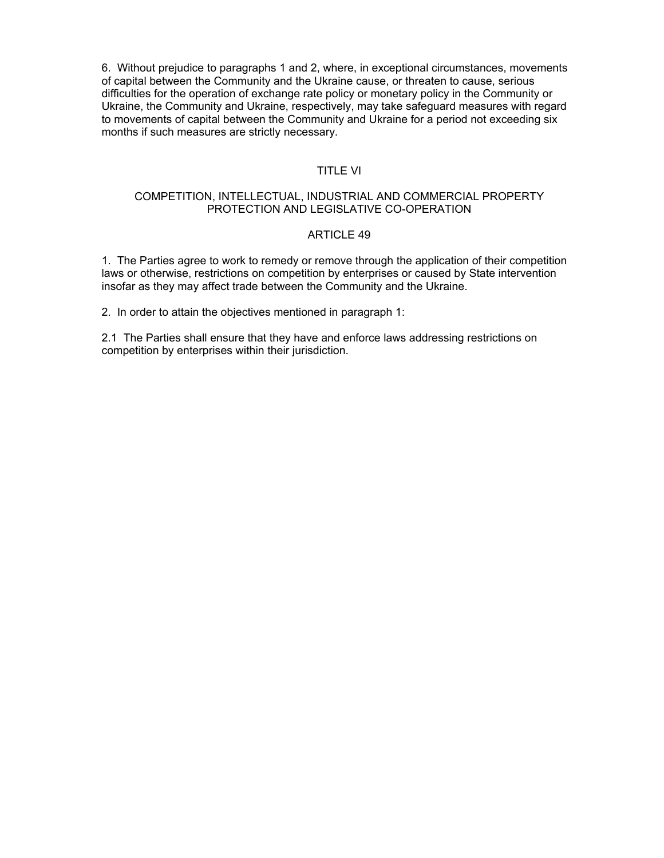6. Without prejudice to paragraphs 1 and 2, where, in exceptional circumstances, movements of capital between the Community and the Ukraine cause, or threaten to cause, serious difficulties for the operation of exchange rate policy or monetary policy in the Community or Ukraine, the Community and Ukraine, respectively, may take safeguard measures with regard to movements of capital between the Community and Ukraine for a period not exceeding six months if such measures are strictly necessary.

#### TITLE VI

### COMPETITION, INTELLECTUAL, INDUSTRIAL AND COMMERCIAL PROPERTY PROTECTION AND LEGISLATIVE CO-OPERATION

### ARTICLE 49

1. The Parties agree to work to remedy or remove through the application of their competition laws or otherwise, restrictions on competition by enterprises or caused by State intervention insofar as they may affect trade between the Community and the Ukraine.

2. In order to attain the objectives mentioned in paragraph 1:

2.1 The Parties shall ensure that they have and enforce laws addressing restrictions on competition by enterprises within their jurisdiction.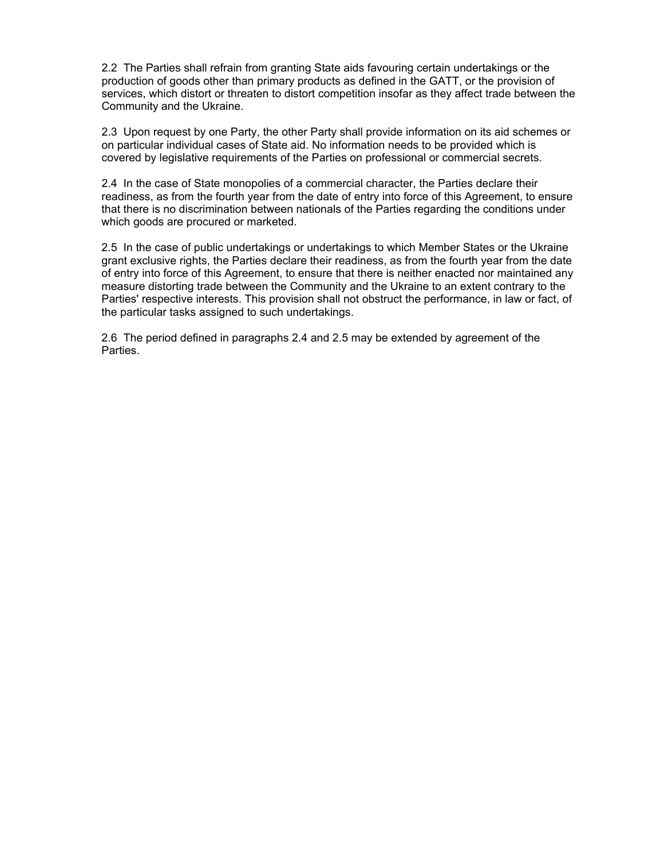2.2 The Parties shall refrain from granting State aids favouring certain undertakings or the production of goods other than primary products as defined in the GATT, or the provision of services, which distort or threaten to distort competition insofar as they affect trade between the Community and the Ukraine.

2.3 Upon request by one Party, the other Party shall provide information on its aid schemes or on particular individual cases of State aid. No information needs to be provided which is covered by legislative requirements of the Parties on professional or commercial secrets.

2.4 In the case of State monopolies of a commercial character, the Parties declare their readiness, as from the fourth year from the date of entry into force of this Agreement, to ensure that there is no discrimination between nationals of the Parties regarding the conditions under which goods are procured or marketed.

2.5 In the case of public undertakings or undertakings to which Member States or the Ukraine grant exclusive rights, the Parties declare their readiness, as from the fourth year from the date of entry into force of this Agreement, to ensure that there is neither enacted nor maintained any measure distorting trade between the Community and the Ukraine to an extent contrary to the Parties' respective interests. This provision shall not obstruct the performance, in law or fact, of the particular tasks assigned to such undertakings.

2.6 The period defined in paragraphs 2.4 and 2.5 may be extended by agreement of the Parties.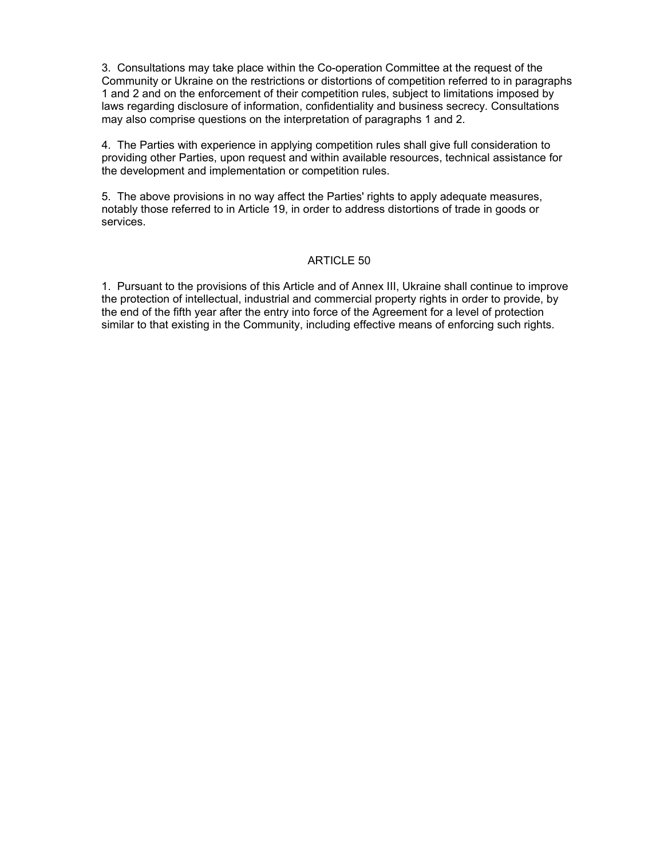3. Consultations may take place within the Co-operation Committee at the request of the Community or Ukraine on the restrictions or distortions of competition referred to in paragraphs 1 and 2 and on the enforcement of their competition rules, subject to limitations imposed by laws regarding disclosure of information, confidentiality and business secrecy. Consultations may also comprise questions on the interpretation of paragraphs 1 and 2.

4. The Parties with experience in applying competition rules shall give full consideration to providing other Parties, upon request and within available resources, technical assistance for the development and implementation or competition rules.

5. The above provisions in no way affect the Parties' rights to apply adequate measures, notably those referred to in Article 19, in order to address distortions of trade in goods or services.

### ARTICLE 50

1. Pursuant to the provisions of this Article and of Annex III, Ukraine shall continue to improve the protection of intellectual, industrial and commercial property rights in order to provide, by the end of the fifth year after the entry into force of the Agreement for a level of protection similar to that existing in the Community, including effective means of enforcing such rights.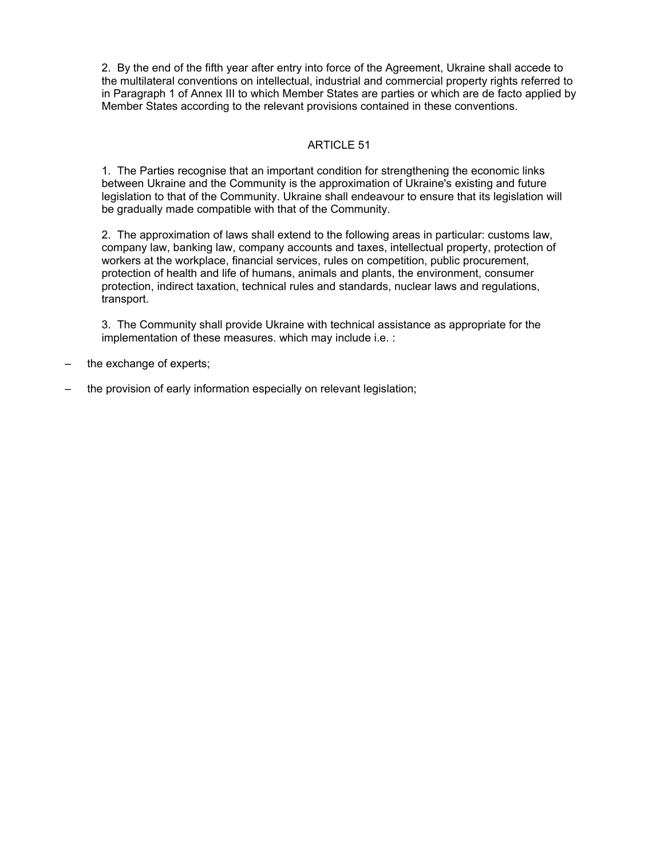2. By the end of the fifth year after entry into force of the Agreement, Ukraine shall accede to the multilateral conventions on intellectual, industrial and commercial property rights referred to in Paragraph 1 of Annex III to which Member States are parties or which are de facto applied by Member States according to the relevant provisions contained in these conventions.

# ARTICLE 51

1. The Parties recognise that an important condition for strengthening the economic links between Ukraine and the Community is the approximation of Ukraine's existing and future legislation to that of the Community. Ukraine shall endeavour to ensure that its legislation will be gradually made compatible with that of the Community.

2. The approximation of laws shall extend to the following areas in particular: customs law, company law, banking law, company accounts and taxes, intellectual property, protection of workers at the workplace, financial services, rules on competition, public procurement, protection of health and life of humans, animals and plants, the environment, consumer protection, indirect taxation, technical rules and standards, nuclear laws and regulations, transport.

3. The Community shall provide Ukraine with technical assistance as appropriate for the implementation of these measures. which may include i.e. :

- the exchange of experts;
- the provision of early information especially on relevant legislation;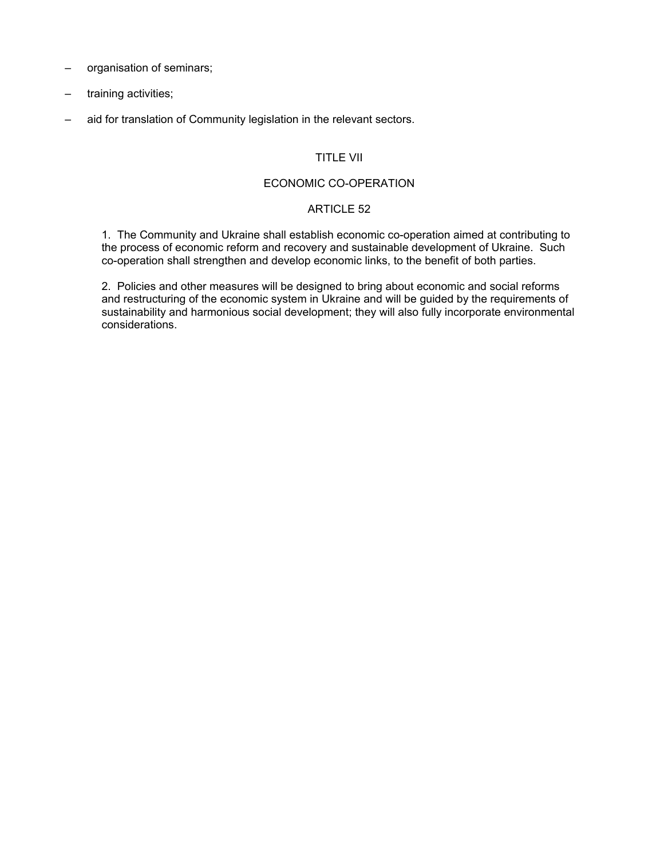- organisation of seminars;
- training activities;
- aid for translation of Community legislation in the relevant sectors.

# TITLE VII

#### ECONOMIC CO-OPERATION

#### ARTICLE 52

1. The Community and Ukraine shall establish economic co-operation aimed at contributing to the process of economic reform and recovery and sustainable development of Ukraine. Such co-operation shall strengthen and develop economic links, to the benefit of both parties.

2. Policies and other measures will be designed to bring about economic and social reforms and restructuring of the economic system in Ukraine and will be guided by the requirements of sustainability and harmonious social development; they will also fully incorporate environmental considerations.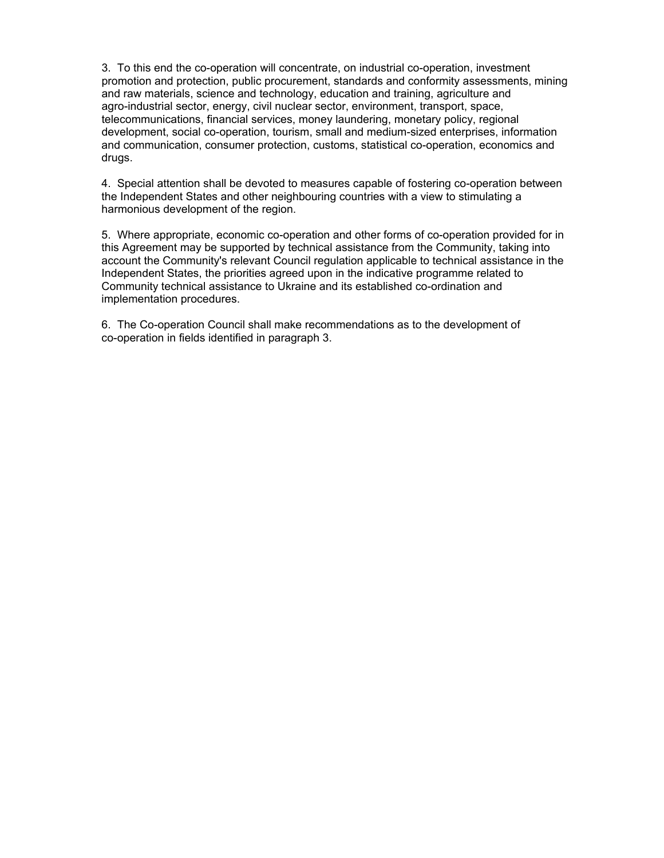3. To this end the co-operation will concentrate, on industrial co-operation, investment promotion and protection, public procurement, standards and conformity assessments, mining and raw materials, science and technology, education and training, agriculture and agro-industrial sector, energy, civil nuclear sector, environment, transport, space, telecommunications, financial services, money laundering, monetary policy, regional development, social co-operation, tourism, small and medium-sized enterprises, information and communication, consumer protection, customs, statistical co-operation, economics and drugs.

4. Special attention shall be devoted to measures capable of fostering co-operation between the Independent States and other neighbouring countries with a view to stimulating a harmonious development of the region.

5. Where appropriate, economic co-operation and other forms of co-operation provided for in this Agreement may be supported by technical assistance from the Community, taking into account the Community's relevant Council regulation applicable to technical assistance in the Independent States, the priorities agreed upon in the indicative programme related to Community technical assistance to Ukraine and its established co-ordination and implementation procedures.

6. The Co-operation Council shall make recommendations as to the development of co-operation in fields identified in paragraph 3.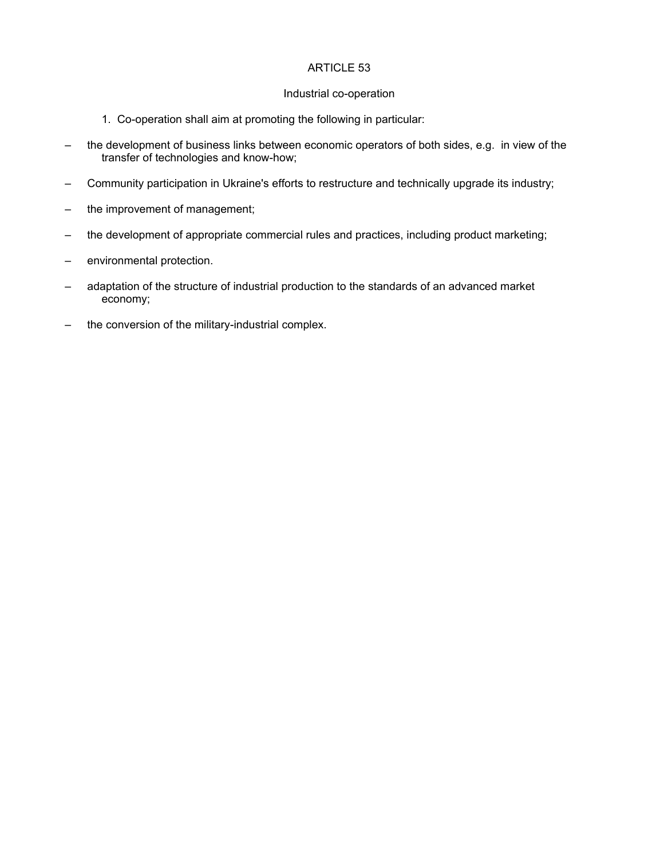### Industrial co-operation

- 1. Co-operation shall aim at promoting the following in particular:
- the development of business links between economic operators of both sides, e.g. in view of the transfer of technologies and know-how;
- Community participation in Ukraine's efforts to restructure and technically upgrade its industry;
- the improvement of management;
- the development of appropriate commercial rules and practices, including product marketing;
- environmental protection.
- adaptation of the structure of industrial production to the standards of an advanced market economy;
- the conversion of the military-industrial complex.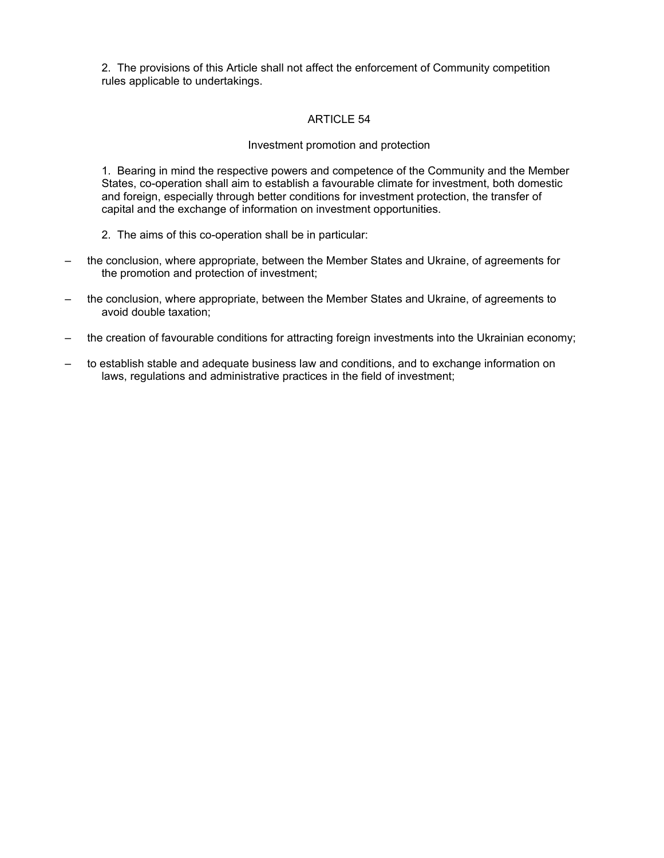2. The provisions of this Article shall not affect the enforcement of Community competition rules applicable to undertakings.

# ARTICLE 54

#### Investment promotion and protection

1. Bearing in mind the respective powers and competence of the Community and the Member States, co-operation shall aim to establish a favourable climate for investment, both domestic and foreign, especially through better conditions for investment protection, the transfer of capital and the exchange of information on investment opportunities.

- 2. The aims of this co-operation shall be in particular:
- the conclusion, where appropriate, between the Member States and Ukraine, of agreements for the promotion and protection of investment;
- the conclusion, where appropriate, between the Member States and Ukraine, of agreements to avoid double taxation;
- the creation of favourable conditions for attracting foreign investments into the Ukrainian economy;
- to establish stable and adequate business law and conditions, and to exchange information on laws, regulations and administrative practices in the field of investment;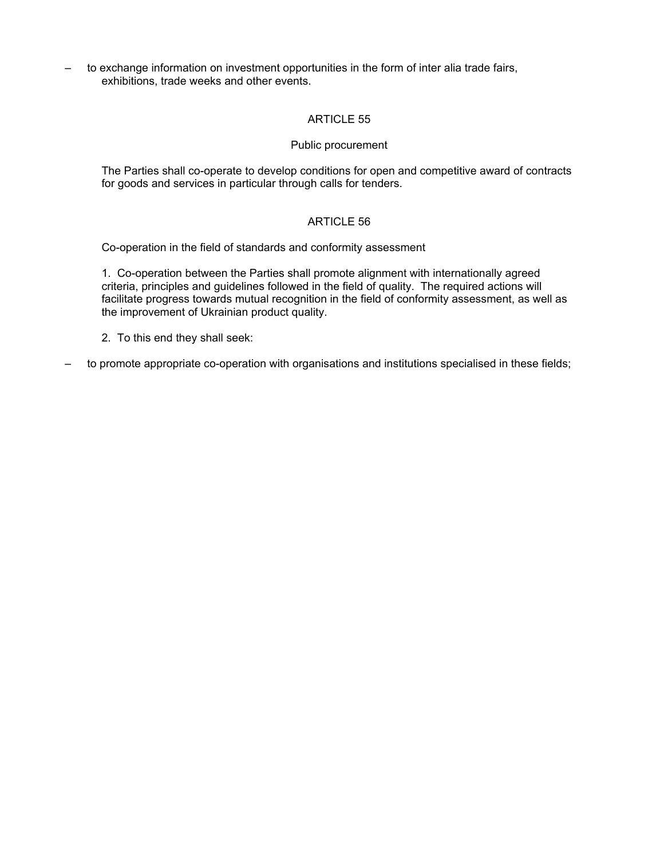– to exchange information on investment opportunities in the form of inter alia trade fairs, exhibitions, trade weeks and other events.

# ARTICLE 55

#### Public procurement

The Parties shall co-operate to develop conditions for open and competitive award of contracts for goods and services in particular through calls for tenders.

# ARTICLE 56

Co-operation in the field of standards and conformity assessment

1. Co-operation between the Parties shall promote alignment with internationally agreed criteria, principles and guidelines followed in the field of quality. The required actions will facilitate progress towards mutual recognition in the field of conformity assessment, as well as the improvement of Ukrainian product quality.

2. To this end they shall seek:

– to promote appropriate co-operation with organisations and institutions specialised in these fields;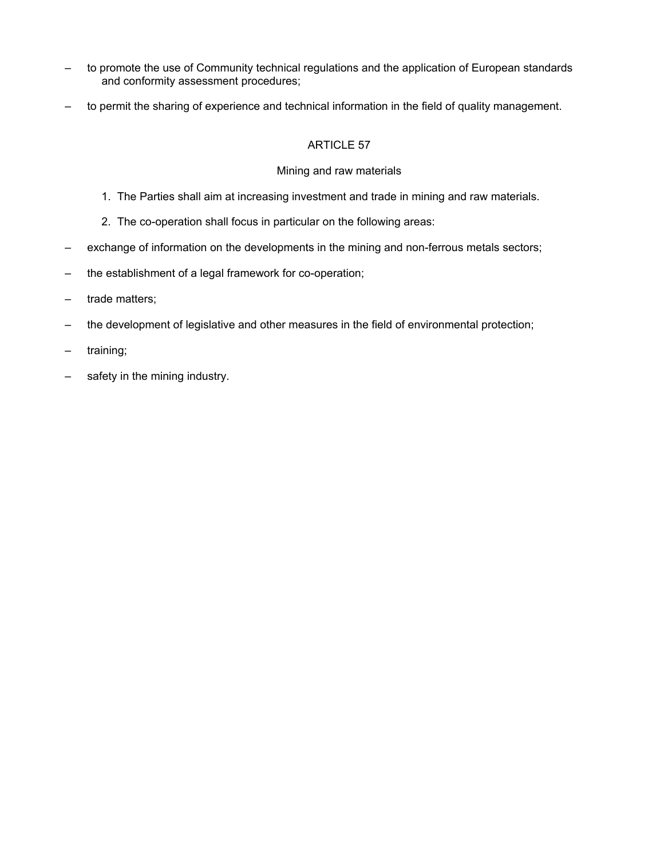- to promote the use of Community technical regulations and the application of European standards and conformity assessment procedures;
- to permit the sharing of experience and technical information in the field of quality management.

# Mining and raw materials

- 1. The Parties shall aim at increasing investment and trade in mining and raw materials.
- 2. The co-operation shall focus in particular on the following areas:
- exchange of information on the developments in the mining and non-ferrous metals sectors;
- the establishment of a legal framework for co-operation;
- trade matters;
- the development of legislative and other measures in the field of environmental protection;
- training;
- safety in the mining industry.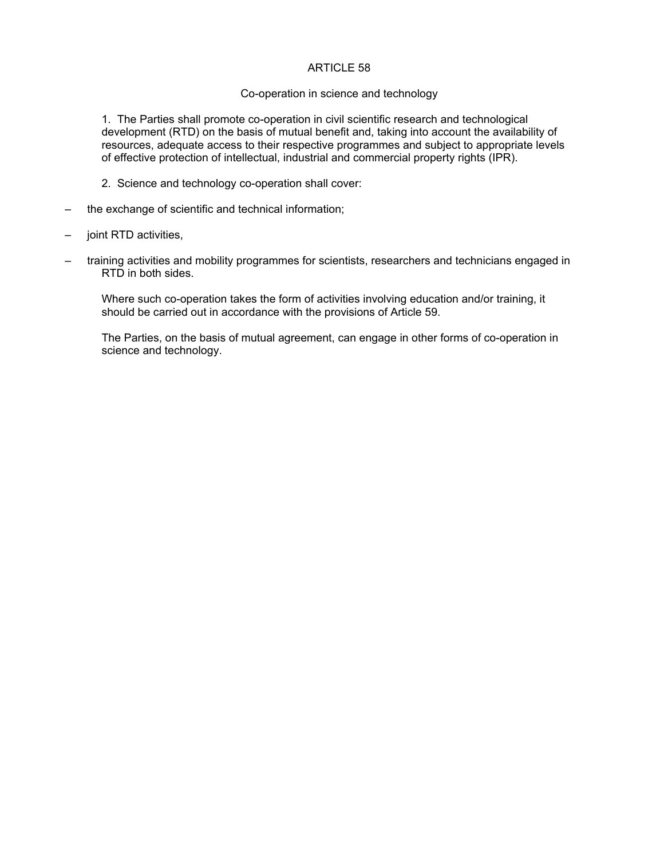#### Co-operation in science and technology

1. The Parties shall promote co-operation in civil scientific research and technological development (RTD) on the basis of mutual benefit and, taking into account the availability of resources, adequate access to their respective programmes and subject to appropriate levels of effective protection of intellectual, industrial and commercial property rights (IPR).

- 2. Science and technology co-operation shall cover:
- the exchange of scientific and technical information;
- joint RTD activities,
- training activities and mobility programmes for scientists, researchers and technicians engaged in RTD in both sides.

Where such co-operation takes the form of activities involving education and/or training, it should be carried out in accordance with the provisions of Article 59.

The Parties, on the basis of mutual agreement, can engage in other forms of co-operation in science and technology.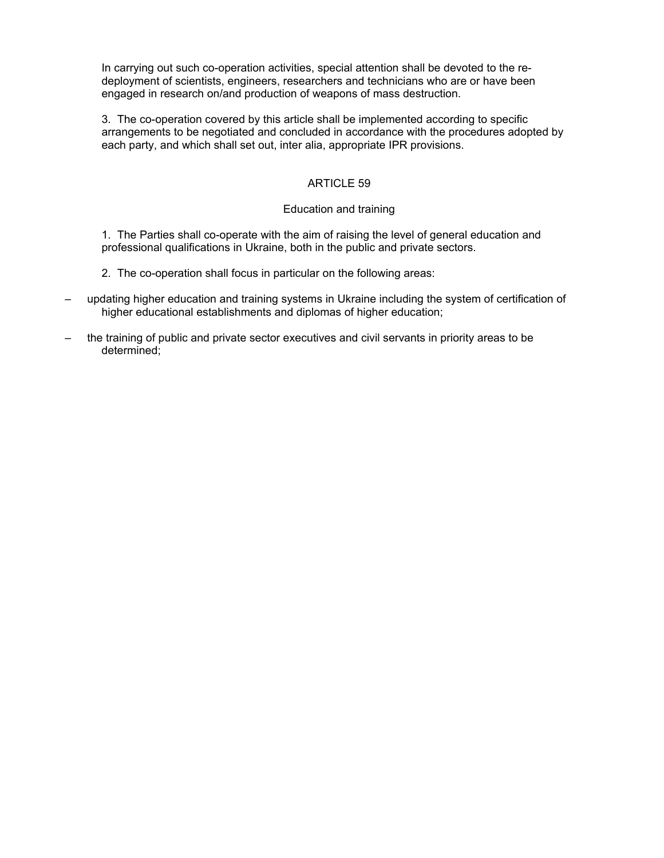In carrying out such co-operation activities, special attention shall be devoted to the redeployment of scientists, engineers, researchers and technicians who are or have been engaged in research on/and production of weapons of mass destruction.

3. The co-operation covered by this article shall be implemented according to specific arrangements to be negotiated and concluded in accordance with the procedures adopted by each party, and which shall set out, inter alia, appropriate IPR provisions.

# ARTICLE 59

### Education and training

1. The Parties shall co-operate with the aim of raising the level of general education and professional qualifications in Ukraine, both in the public and private sectors.

- 2. The co-operation shall focus in particular on the following areas:
- updating higher education and training systems in Ukraine including the system of certification of higher educational establishments and diplomas of higher education;
- the training of public and private sector executives and civil servants in priority areas to be determined;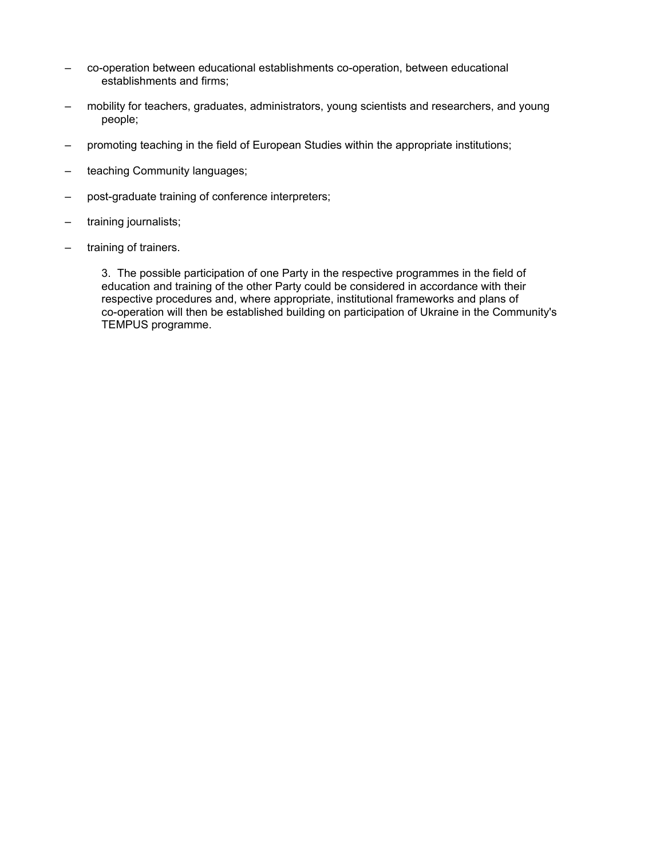- co-operation between educational establishments co-operation, between educational establishments and firms;
- mobility for teachers, graduates, administrators, young scientists and researchers, and young people;
- promoting teaching in the field of European Studies within the appropriate institutions;
- teaching Community languages;
- post-graduate training of conference interpreters;
- training journalists;
- training of trainers.

3. The possible participation of one Party in the respective programmes in the field of education and training of the other Party could be considered in accordance with their respective procedures and, where appropriate, institutional frameworks and plans of co-operation will then be established building on participation of Ukraine in the Community's TEMPUS programme.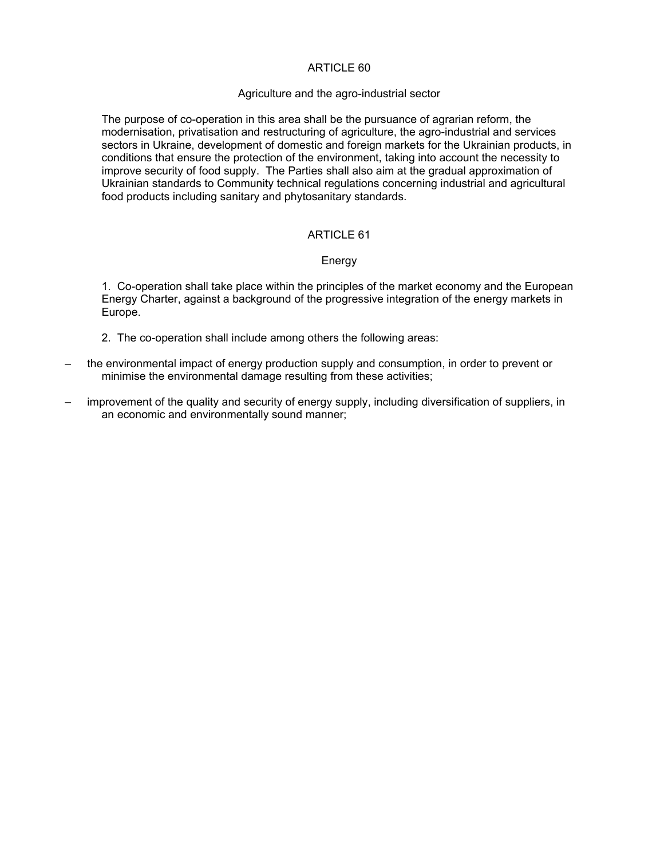#### Agriculture and the agro-industrial sector

The purpose of co-operation in this area shall be the pursuance of agrarian reform, the modernisation, privatisation and restructuring of agriculture, the agro-industrial and services sectors in Ukraine, development of domestic and foreign markets for the Ukrainian products, in conditions that ensure the protection of the environment, taking into account the necessity to improve security of food supply. The Parties shall also aim at the gradual approximation of Ukrainian standards to Community technical regulations concerning industrial and agricultural food products including sanitary and phytosanitary standards.

# ARTICLE 61

#### Energy

1. Co-operation shall take place within the principles of the market economy and the European Energy Charter, against a background of the progressive integration of the energy markets in Europe.

- 2. The co-operation shall include among others the following areas:
- the environmental impact of energy production supply and consumption, in order to prevent or minimise the environmental damage resulting from these activities;
- improvement of the quality and security of energy supply, including diversification of suppliers, in an economic and environmentally sound manner;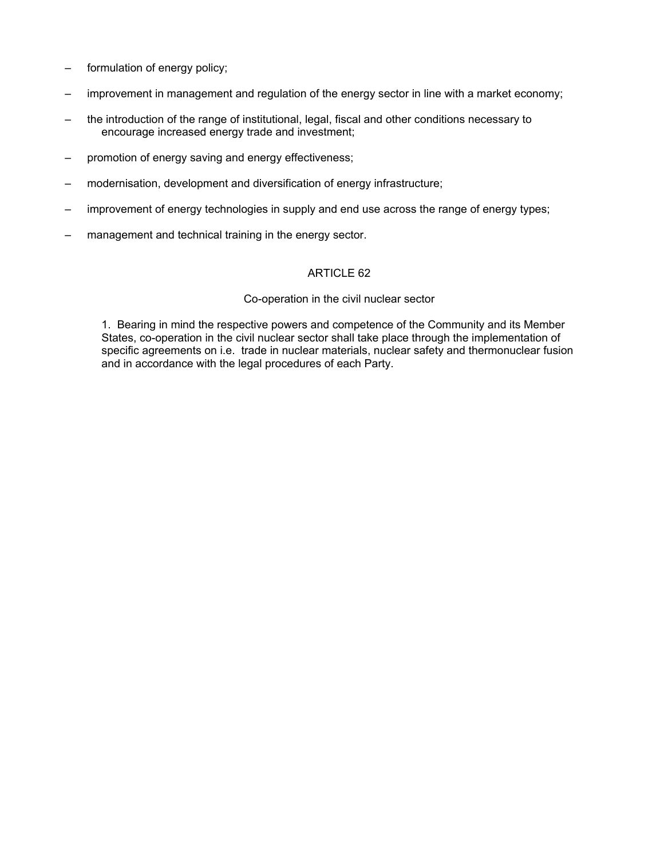- formulation of energy policy;
- improvement in management and regulation of the energy sector in line with a market economy;
- the introduction of the range of institutional, legal, fiscal and other conditions necessary to encourage increased energy trade and investment;
- promotion of energy saving and energy effectiveness;
- modernisation, development and diversification of energy infrastructure;
- improvement of energy technologies in supply and end use across the range of energy types;
- management and technical training in the energy sector.

#### Co-operation in the civil nuclear sector

1. Bearing in mind the respective powers and competence of the Community and its Member States, co-operation in the civil nuclear sector shall take place through the implementation of specific agreements on i.e. trade in nuclear materials, nuclear safety and thermonuclear fusion and in accordance with the legal procedures of each Party.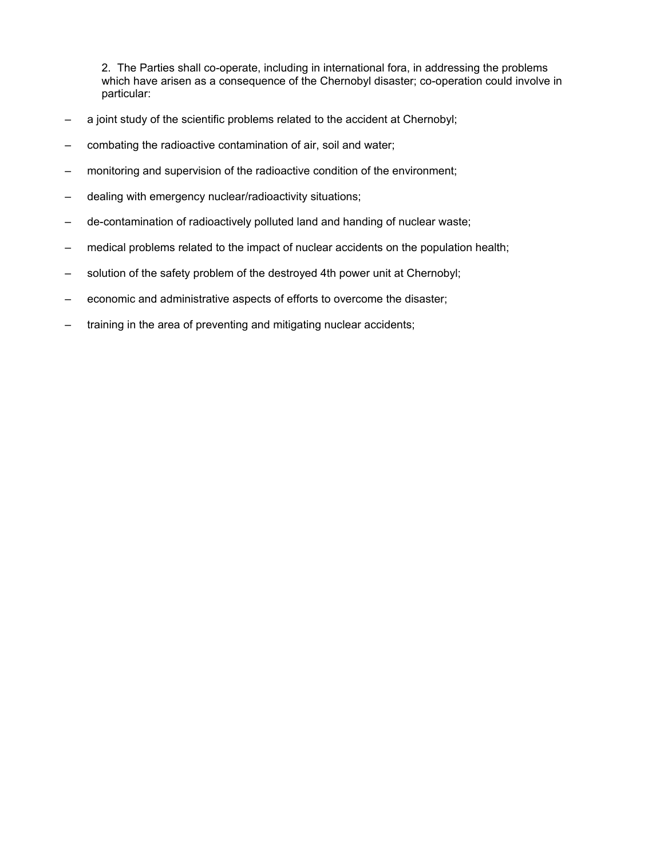2. The Parties shall co-operate, including in international fora, in addressing the problems which have arisen as a consequence of the Chernobyl disaster; co-operation could involve in particular:

- a joint study of the scientific problems related to the accident at Chernobyl;
- combating the radioactive contamination of air, soil and water;
- monitoring and supervision of the radioactive condition of the environment;
- dealing with emergency nuclear/radioactivity situations;
- de-contamination of radioactively polluted land and handing of nuclear waste;
- medical problems related to the impact of nuclear accidents on the population health;
- solution of the safety problem of the destroyed 4th power unit at Chernobyl;
- economic and administrative aspects of efforts to overcome the disaster;
- training in the area of preventing and mitigating nuclear accidents;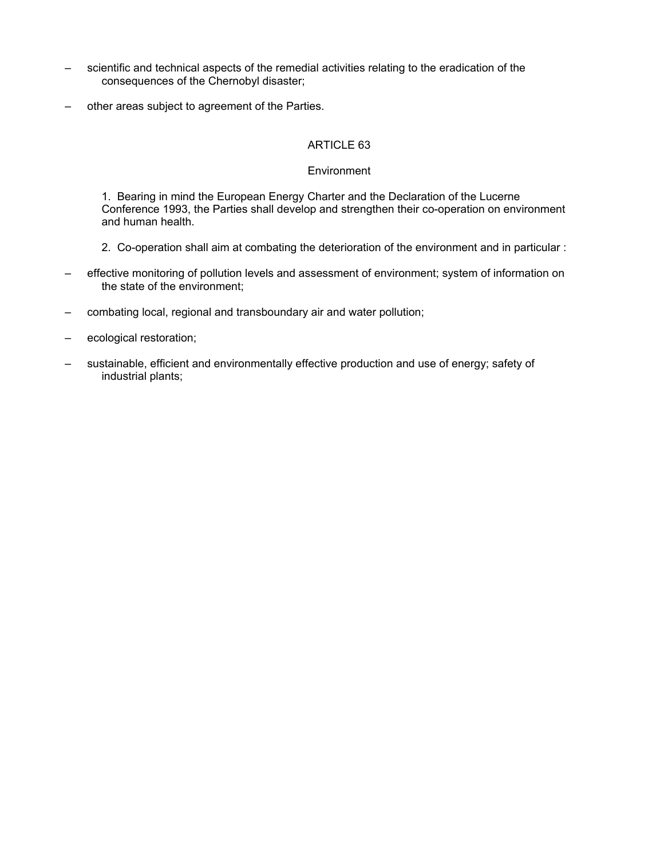- scientific and technical aspects of the remedial activities relating to the eradication of the consequences of the Chernobyl disaster;
- other areas subject to agreement of the Parties.

### **Environment**

1. Bearing in mind the European Energy Charter and the Declaration of the Lucerne Conference 1993, the Parties shall develop and strengthen their co-operation on environment and human health.

- 2. Co-operation shall aim at combating the deterioration of the environment and in particular :
- effective monitoring of pollution levels and assessment of environment; system of information on the state of the environment;
- combating local, regional and transboundary air and water pollution;
- ecological restoration;
- sustainable, efficient and environmentally effective production and use of energy; safety of industrial plants;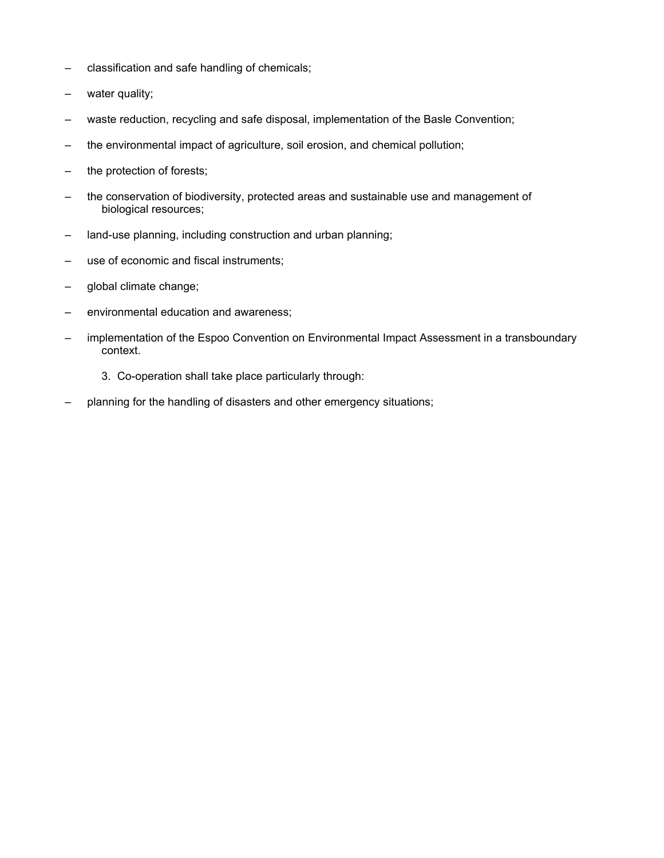- classification and safe handling of chemicals;
- water quality;
- waste reduction, recycling and safe disposal, implementation of the Basle Convention;
- the environmental impact of agriculture, soil erosion, and chemical pollution;
- the protection of forests;
- the conservation of biodiversity, protected areas and sustainable use and management of biological resources;
- land-use planning, including construction and urban planning;
- use of economic and fiscal instruments;
- global climate change;
- environmental education and awareness;
- implementation of the Espoo Convention on Environmental Impact Assessment in a transboundary context.
	- 3. Co-operation shall take place particularly through:
- planning for the handling of disasters and other emergency situations;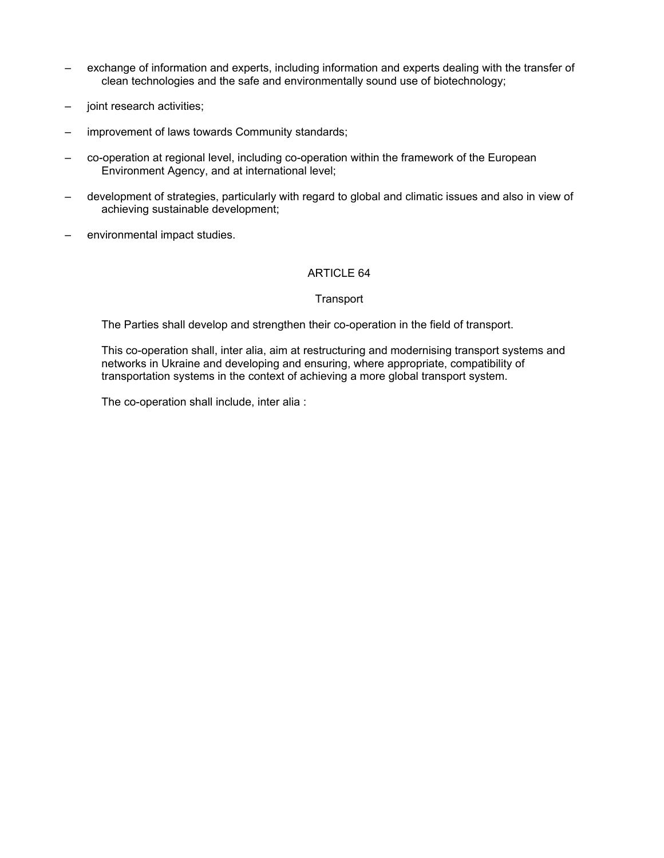- exchange of information and experts, including information and experts dealing with the transfer of clean technologies and the safe and environmentally sound use of biotechnology;
- joint research activities;
- improvement of laws towards Community standards;
- co-operation at regional level, including co-operation within the framework of the European Environment Agency, and at international level;
- development of strategies, particularly with regard to global and climatic issues and also in view of achieving sustainable development;
- environmental impact studies.

### **Transport**

The Parties shall develop and strengthen their co-operation in the field of transport.

This co-operation shall, inter alia, aim at restructuring and modernising transport systems and networks in Ukraine and developing and ensuring, where appropriate, compatibility of transportation systems in the context of achieving a more global transport system.

The co-operation shall include, inter alia :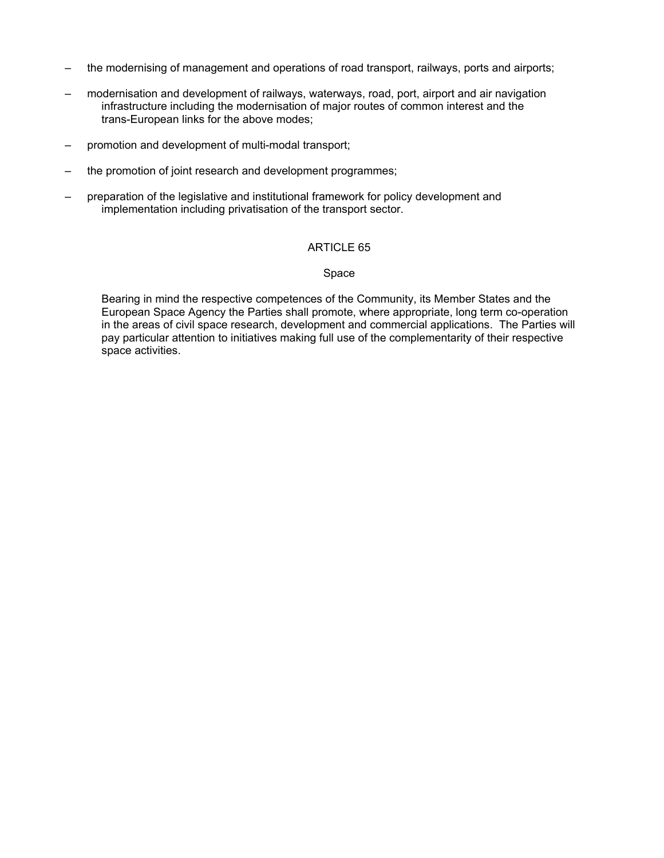- the modernising of management and operations of road transport, railways, ports and airports;
- modernisation and development of railways, waterways, road, port, airport and air navigation infrastructure including the modernisation of major routes of common interest and the trans-European links for the above modes;
- promotion and development of multi-modal transport;
- the promotion of joint research and development programmes;
- preparation of the legislative and institutional framework for policy development and implementation including privatisation of the transport sector.

#### Space

Bearing in mind the respective competences of the Community, its Member States and the European Space Agency the Parties shall promote, where appropriate, long term co-operation in the areas of civil space research, development and commercial applications. The Parties will pay particular attention to initiatives making full use of the complementarity of their respective space activities.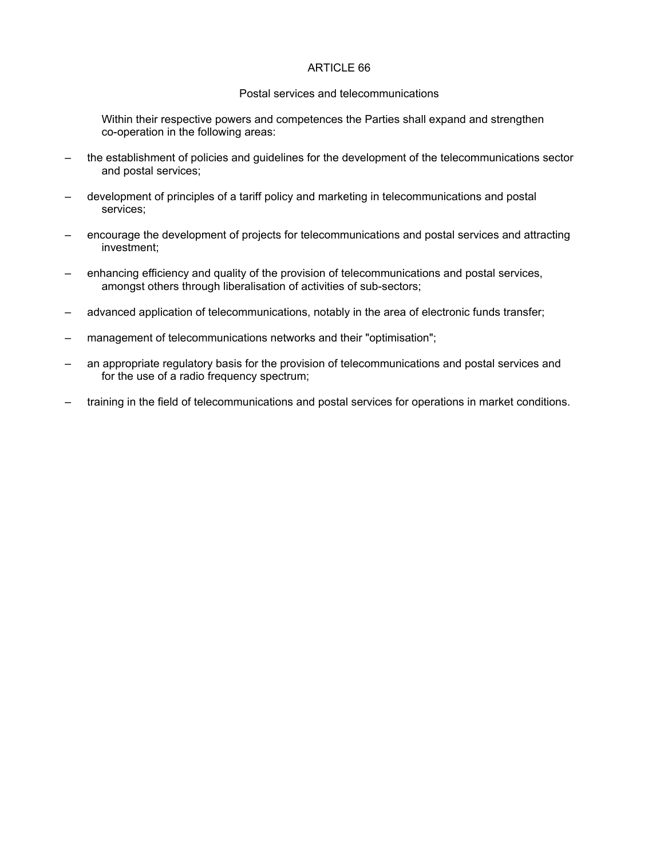#### Postal services and telecommunications

Within their respective powers and competences the Parties shall expand and strengthen co-operation in the following areas:

- the establishment of policies and guidelines for the development of the telecommunications sector and postal services;
- development of principles of a tariff policy and marketing in telecommunications and postal services;
- encourage the development of projects for telecommunications and postal services and attracting investment;
- enhancing efficiency and quality of the provision of telecommunications and postal services, amongst others through liberalisation of activities of sub-sectors;
- advanced application of telecommunications, notably in the area of electronic funds transfer;
- management of telecommunications networks and their "optimisation";
- an appropriate regulatory basis for the provision of telecommunications and postal services and for the use of a radio frequency spectrum;
- training in the field of telecommunications and postal services for operations in market conditions.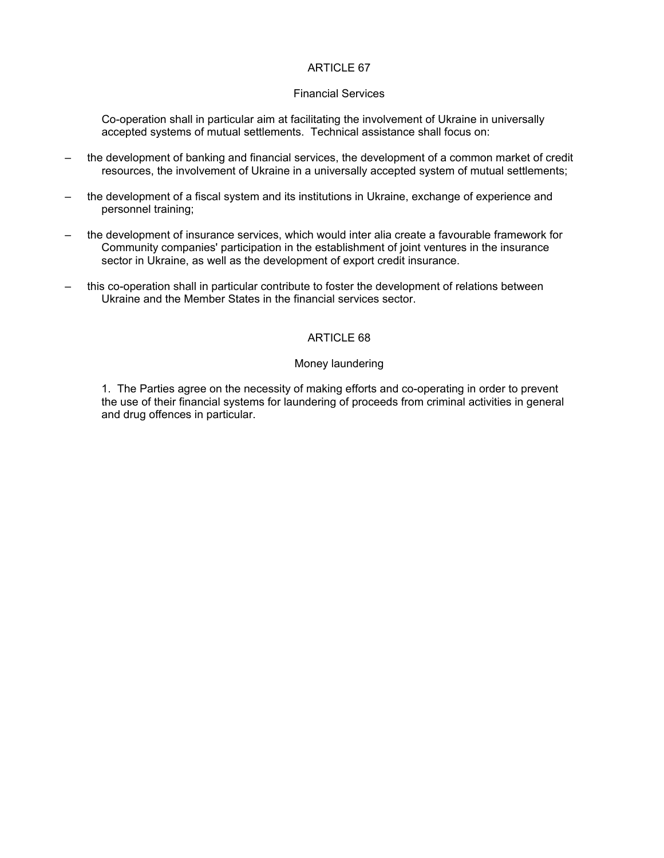#### Financial Services

Co-operation shall in particular aim at facilitating the involvement of Ukraine in universally accepted systems of mutual settlements. Technical assistance shall focus on:

- the development of banking and financial services, the development of a common market of credit resources, the involvement of Ukraine in a universally accepted system of mutual settlements;
- the development of a fiscal system and its institutions in Ukraine, exchange of experience and personnel training;
- the development of insurance services, which would inter alia create a favourable framework for Community companies' participation in the establishment of joint ventures in the insurance sector in Ukraine, as well as the development of export credit insurance.
- this co-operation shall in particular contribute to foster the development of relations between Ukraine and the Member States in the financial services sector.

### ARTICLE 68

#### Money laundering

1. The Parties agree on the necessity of making efforts and co-operating in order to prevent the use of their financial systems for laundering of proceeds from criminal activities in general and drug offences in particular.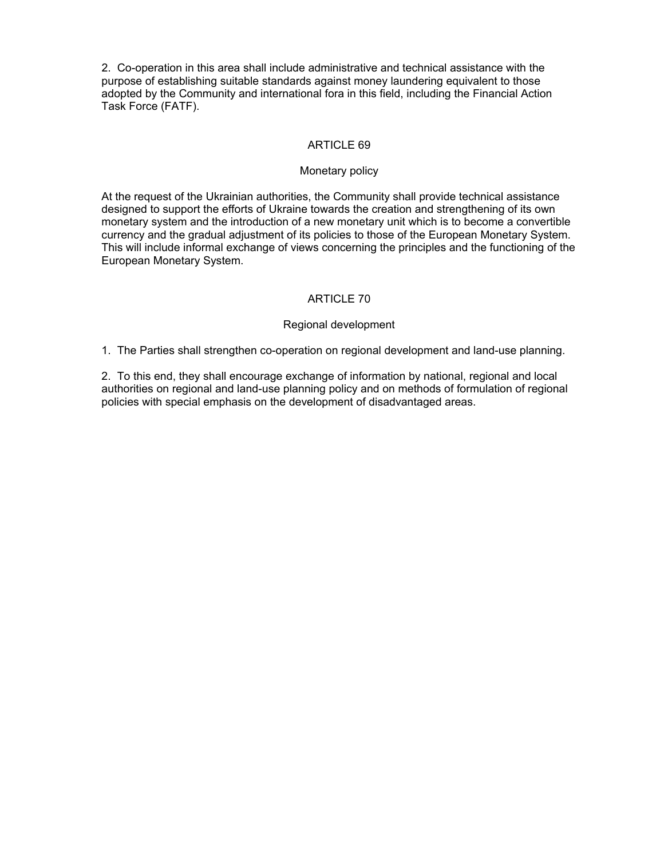2. Co-operation in this area shall include administrative and technical assistance with the purpose of establishing suitable standards against money laundering equivalent to those adopted by the Community and international fora in this field, including the Financial Action Task Force (FATF).

# ARTICLE 69

#### Monetary policy

At the request of the Ukrainian authorities, the Community shall provide technical assistance designed to support the efforts of Ukraine towards the creation and strengthening of its own monetary system and the introduction of a new monetary unit which is to become a convertible currency and the gradual adjustment of its policies to those of the European Monetary System. This will include informal exchange of views concerning the principles and the functioning of the European Monetary System.

# ARTICLE 70

### Regional development

1. The Parties shall strengthen co-operation on regional development and land-use planning.

2. To this end, they shall encourage exchange of information by national, regional and local authorities on regional and land-use planning policy and on methods of formulation of regional policies with special emphasis on the development of disadvantaged areas.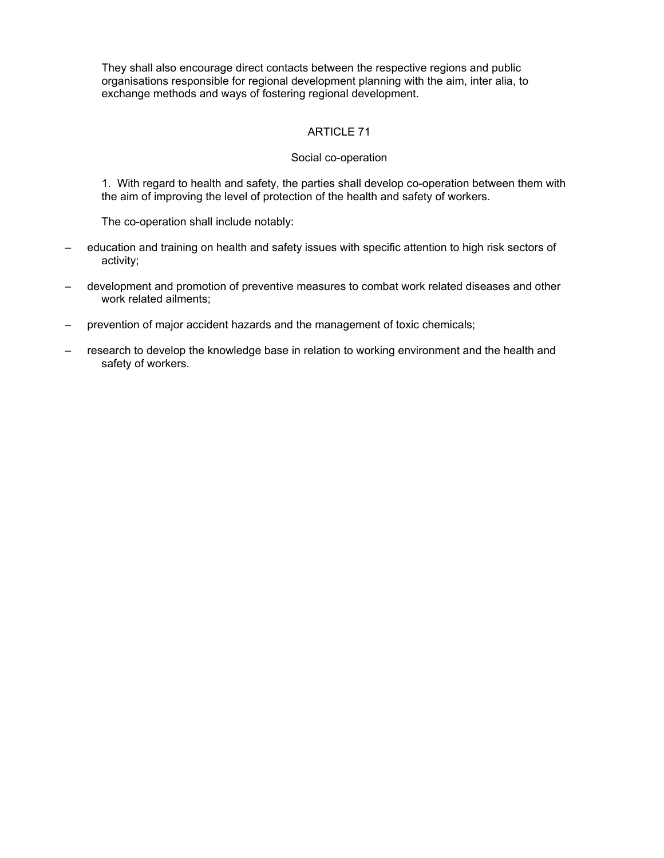They shall also encourage direct contacts between the respective regions and public organisations responsible for regional development planning with the aim, inter alia, to exchange methods and ways of fostering regional development.

# ARTICLE 71

### Social co-operation

1. With regard to health and safety, the parties shall develop co-operation between them with the aim of improving the level of protection of the health and safety of workers.

The co-operation shall include notably:

- education and training on health and safety issues with specific attention to high risk sectors of activity;
- development and promotion of preventive measures to combat work related diseases and other work related ailments;
- prevention of major accident hazards and the management of toxic chemicals;
- research to develop the knowledge base in relation to working environment and the health and safety of workers.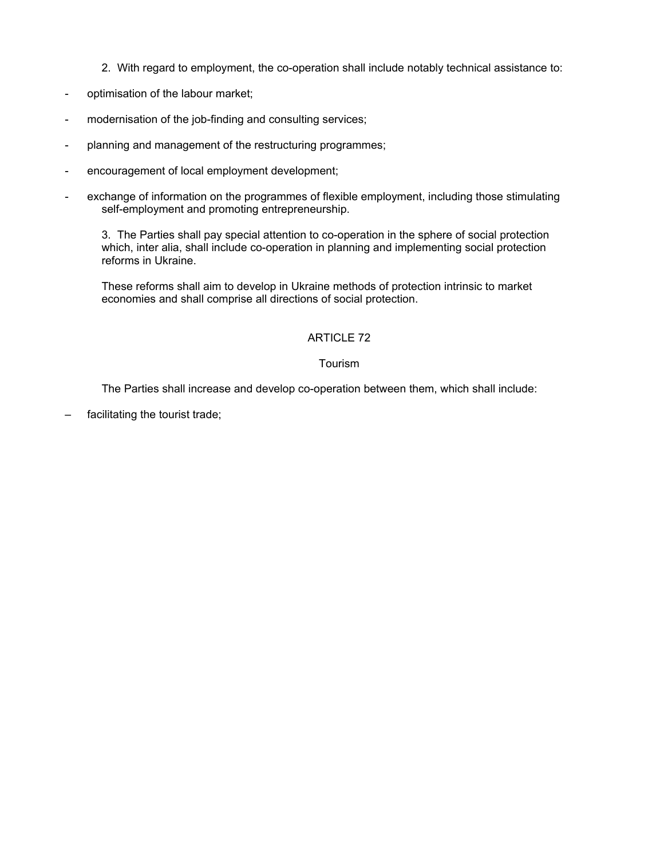- 2. With regard to employment, the co-operation shall include notably technical assistance to:
- optimisation of the labour market;
- modernisation of the job-finding and consulting services;
- planning and management of the restructuring programmes;
- encouragement of local employment development;
- exchange of information on the programmes of flexible employment, including those stimulating self-employment and promoting entrepreneurship.

3. The Parties shall pay special attention to co-operation in the sphere of social protection which, inter alia, shall include co-operation in planning and implementing social protection reforms in Ukraine.

These reforms shall aim to develop in Ukraine methods of protection intrinsic to market economies and shall comprise all directions of social protection.

# ARTICLE 72

### Tourism

The Parties shall increase and develop co-operation between them, which shall include:

facilitating the tourist trade;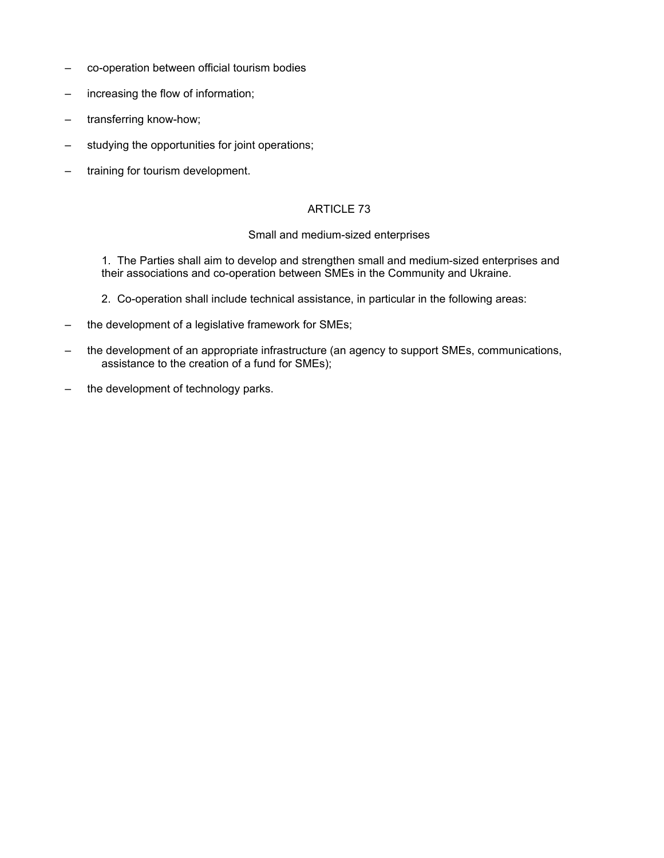- co-operation between official tourism bodies
- increasing the flow of information;
- transferring know-how;
- studying the opportunities for joint operations;
- training for tourism development.

### Small and medium-sized enterprises

1. The Parties shall aim to develop and strengthen small and medium-sized enterprises and their associations and co-operation between SMEs in the Community and Ukraine.

- 2. Co-operation shall include technical assistance, in particular in the following areas:
- the development of a legislative framework for SMEs;
- the development of an appropriate infrastructure (an agency to support SMEs, communications, assistance to the creation of a fund for SMEs);
- the development of technology parks.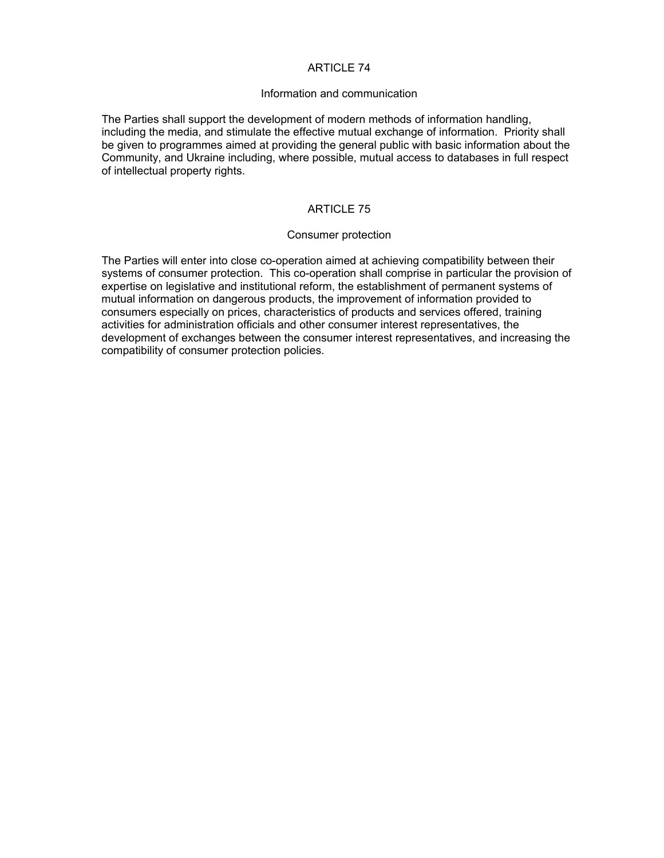#### Information and communication

The Parties shall support the development of modern methods of information handling, including the media, and stimulate the effective mutual exchange of information. Priority shall be given to programmes aimed at providing the general public with basic information about the Community, and Ukraine including, where possible, mutual access to databases in full respect of intellectual property rights.

# ARTICLE 75

#### Consumer protection

The Parties will enter into close co-operation aimed at achieving compatibility between their systems of consumer protection. This co-operation shall comprise in particular the provision of expertise on legislative and institutional reform, the establishment of permanent systems of mutual information on dangerous products, the improvement of information provided to consumers especially on prices, characteristics of products and services offered, training activities for administration officials and other consumer interest representatives, the development of exchanges between the consumer interest representatives, and increasing the compatibility of consumer protection policies.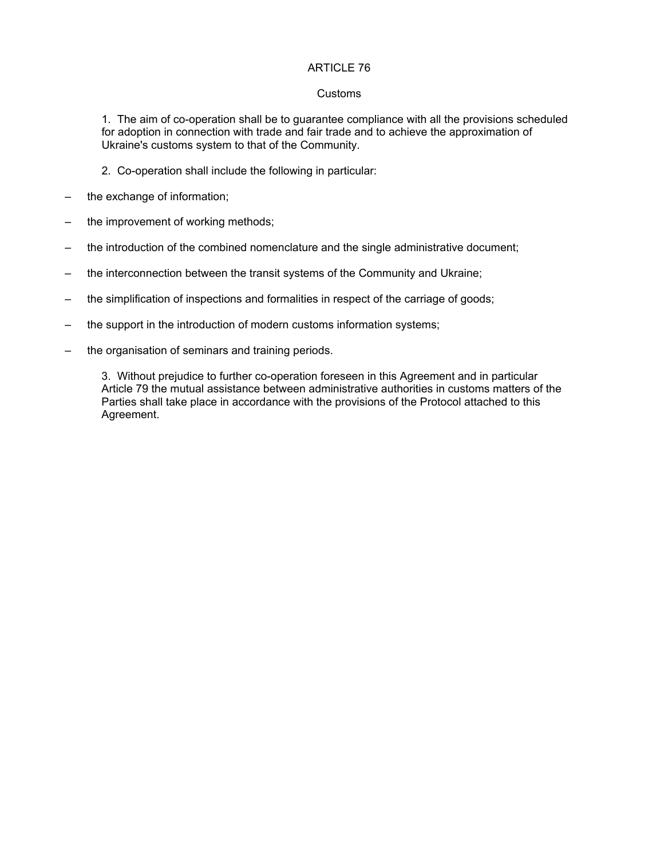#### Customs

1. The aim of co-operation shall be to guarantee compliance with all the provisions scheduled for adoption in connection with trade and fair trade and to achieve the approximation of Ukraine's customs system to that of the Community.

- 2. Co-operation shall include the following in particular:
- the exchange of information;
- the improvement of working methods;
- the introduction of the combined nomenclature and the single administrative document;
- the interconnection between the transit systems of the Community and Ukraine;
- the simplification of inspections and formalities in respect of the carriage of goods;
- the support in the introduction of modern customs information systems;
- the organisation of seminars and training periods.

3. Without prejudice to further co-operation foreseen in this Agreement and in particular Article 79 the mutual assistance between administrative authorities in customs matters of the Parties shall take place in accordance with the provisions of the Protocol attached to this Agreement.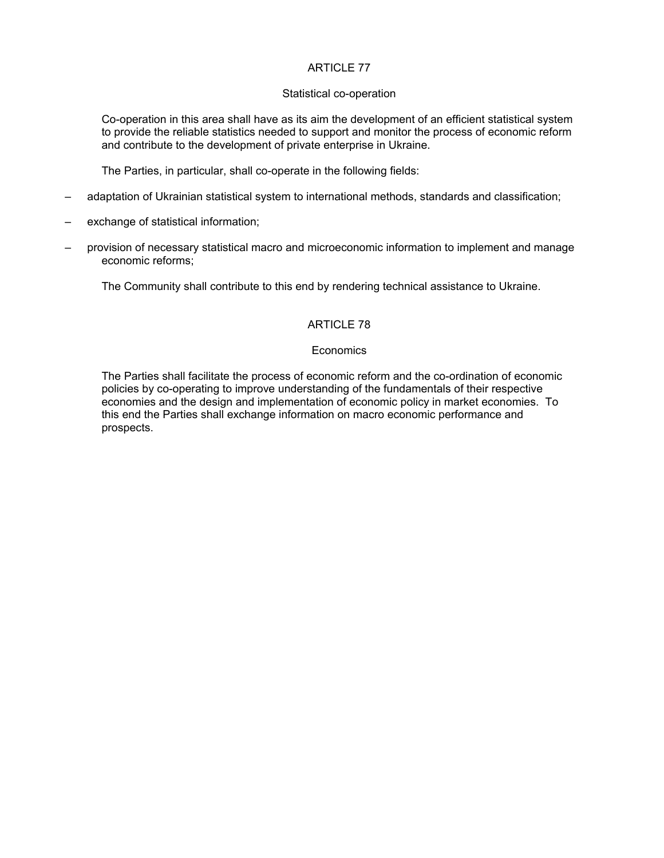#### Statistical co-operation

Co-operation in this area shall have as its aim the development of an efficient statistical system to provide the reliable statistics needed to support and monitor the process of economic reform and contribute to the development of private enterprise in Ukraine.

The Parties, in particular, shall co-operate in the following fields:

- adaptation of Ukrainian statistical system to international methods, standards and classification;
- exchange of statistical information;
- provision of necessary statistical macro and microeconomic information to implement and manage economic reforms;

The Community shall contribute to this end by rendering technical assistance to Ukraine.

# ARTICLE 78

### **Economics**

The Parties shall facilitate the process of economic reform and the co-ordination of economic policies by co-operating to improve understanding of the fundamentals of their respective economies and the design and implementation of economic policy in market economies. To this end the Parties shall exchange information on macro economic performance and prospects.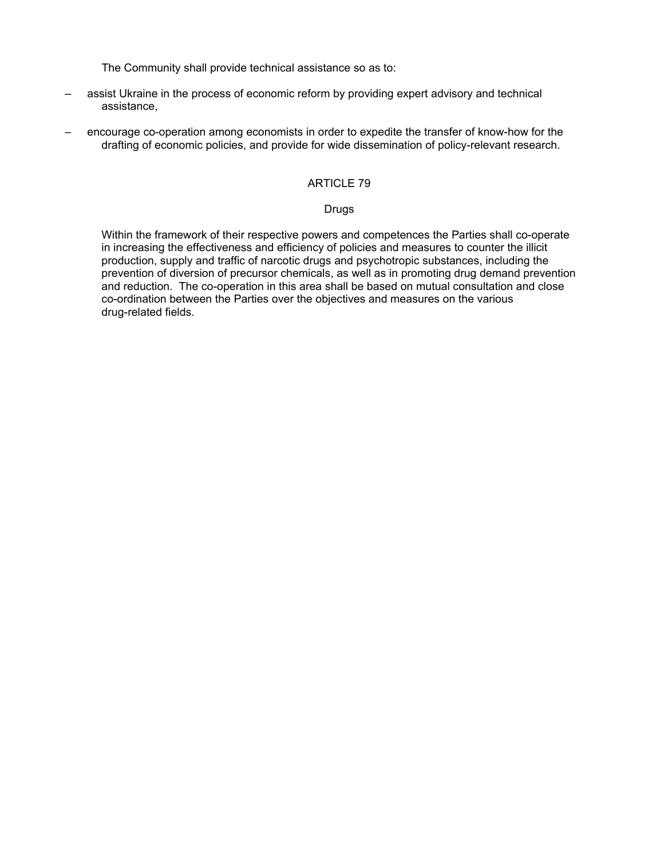The Community shall provide technical assistance so as to:

- assist Ukraine in the process of economic reform by providing expert advisory and technical assistance,
- encourage co-operation among economists in order to expedite the transfer of know-how for the drafting of economic policies, and provide for wide dissemination of policy-relevant research.

### ARTICLE 79

### Drugs

Within the framework of their respective powers and competences the Parties shall co-operate in increasing the effectiveness and efficiency of policies and measures to counter the illicit production, supply and traffic of narcotic drugs and psychotropic substances, including the prevention of diversion of precursor chemicals, as well as in promoting drug demand prevention and reduction. The co-operation in this area shall be based on mutual consultation and close co-ordination between the Parties over the objectives and measures on the various drug-related fields.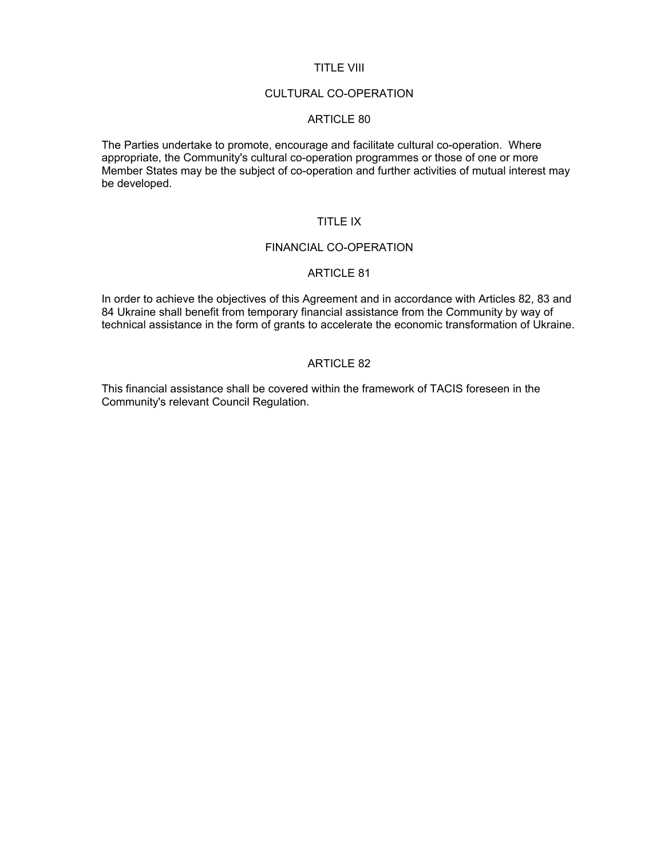#### TITLE VIII

#### CULTURAL CO-OPERATION

### ARTICLE 80

The Parties undertake to promote, encourage and facilitate cultural co-operation. Where appropriate, the Community's cultural co-operation programmes or those of one or more Member States may be the subject of co-operation and further activities of mutual interest may be developed.

# TITLE IX

#### FINANCIAL CO-OPERATION

#### ARTICLE 81

In order to achieve the objectives of this Agreement and in accordance with Articles 82, 83 and 84 Ukraine shall benefit from temporary financial assistance from the Community by way of technical assistance in the form of grants to accelerate the economic transformation of Ukraine.

### ARTICLE 82

This financial assistance shall be covered within the framework of TACIS foreseen in the Community's relevant Council Regulation.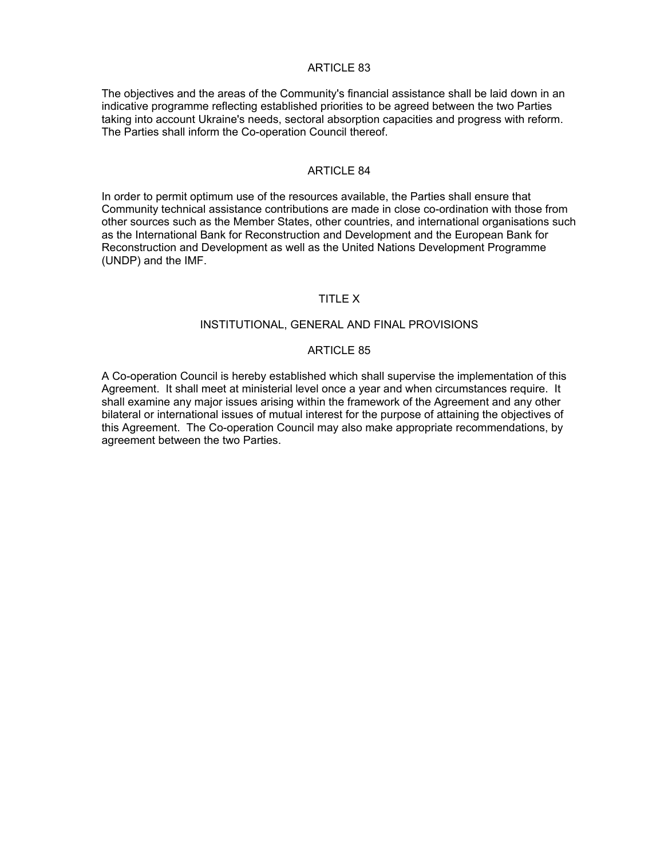The objectives and the areas of the Community's financial assistance shall be laid down in an indicative programme reflecting established priorities to be agreed between the two Parties taking into account Ukraine's needs, sectoral absorption capacities and progress with reform. The Parties shall inform the Co-operation Council thereof.

#### ARTICLE 84

In order to permit optimum use of the resources available, the Parties shall ensure that Community technical assistance contributions are made in close co-ordination with those from other sources such as the Member States, other countries, and international organisations such as the International Bank for Reconstruction and Development and the European Bank for Reconstruction and Development as well as the United Nations Development Programme (UNDP) and the IMF.

### TITLE X

### INSTITUTIONAL, GENERAL AND FINAL PROVISIONS

#### ARTICLE 85

A Co-operation Council is hereby established which shall supervise the implementation of this Agreement. It shall meet at ministerial level once a year and when circumstances require. It shall examine any major issues arising within the framework of the Agreement and any other bilateral or international issues of mutual interest for the purpose of attaining the objectives of this Agreement. The Co-operation Council may also make appropriate recommendations, by agreement between the two Parties.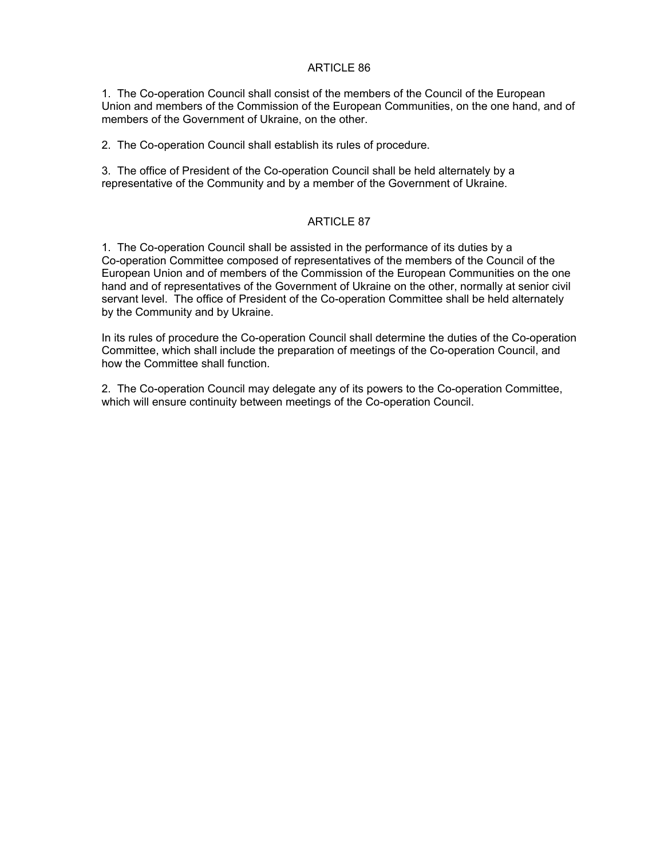1. The Co-operation Council shall consist of the members of the Council of the European Union and members of the Commission of the European Communities, on the one hand, and of members of the Government of Ukraine, on the other.

2. The Co-operation Council shall establish its rules of procedure.

3. The office of President of the Co-operation Council shall be held alternately by a representative of the Community and by a member of the Government of Ukraine.

# ARTICLE 87

1. The Co-operation Council shall be assisted in the performance of its duties by a Co-operation Committee composed of representatives of the members of the Council of the European Union and of members of the Commission of the European Communities on the one hand and of representatives of the Government of Ukraine on the other, normally at senior civil servant level. The office of President of the Co-operation Committee shall be held alternately by the Community and by Ukraine.

In its rules of procedure the Co-operation Council shall determine the duties of the Co-operation Committee, which shall include the preparation of meetings of the Co-operation Council, and how the Committee shall function.

2. The Co-operation Council may delegate any of its powers to the Co-operation Committee, which will ensure continuity between meetings of the Co-operation Council.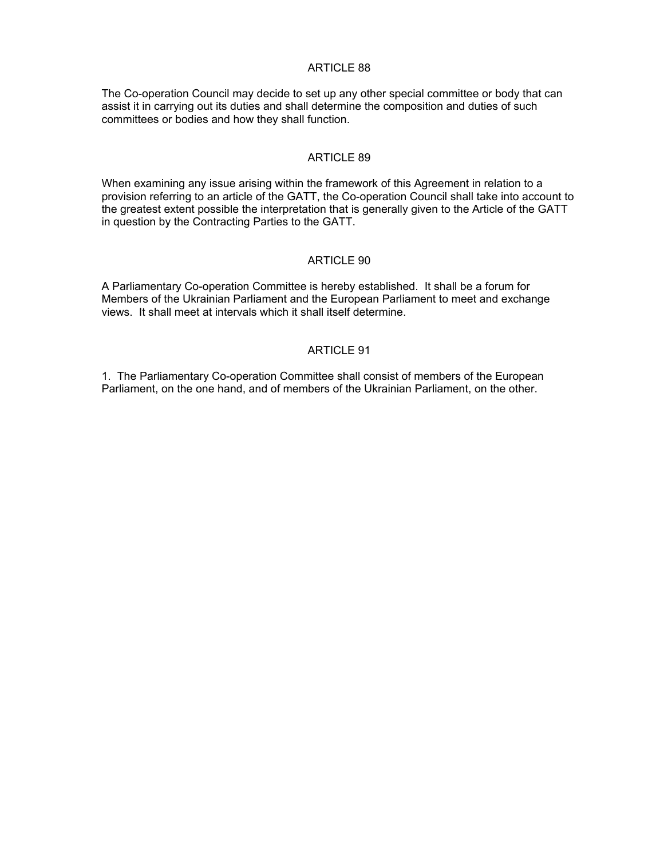The Co-operation Council may decide to set up any other special committee or body that can assist it in carrying out its duties and shall determine the composition and duties of such committees or bodies and how they shall function.

#### ARTICLE 89

When examining any issue arising within the framework of this Agreement in relation to a provision referring to an article of the GATT, the Co-operation Council shall take into account to the greatest extent possible the interpretation that is generally given to the Article of the GATT in question by the Contracting Parties to the GATT.

#### ARTICLE 90

A Parliamentary Co-operation Committee is hereby established. It shall be a forum for Members of the Ukrainian Parliament and the European Parliament to meet and exchange views. It shall meet at intervals which it shall itself determine.

### ARTICLE 91

1. The Parliamentary Co-operation Committee shall consist of members of the European Parliament, on the one hand, and of members of the Ukrainian Parliament, on the other.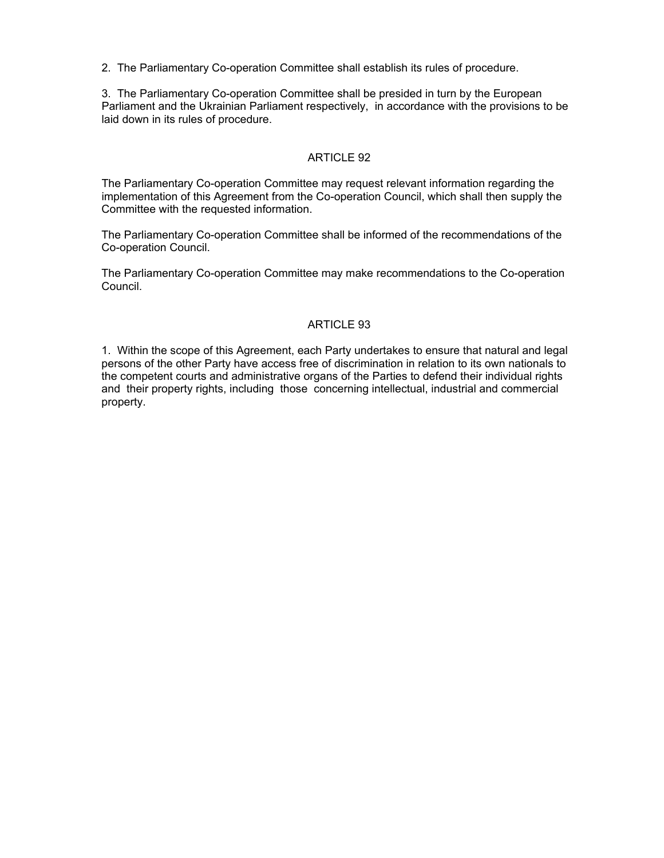2. The Parliamentary Co-operation Committee shall establish its rules of procedure.

3. The Parliamentary Co-operation Committee shall be presided in turn by the European Parliament and the Ukrainian Parliament respectively, in accordance with the provisions to be laid down in its rules of procedure.

# ARTICLE 92

The Parliamentary Co-operation Committee may request relevant information regarding the implementation of this Agreement from the Co-operation Council, which shall then supply the Committee with the requested information.

The Parliamentary Co-operation Committee shall be informed of the recommendations of the Co-operation Council.

The Parliamentary Co-operation Committee may make recommendations to the Co-operation Council.

# ARTICLE 93

1. Within the scope of this Agreement, each Party undertakes to ensure that natural and legal persons of the other Party have access free of discrimination in relation to its own nationals to the competent courts and administrative organs of the Parties to defend their individual rights and their property rights, including those concerning intellectual, industrial and commercial property.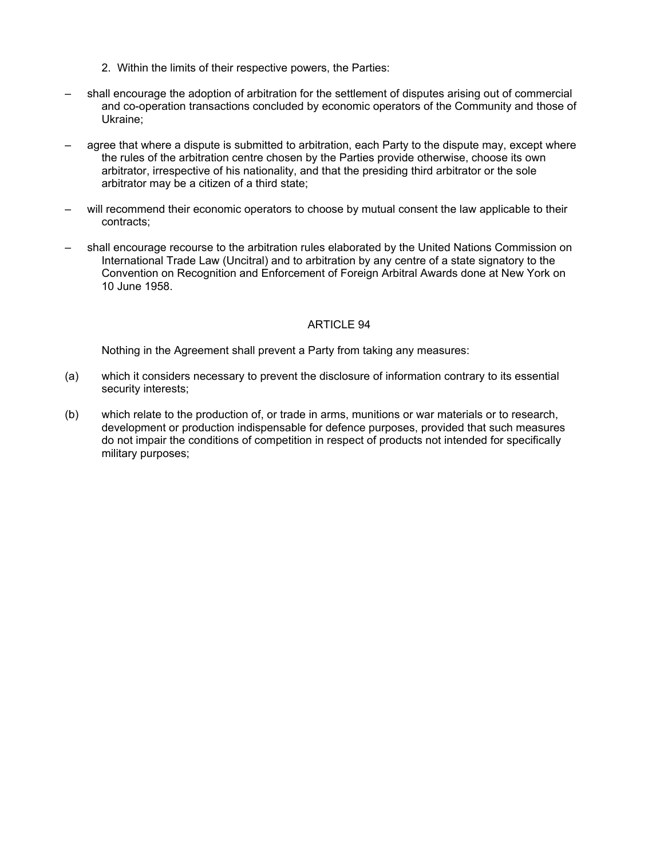- 2. Within the limits of their respective powers, the Parties:
- shall encourage the adoption of arbitration for the settlement of disputes arising out of commercial and co-operation transactions concluded by economic operators of the Community and those of Ukraine;
- agree that where a dispute is submitted to arbitration, each Party to the dispute may, except where the rules of the arbitration centre chosen by the Parties provide otherwise, choose its own arbitrator, irrespective of his nationality, and that the presiding third arbitrator or the sole arbitrator may be a citizen of a third state;
- will recommend their economic operators to choose by mutual consent the law applicable to their contracts;
- shall encourage recourse to the arbitration rules elaborated by the United Nations Commission on International Trade Law (Uncitral) and to arbitration by any centre of a state signatory to the Convention on Recognition and Enforcement of Foreign Arbitral Awards done at New York on 10 June 1958.

Nothing in the Agreement shall prevent a Party from taking any measures:

- (a) which it considers necessary to prevent the disclosure of information contrary to its essential security interests;
- (b) which relate to the production of, or trade in arms, munitions or war materials or to research, development or production indispensable for defence purposes, provided that such measures do not impair the conditions of competition in respect of products not intended for specifically military purposes;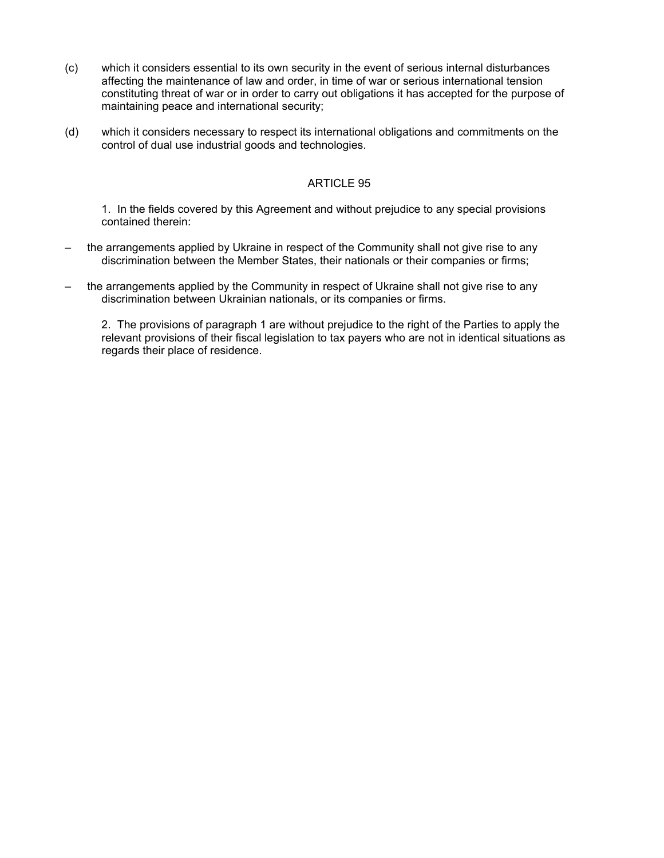- (c) which it considers essential to its own security in the event of serious internal disturbances affecting the maintenance of law and order, in time of war or serious international tension constituting threat of war or in order to carry out obligations it has accepted for the purpose of maintaining peace and international security;
- (d) which it considers necessary to respect its international obligations and commitments on the control of dual use industrial goods and technologies.

1. In the fields covered by this Agreement and without prejudice to any special provisions contained therein:

- the arrangements applied by Ukraine in respect of the Community shall not give rise to any discrimination between the Member States, their nationals or their companies or firms;
- the arrangements applied by the Community in respect of Ukraine shall not give rise to any discrimination between Ukrainian nationals, or its companies or firms.

2. The provisions of paragraph 1 are without prejudice to the right of the Parties to apply the relevant provisions of their fiscal legislation to tax payers who are not in identical situations as regards their place of residence.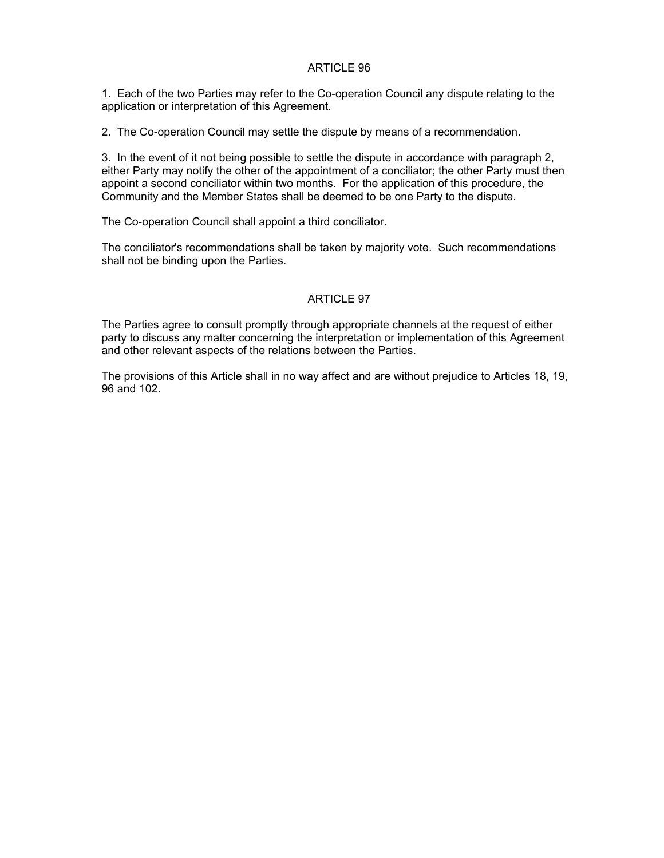1. Each of the two Parties may refer to the Co-operation Council any dispute relating to the application or interpretation of this Agreement.

2. The Co-operation Council may settle the dispute by means of a recommendation.

3. In the event of it not being possible to settle the dispute in accordance with paragraph 2, either Party may notify the other of the appointment of a conciliator; the other Party must then appoint a second conciliator within two months. For the application of this procedure, the Community and the Member States shall be deemed to be one Party to the dispute.

The Co-operation Council shall appoint a third conciliator.

The conciliator's recommendations shall be taken by majority vote. Such recommendations shall not be binding upon the Parties.

## ARTICLE 97

The Parties agree to consult promptly through appropriate channels at the request of either party to discuss any matter concerning the interpretation or implementation of this Agreement and other relevant aspects of the relations between the Parties.

The provisions of this Article shall in no way affect and are without prejudice to Articles 18, 19, 96 and 102.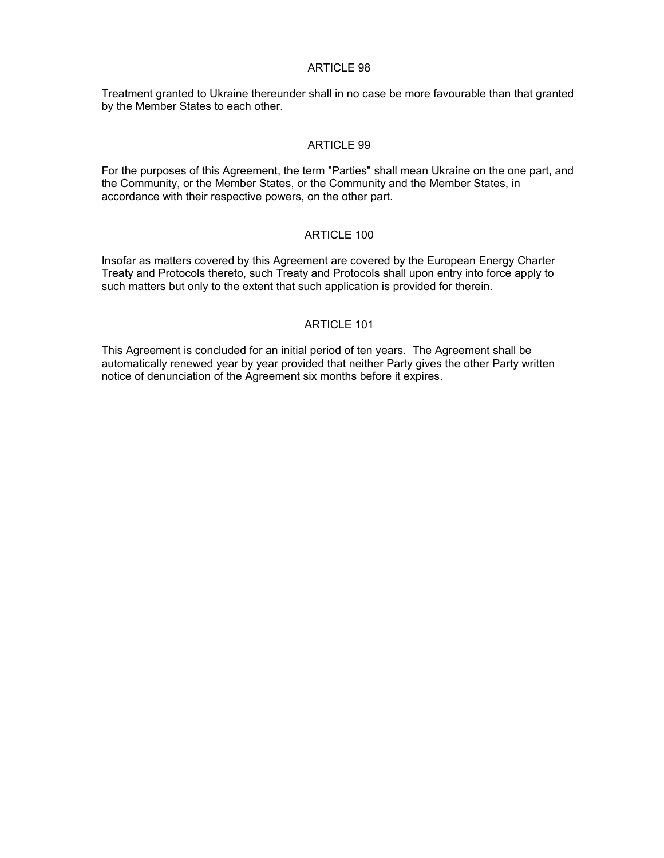Treatment granted to Ukraine thereunder shall in no case be more favourable than that granted by the Member States to each other.

### ARTICLE 99

For the purposes of this Agreement, the term "Parties" shall mean Ukraine on the one part, and the Community, or the Member States, or the Community and the Member States, in accordance with their respective powers, on the other part.

## ARTICLE 100

Insofar as matters covered by this Agreement are covered by the European Energy Charter Treaty and Protocols thereto, such Treaty and Protocols shall upon entry into force apply to such matters but only to the extent that such application is provided for therein.

## ARTICLE 101

This Agreement is concluded for an initial period of ten years. The Agreement shall be automatically renewed year by year provided that neither Party gives the other Party written notice of denunciation of the Agreement six months before it expires.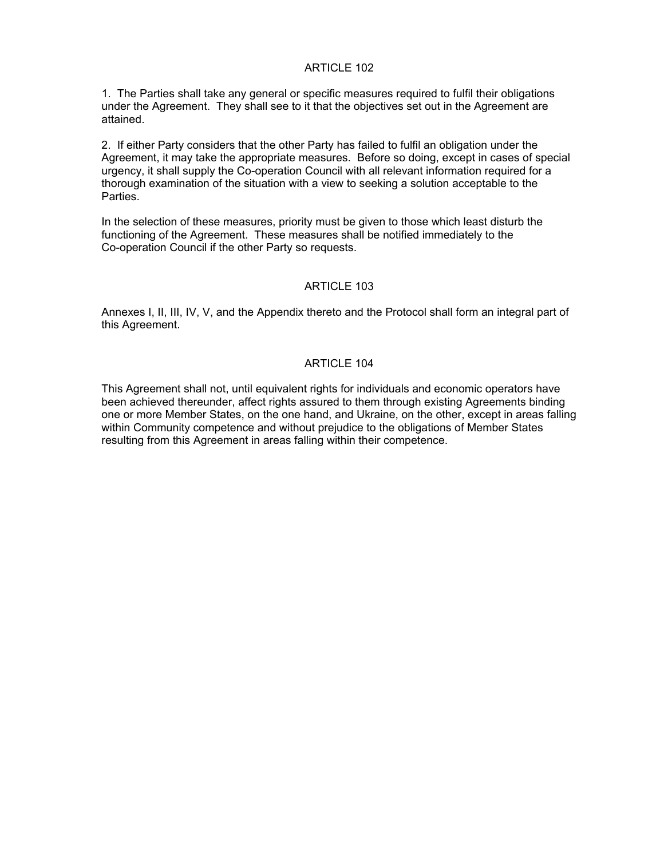1. The Parties shall take any general or specific measures required to fulfil their obligations under the Agreement. They shall see to it that the objectives set out in the Agreement are attained.

2. If either Party considers that the other Party has failed to fulfil an obligation under the Agreement, it may take the appropriate measures. Before so doing, except in cases of special urgency, it shall supply the Co-operation Council with all relevant information required for a thorough examination of the situation with a view to seeking a solution acceptable to the Parties.

In the selection of these measures, priority must be given to those which least disturb the functioning of the Agreement. These measures shall be notified immediately to the Co-operation Council if the other Party so requests.

## ARTICLE 103

Annexes I, II, III, IV, V, and the Appendix thereto and the Protocol shall form an integral part of this Agreement.

## ARTICLE 104

This Agreement shall not, until equivalent rights for individuals and economic operators have been achieved thereunder, affect rights assured to them through existing Agreements binding one or more Member States, on the one hand, and Ukraine, on the other, except in areas falling within Community competence and without prejudice to the obligations of Member States resulting from this Agreement in areas falling within their competence.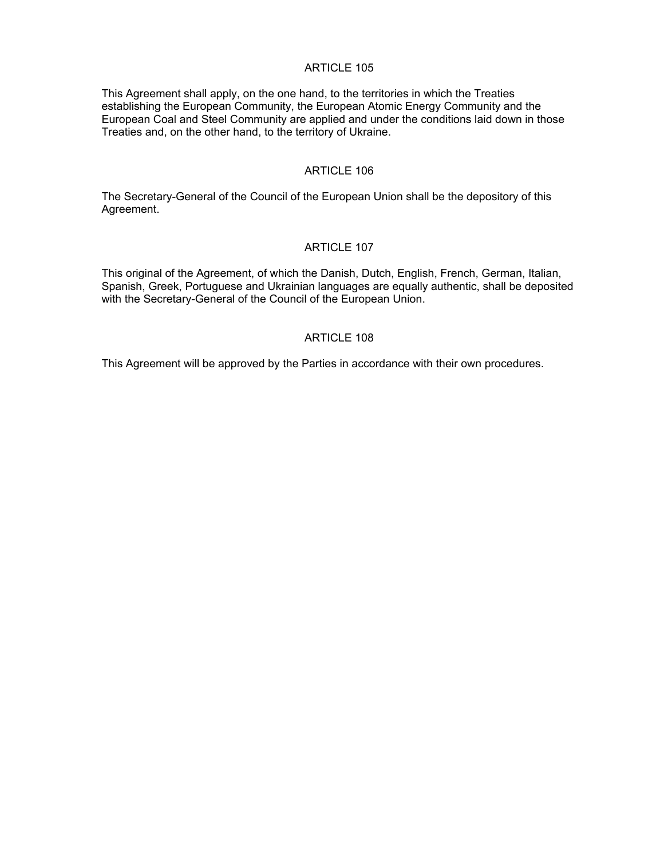This Agreement shall apply, on the one hand, to the territories in which the Treaties establishing the European Community, the European Atomic Energy Community and the European Coal and Steel Community are applied and under the conditions laid down in those Treaties and, on the other hand, to the territory of Ukraine.

### ARTICLE 106

The Secretary-General of the Council of the European Union shall be the depository of this Agreement.

#### ARTICLE 107

This original of the Agreement, of which the Danish, Dutch, English, French, German, Italian, Spanish, Greek, Portuguese and Ukrainian languages are equally authentic, shall be deposited with the Secretary-General of the Council of the European Union.

#### ARTICLE 108

This Agreement will be approved by the Parties in accordance with their own procedures.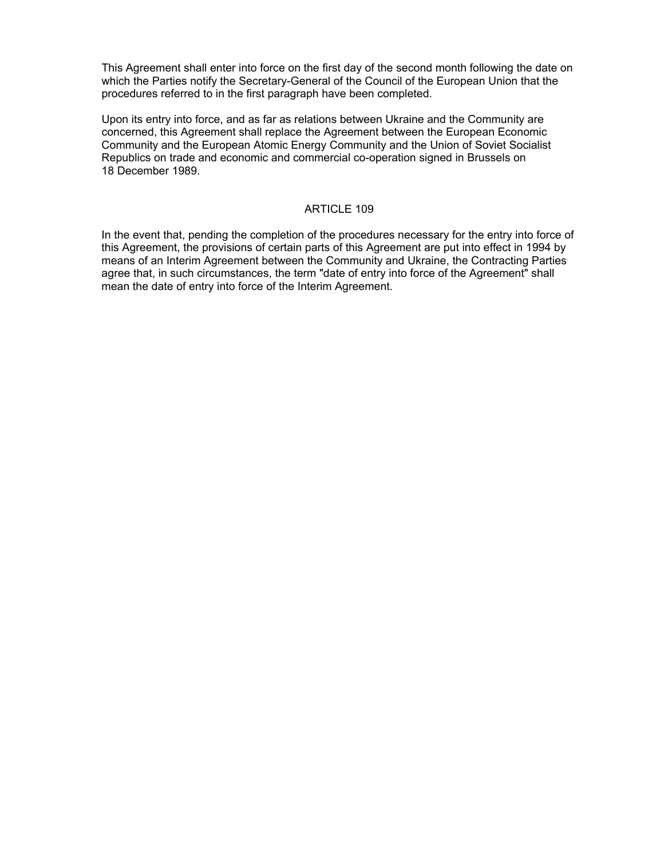This Agreement shall enter into force on the first day of the second month following the date on which the Parties notify the Secretary-General of the Council of the European Union that the procedures referred to in the first paragraph have been completed.

Upon its entry into force, and as far as relations between Ukraine and the Community are concerned, this Agreement shall replace the Agreement between the European Economic Community and the European Atomic Energy Community and the Union of Soviet Socialist Republics on trade and economic and commercial co-operation signed in Brussels on 18 December 1989.

## ARTICLE 109

In the event that, pending the completion of the procedures necessary for the entry into force of this Agreement, the provisions of certain parts of this Agreement are put into effect in 1994 by means of an Interim Agreement between the Community and Ukraine, the Contracting Parties agree that, in such circumstances, the term "date of entry into force of the Agreement" shall mean the date of entry into force of the Interim Agreement.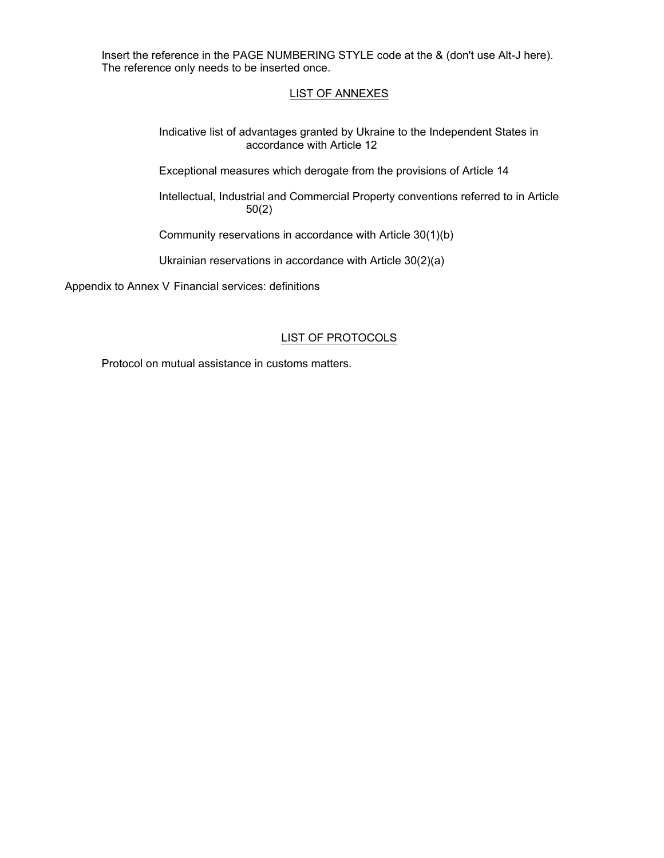Insert the reference in the PAGE NUMBERING STYLE code at the & (don't use Alt-J here). The reference only needs to be inserted once.

## LIST OF ANNEXES

 Indicative list of advantages granted by Ukraine to the Independent States in accordance with Article 12

Exceptional measures which derogate from the provisions of Article 14

 Intellectual, Industrial and Commercial Property conventions referred to in Article 50(2)

Community reservations in accordance with Article 30(1)(b)

Ukrainian reservations in accordance with Article 30(2)(a)

Appendix to Annex V Financial services: definitions

## LIST OF PROTOCOLS

Protocol on mutual assistance in customs matters.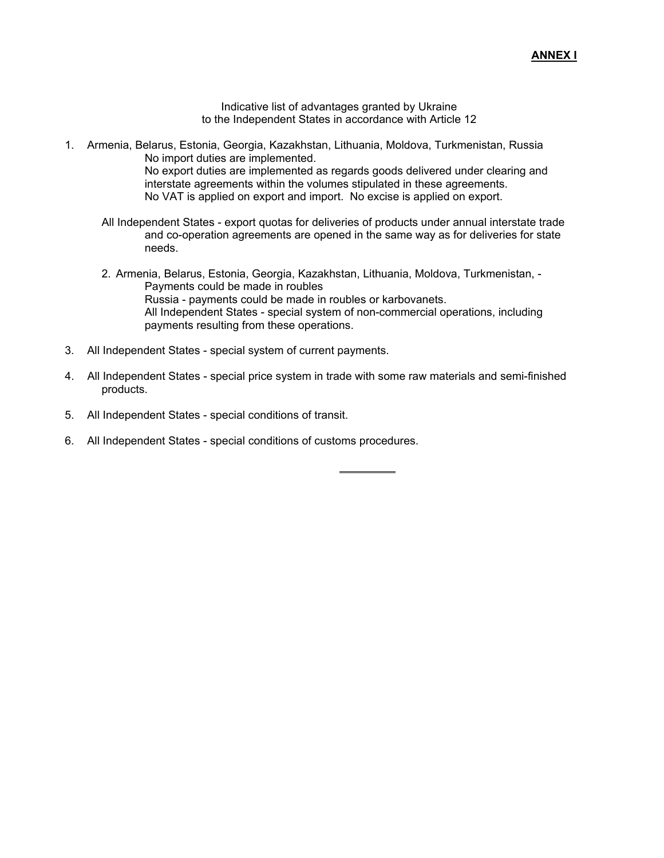Indicative list of advantages granted by Ukraine to the Independent States in accordance with Article 12

- 1. Armenia, Belarus, Estonia, Georgia, Kazakhstan, Lithuania, Moldova, Turkmenistan, Russia No import duties are implemented. No export duties are implemented as regards goods delivered under clearing and interstate agreements within the volumes stipulated in these agreements. No VAT is applied on export and import. No excise is applied on export.
	- All Independent States export quotas for deliveries of products under annual interstate trade and co-operation agreements are opened in the same way as for deliveries for state needs.
	- 2. Armenia, Belarus, Estonia, Georgia, Kazakhstan, Lithuania, Moldova, Turkmenistan, Payments could be made in roubles Russia - payments could be made in roubles or karbovanets. All Independent States - special system of non-commercial operations, including payments resulting from these operations.
- 3. All Independent States special system of current payments.
- 4. All Independent States special price system in trade with some raw materials and semi-finished products.

 $\overline{a}$ 

- 5. All Independent States special conditions of transit.
- 6. All Independent States special conditions of customs procedures.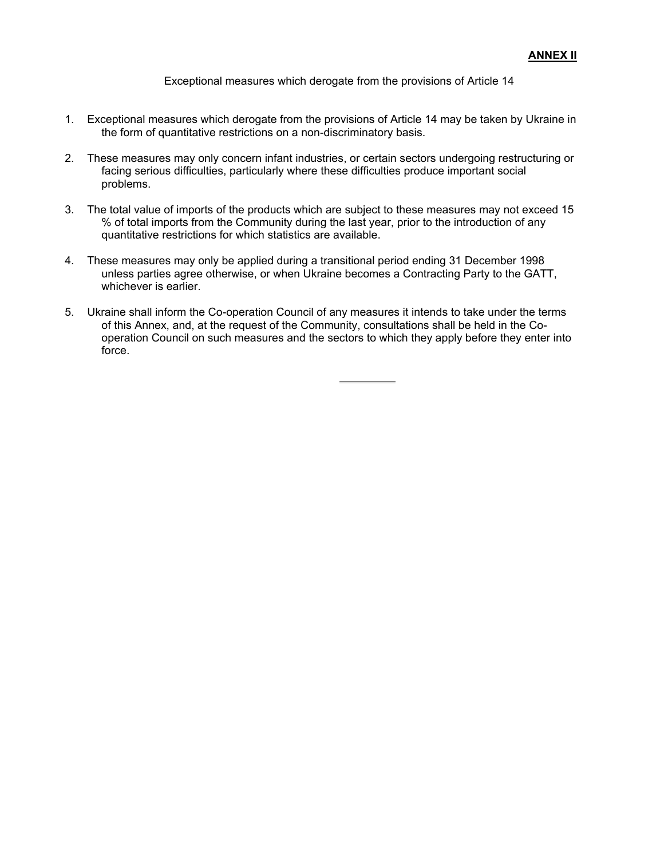Exceptional measures which derogate from the provisions of Article 14

- 1. Exceptional measures which derogate from the provisions of Article 14 may be taken by Ukraine in the form of quantitative restrictions on a non-discriminatory basis.
- 2. These measures may only concern infant industries, or certain sectors undergoing restructuring or facing serious difficulties, particularly where these difficulties produce important social problems.
- 3. The total value of imports of the products which are subject to these measures may not exceed 15 % of total imports from the Community during the last year, prior to the introduction of any quantitative restrictions for which statistics are available.
- 4. These measures may only be applied during a transitional period ending 31 December 1998 unless parties agree otherwise, or when Ukraine becomes a Contracting Party to the GATT, whichever is earlier.
- 5. Ukraine shall inform the Co-operation Council of any measures it intends to take under the terms of this Annex, and, at the request of the Community, consultations shall be held in the Cooperation Council on such measures and the sectors to which they apply before they enter into force.

 $\overline{a}$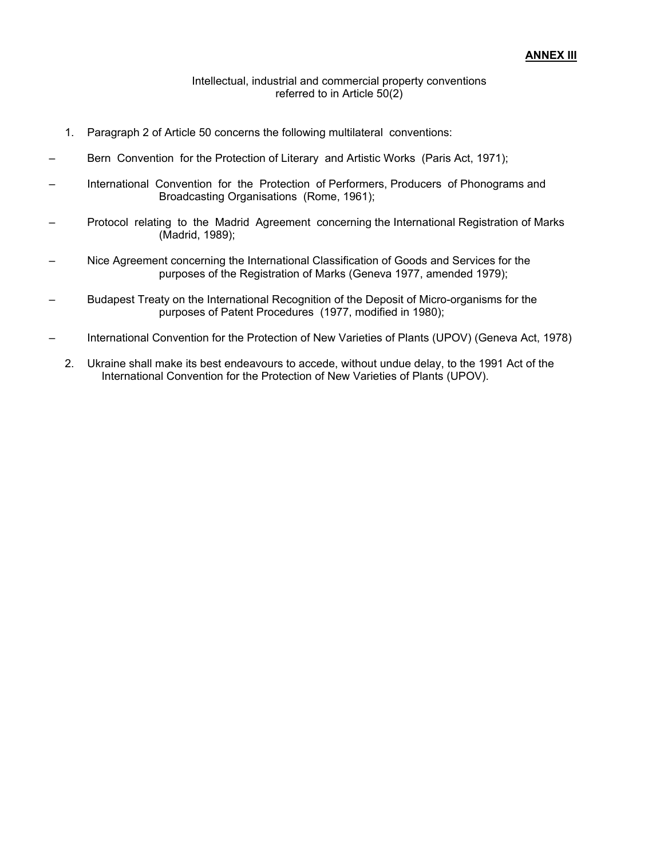#### Intellectual, industrial and commercial property conventions referred to in Article 50(2)

- 1. Paragraph 2 of Article 50 concerns the following multilateral conventions:
- Bern Convention for the Protection of Literary and Artistic Works (Paris Act, 1971);
- International Convention for the Protection of Performers, Producers of Phonograms and Broadcasting Organisations (Rome, 1961);
- Protocol relating to the Madrid Agreement concerning the International Registration of Marks (Madrid, 1989);
- Nice Agreement concerning the International Classification of Goods and Services for the purposes of the Registration of Marks (Geneva 1977, amended 1979);
- Budapest Treaty on the International Recognition of the Deposit of Micro-organisms for the purposes of Patent Procedures (1977, modified in 1980);
- International Convention for the Protection of New Varieties of Plants (UPOV) (Geneva Act, 1978)
	- 2. Ukraine shall make its best endeavours to accede, without undue delay, to the 1991 Act of the International Convention for the Protection of New Varieties of Plants (UPOV).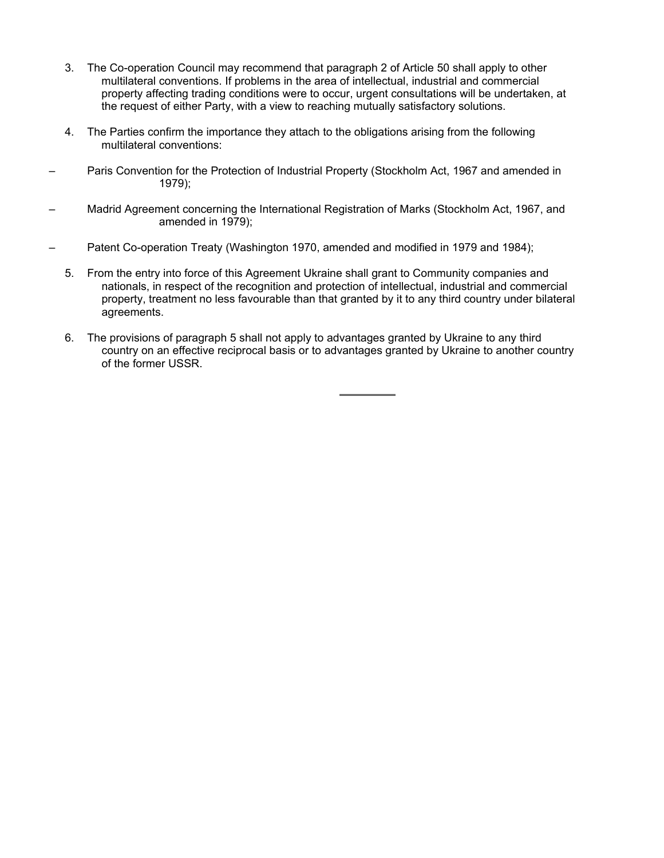- 3. The Co-operation Council may recommend that paragraph 2 of Article 50 shall apply to other multilateral conventions. If problems in the area of intellectual, industrial and commercial property affecting trading conditions were to occur, urgent consultations will be undertaken, at the request of either Party, with a view to reaching mutually satisfactory solutions.
- 4. The Parties confirm the importance they attach to the obligations arising from the following multilateral conventions:
- Paris Convention for the Protection of Industrial Property (Stockholm Act, 1967 and amended in 1979);
- Madrid Agreement concerning the International Registration of Marks (Stockholm Act, 1967, and amended in 1979);
- Patent Co-operation Treaty (Washington 1970, amended and modified in 1979 and 1984);
	- 5. From the entry into force of this Agreement Ukraine shall grant to Community companies and nationals, in respect of the recognition and protection of intellectual, industrial and commercial property, treatment no less favourable than that granted by it to any third country under bilateral agreements.
	- 6. The provisions of paragraph 5 shall not apply to advantages granted by Ukraine to any third country on an effective reciprocal basis or to advantages granted by Ukraine to another country of the former USSR.

 $\overline{a}$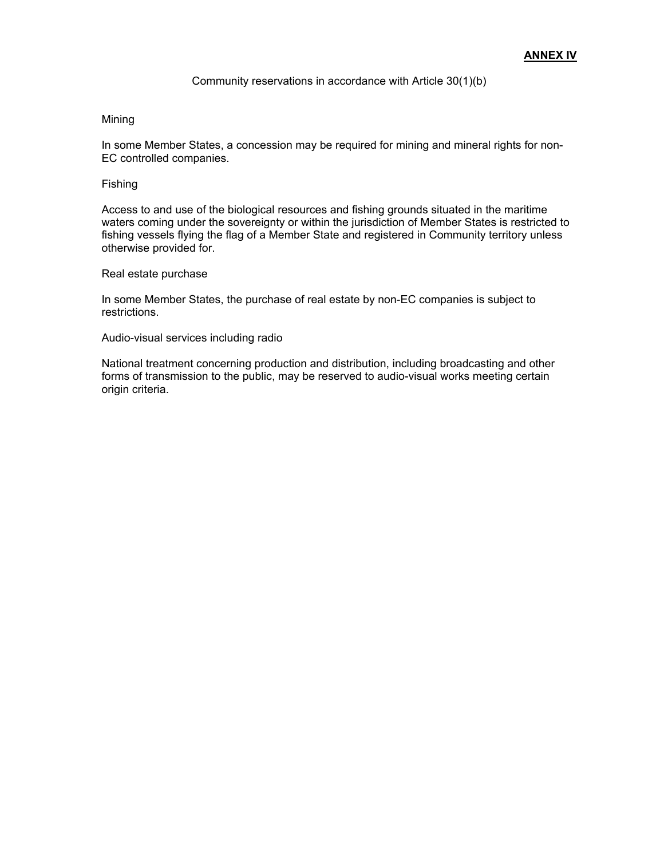#### Community reservations in accordance with Article 30(1)(b)

#### Mining

In some Member States, a concession may be required for mining and mineral rights for non-EC controlled companies.

#### Fishing

Access to and use of the biological resources and fishing grounds situated in the maritime waters coming under the sovereignty or within the jurisdiction of Member States is restricted to fishing vessels flying the flag of a Member State and registered in Community territory unless otherwise provided for.

#### Real estate purchase

In some Member States, the purchase of real estate by non-EC companies is subject to restrictions.

#### Audio-visual services including radio

National treatment concerning production and distribution, including broadcasting and other forms of transmission to the public, may be reserved to audio-visual works meeting certain origin criteria.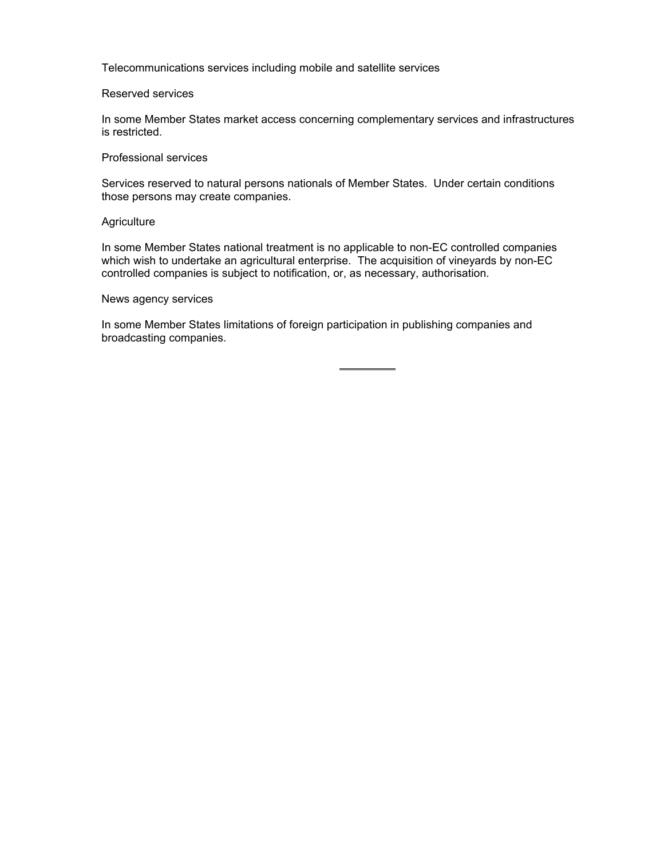Telecommunications services including mobile and satellite services

#### Reserved services

In some Member States market access concerning complementary services and infrastructures is restricted.

## Professional services

Services reserved to natural persons nationals of Member States. Under certain conditions those persons may create companies.

#### **Agriculture**

In some Member States national treatment is no applicable to non-EC controlled companies which wish to undertake an agricultural enterprise. The acquisition of vineyards by non-EC controlled companies is subject to notification, or, as necessary, authorisation.

#### News agency services

In some Member States limitations of foreign participation in publishing companies and broadcasting companies.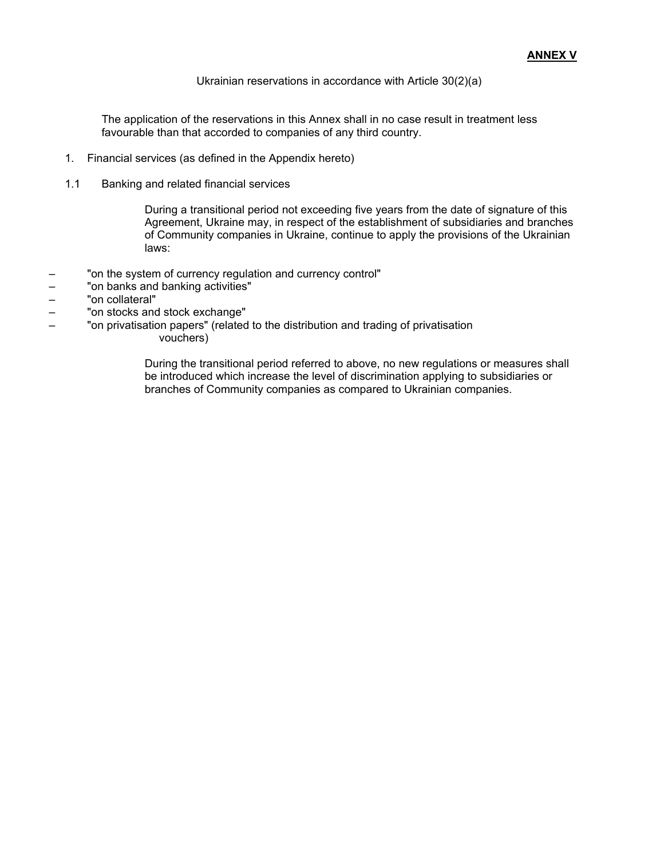Ukrainian reservations in accordance with Article 30(2)(a)

The application of the reservations in this Annex shall in no case result in treatment less favourable than that accorded to companies of any third country.

- 1. Financial services (as defined in the Appendix hereto)
- 1.1 Banking and related financial services

During a transitional period not exceeding five years from the date of signature of this Agreement, Ukraine may, in respect of the establishment of subsidiaries and branches of Community companies in Ukraine, continue to apply the provisions of the Ukrainian laws:

- "on the system of currency regulation and currency control"
- "on banks and banking activities"
- "on collateral"
- "on stocks and stock exchange"
- "on privatisation papers" (related to the distribution and trading of privatisation vouchers)

During the transitional period referred to above, no new regulations or measures shall be introduced which increase the level of discrimination applying to subsidiaries or branches of Community companies as compared to Ukrainian companies.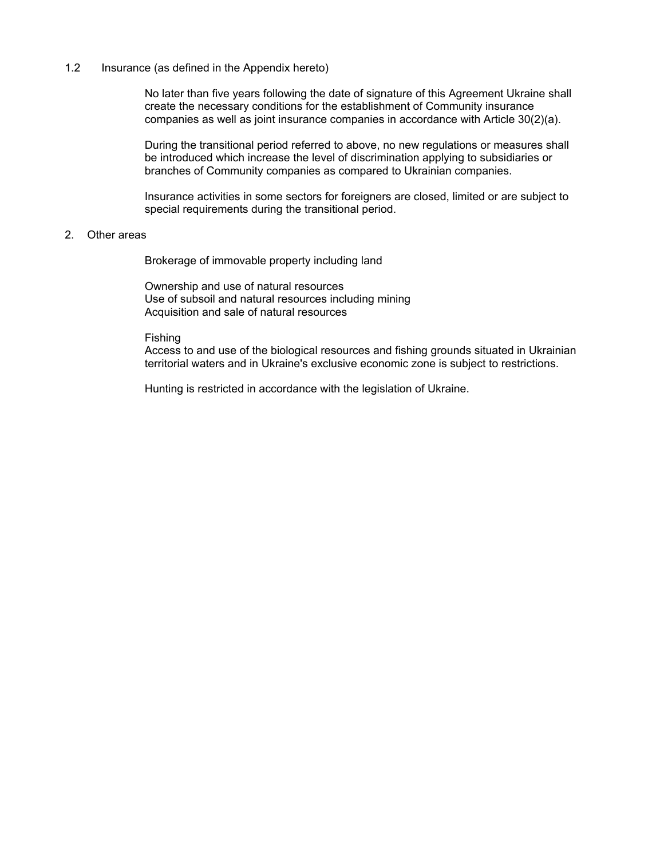### 1.2 Insurance (as defined in the Appendix hereto)

No later than five years following the date of signature of this Agreement Ukraine shall create the necessary conditions for the establishment of Community insurance companies as well as joint insurance companies in accordance with Article 30(2)(a).

During the transitional period referred to above, no new regulations or measures shall be introduced which increase the level of discrimination applying to subsidiaries or branches of Community companies as compared to Ukrainian companies.

Insurance activities in some sectors for foreigners are closed, limited or are subject to special requirements during the transitional period.

#### 2. Other areas

Brokerage of immovable property including land

Ownership and use of natural resources Use of subsoil and natural resources including mining Acquisition and sale of natural resources

#### Fishing

Access to and use of the biological resources and fishing grounds situated in Ukrainian territorial waters and in Ukraine's exclusive economic zone is subject to restrictions.

Hunting is restricted in accordance with the legislation of Ukraine.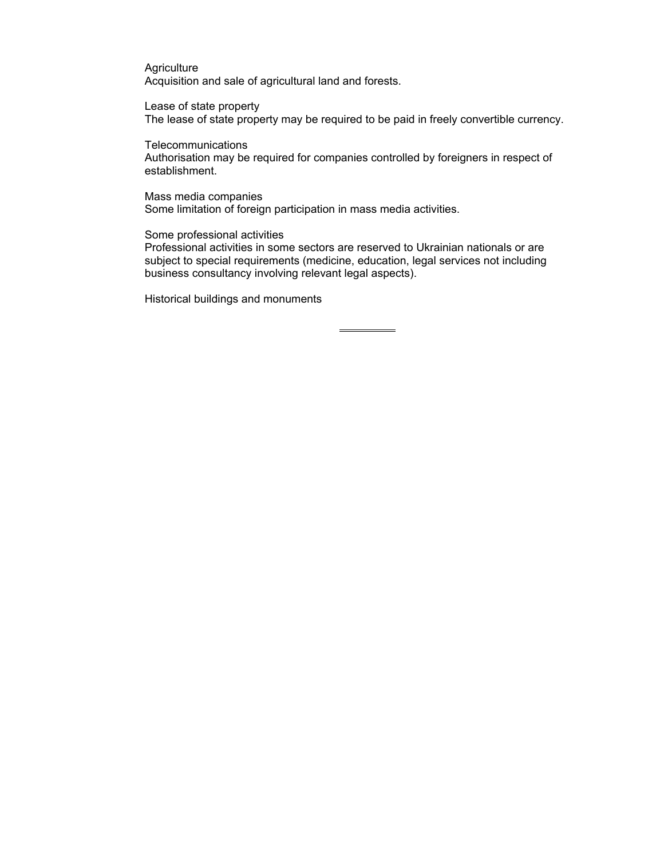**Agriculture** Acquisition and sale of agricultural land and forests.

Lease of state property The lease of state property may be required to be paid in freely convertible currency.

**Telecommunications** 

Authorisation may be required for companies controlled by foreigners in respect of establishment.

Mass media companies Some limitation of foreign participation in mass media activities.

Some professional activities

Professional activities in some sectors are reserved to Ukrainian nationals or are subject to special requirements (medicine, education, legal services not including business consultancy involving relevant legal aspects).

 $\overline{a}$ 

Historical buildings and monuments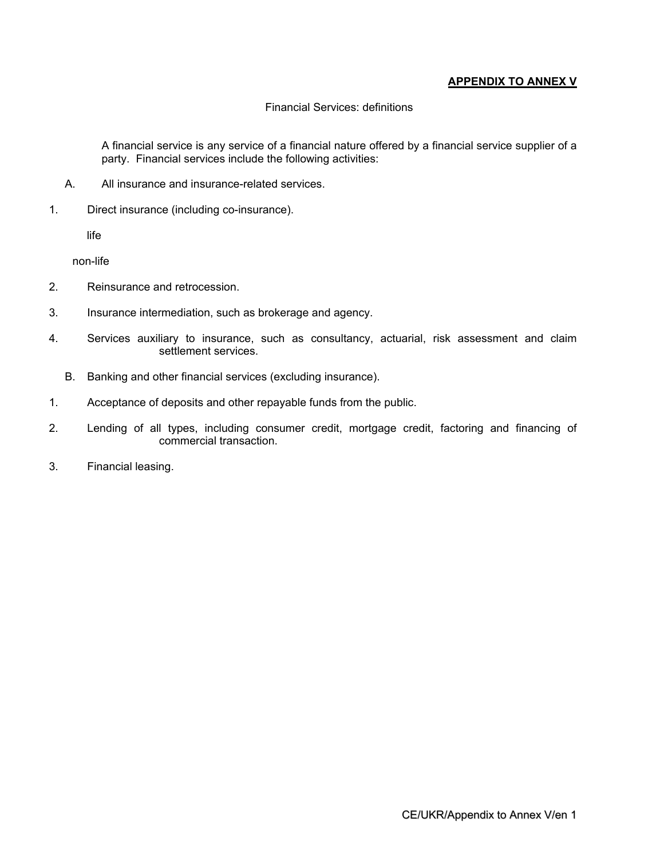## **APPENDIX TO ANNEX V**

## Financial Services: definitions

A financial service is any service of a financial nature offered by a financial service supplier of a party. Financial services include the following activities:

- A. All insurance and insurance-related services.
- 1. Direct insurance (including co-insurance).

life

non-life

- 2. Reinsurance and retrocession.
- 3. Insurance intermediation, such as brokerage and agency.
- 4. Services auxiliary to insurance, such as consultancy, actuarial, risk assessment and claim settlement services.
	- B. Banking and other financial services (excluding insurance).
- 1. Acceptance of deposits and other repayable funds from the public.
- 2. Lending of all types, including consumer credit, mortgage credit, factoring and financing of commercial transaction.
- 3. Financial leasing.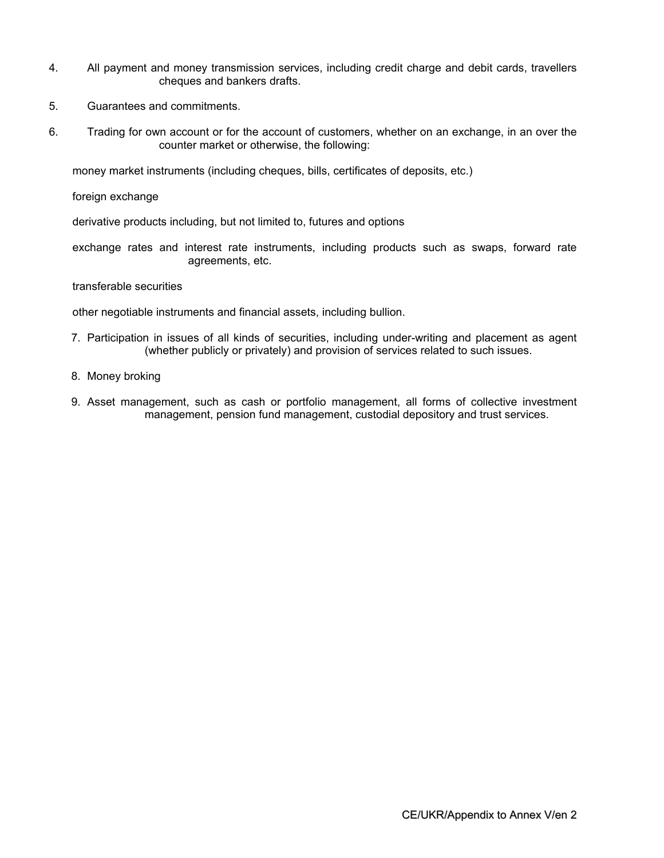- 4. All payment and money transmission services, including credit charge and debit cards, travellers cheques and bankers drafts.
- 5. Guarantees and commitments.
- 6. Trading for own account or for the account of customers, whether on an exchange, in an over the counter market or otherwise, the following:

money market instruments (including cheques, bills, certificates of deposits, etc.)

foreign exchange

derivative products including, but not limited to, futures and options

exchange rates and interest rate instruments, including products such as swaps, forward rate agreements, etc.

#### transferable securities

other negotiable instruments and financial assets, including bullion.

- 7. Participation in issues of all kinds of securities, including under-writing and placement as agent (whether publicly or privately) and provision of services related to such issues.
- 8. Money broking
- 9. Asset management, such as cash or portfolio management, all forms of collective investment management, pension fund management, custodial depository and trust services.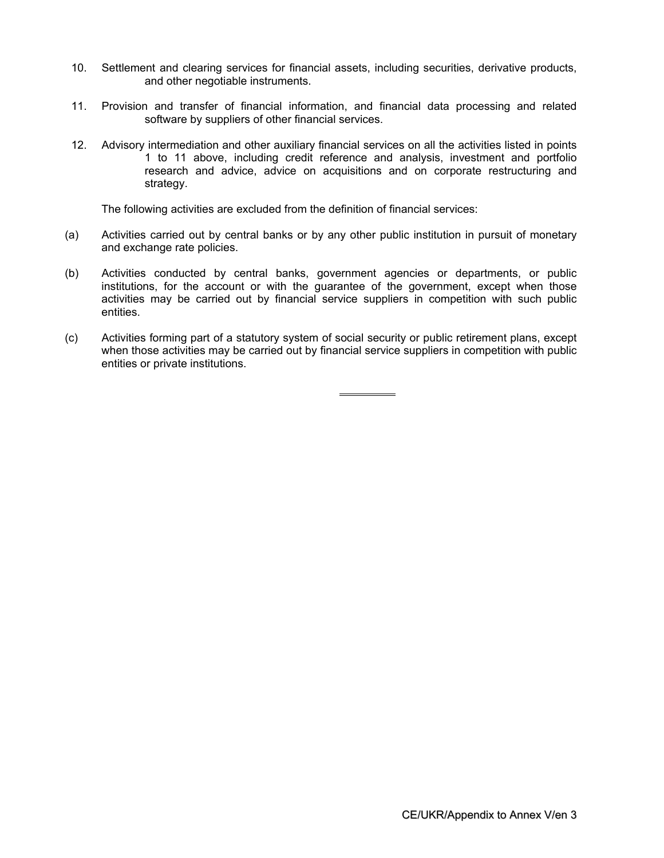- 10. Settlement and clearing services for financial assets, including securities, derivative products, and other negotiable instruments.
- 11. Provision and transfer of financial information, and financial data processing and related software by suppliers of other financial services.
- 12. Advisory intermediation and other auxiliary financial services on all the activities listed in points 1 to 11 above, including credit reference and analysis, investment and portfolio research and advice, advice on acquisitions and on corporate restructuring and strategy.

The following activities are excluded from the definition of financial services:

- (a) Activities carried out by central banks or by any other public institution in pursuit of monetary and exchange rate policies.
- (b) Activities conducted by central banks, government agencies or departments, or public institutions, for the account or with the guarantee of the government, except when those activities may be carried out by financial service suppliers in competition with such public entities.
- (c) Activities forming part of a statutory system of social security or public retirement plans, except when those activities may be carried out by financial service suppliers in competition with public entities or private institutions.

 $\overline{a}$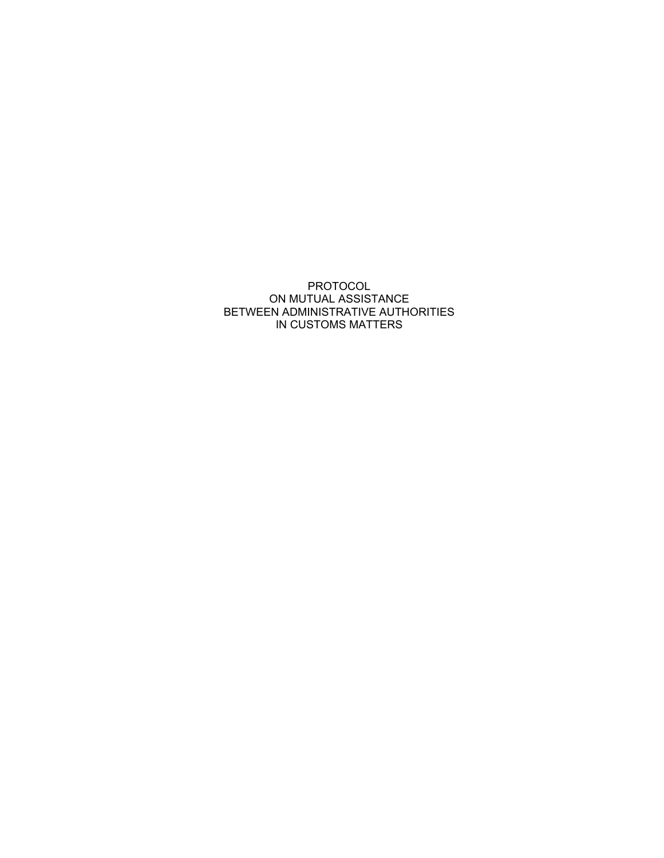## PROTOCOL ON MUTUAL ASSISTANCE BETWEEN ADMINISTRATIVE AUTHORITIES IN CUSTOMS MATTERS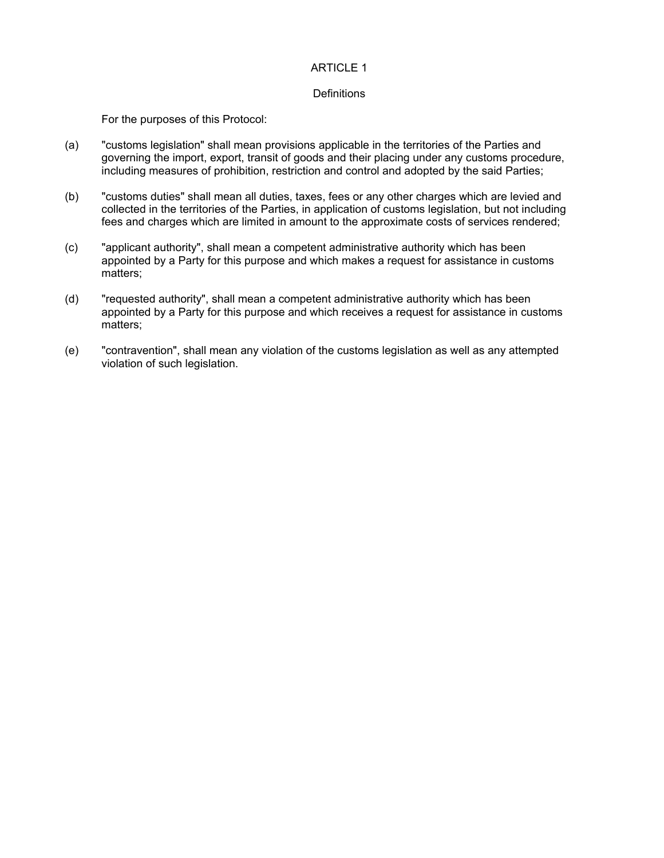#### **Definitions**

For the purposes of this Protocol:

- (a) "customs legislation" shall mean provisions applicable in the territories of the Parties and governing the import, export, transit of goods and their placing under any customs procedure, including measures of prohibition, restriction and control and adopted by the said Parties;
- (b) "customs duties" shall mean all duties, taxes, fees or any other charges which are levied and collected in the territories of the Parties, in application of customs legislation, but not including fees and charges which are limited in amount to the approximate costs of services rendered;
- (c) "applicant authority", shall mean a competent administrative authority which has been appointed by a Party for this purpose and which makes a request for assistance in customs matters;
- (d) "requested authority", shall mean a competent administrative authority which has been appointed by a Party for this purpose and which receives a request for assistance in customs matters;
- (e) "contravention", shall mean any violation of the customs legislation as well as any attempted violation of such legislation.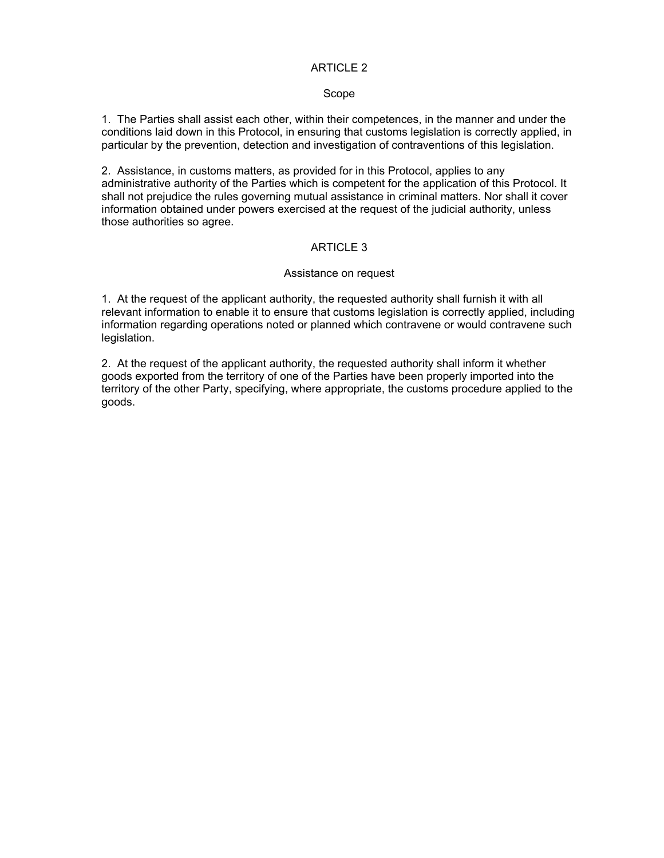#### Scope

1. The Parties shall assist each other, within their competences, in the manner and under the conditions laid down in this Protocol, in ensuring that customs legislation is correctly applied, in particular by the prevention, detection and investigation of contraventions of this legislation.

2. Assistance, in customs matters, as provided for in this Protocol, applies to any administrative authority of the Parties which is competent for the application of this Protocol. It shall not prejudice the rules governing mutual assistance in criminal matters. Nor shall it cover information obtained under powers exercised at the request of the judicial authority, unless those authorities so agree.

## ARTICLE 3

#### Assistance on request

1. At the request of the applicant authority, the requested authority shall furnish it with all relevant information to enable it to ensure that customs legislation is correctly applied, including information regarding operations noted or planned which contravene or would contravene such legislation.

2. At the request of the applicant authority, the requested authority shall inform it whether goods exported from the territory of one of the Parties have been properly imported into the territory of the other Party, specifying, where appropriate, the customs procedure applied to the goods.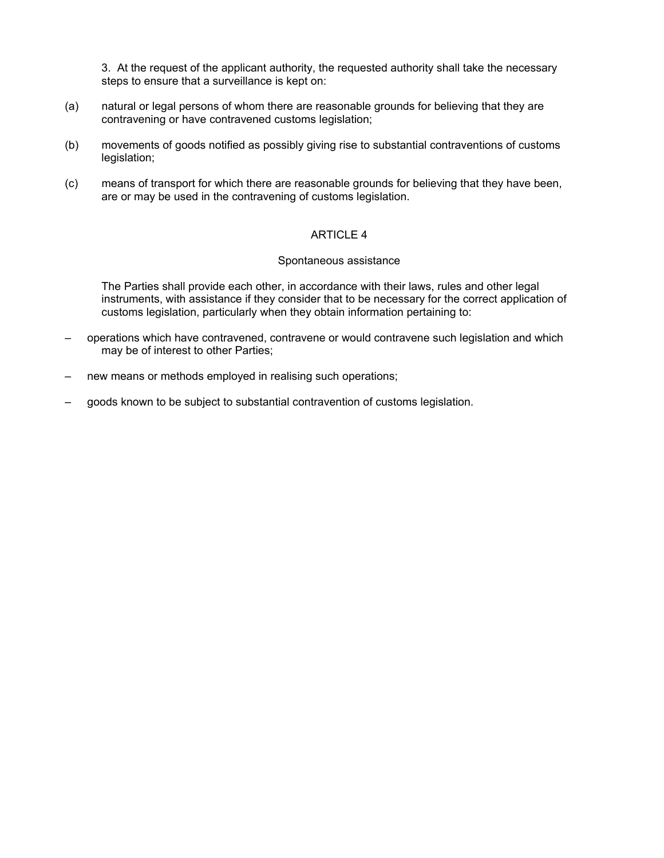3. At the request of the applicant authority, the requested authority shall take the necessary steps to ensure that a surveillance is kept on:

- (a) natural or legal persons of whom there are reasonable grounds for believing that they are contravening or have contravened customs legislation;
- (b) movements of goods notified as possibly giving rise to substantial contraventions of customs legislation;
- (c) means of transport for which there are reasonable grounds for believing that they have been, are or may be used in the contravening of customs legislation.

## ARTICLE 4

#### Spontaneous assistance

The Parties shall provide each other, in accordance with their laws, rules and other legal instruments, with assistance if they consider that to be necessary for the correct application of customs legislation, particularly when they obtain information pertaining to:

- operations which have contravened, contravene or would contravene such legislation and which may be of interest to other Parties;
- new means or methods employed in realising such operations;
- goods known to be subject to substantial contravention of customs legislation.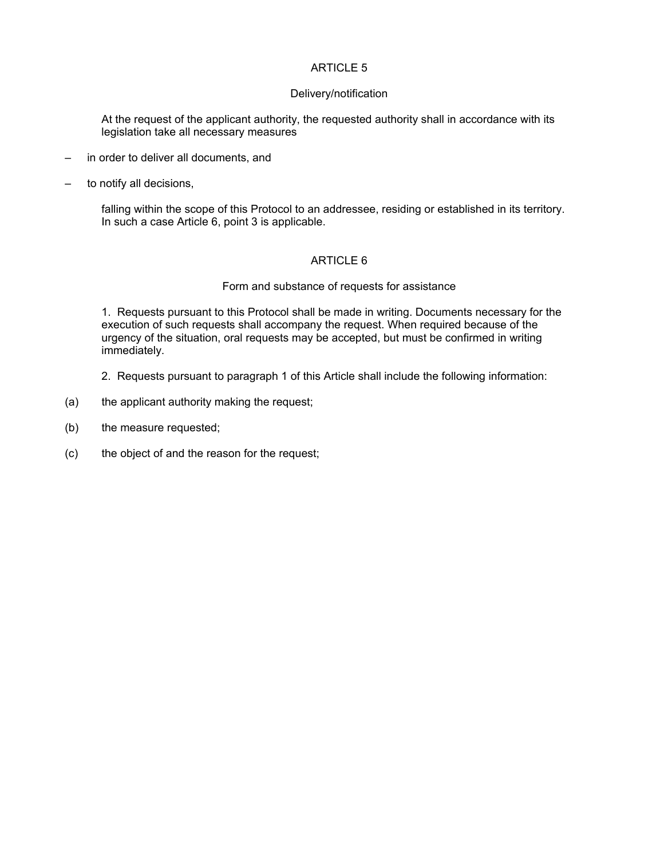#### Delivery/notification

At the request of the applicant authority, the requested authority shall in accordance with its legislation take all necessary measures

- in order to deliver all documents, and
- to notify all decisions,

falling within the scope of this Protocol to an addressee, residing or established in its territory. In such a case Article 6, point 3 is applicable.

#### ARTICLE 6

#### Form and substance of requests for assistance

1. Requests pursuant to this Protocol shall be made in writing. Documents necessary for the execution of such requests shall accompany the request. When required because of the urgency of the situation, oral requests may be accepted, but must be confirmed in writing immediately.

- 2. Requests pursuant to paragraph 1 of this Article shall include the following information:
- (a) the applicant authority making the request;
- (b) the measure requested;
- (c) the object of and the reason for the request;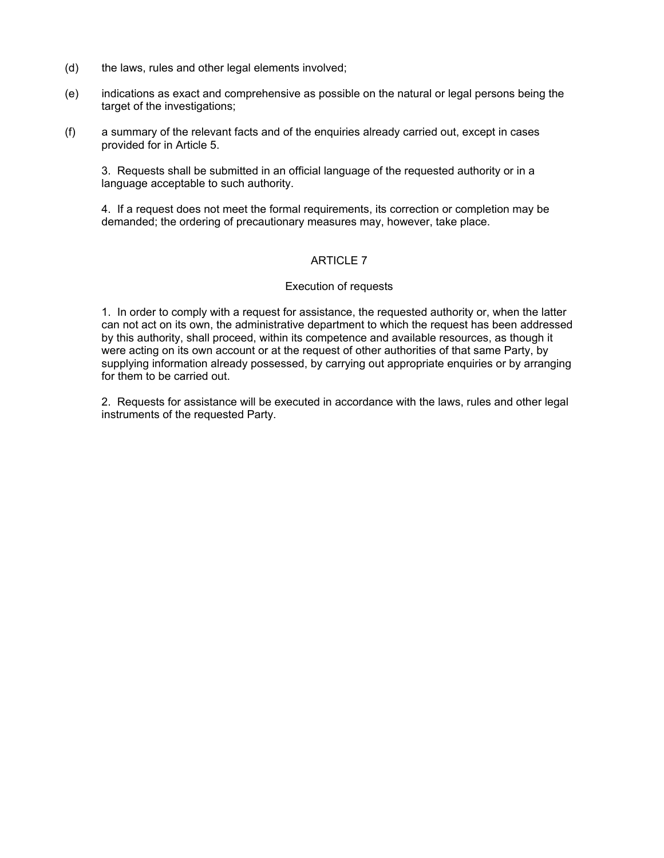- (d) the laws, rules and other legal elements involved;
- (e) indications as exact and comprehensive as possible on the natural or legal persons being the target of the investigations;
- (f) a summary of the relevant facts and of the enquiries already carried out, except in cases provided for in Article 5.

3. Requests shall be submitted in an official language of the requested authority or in a language acceptable to such authority.

4. If a request does not meet the formal requirements, its correction or completion may be demanded; the ordering of precautionary measures may, however, take place.

## ARTICLE 7

## Execution of requests

1. In order to comply with a request for assistance, the requested authority or, when the latter can not act on its own, the administrative department to which the request has been addressed by this authority, shall proceed, within its competence and available resources, as though it were acting on its own account or at the request of other authorities of that same Party, by supplying information already possessed, by carrying out appropriate enquiries or by arranging for them to be carried out.

2. Requests for assistance will be executed in accordance with the laws, rules and other legal instruments of the requested Party.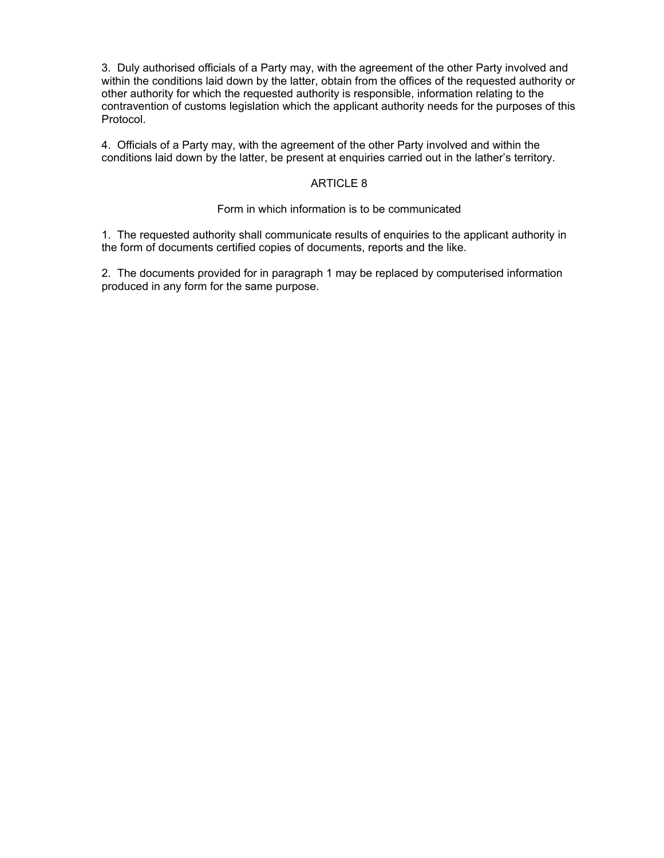3. Duly authorised officials of a Party may, with the agreement of the other Party involved and within the conditions laid down by the latter, obtain from the offices of the requested authority or other authority for which the requested authority is responsible, information relating to the contravention of customs legislation which the applicant authority needs for the purposes of this Protocol.

4. Officials of a Party may, with the agreement of the other Party involved and within the conditions laid down by the latter, be present at enquiries carried out in the lather's territory.

## ARTICLE 8

## Form in which information is to be communicated

1. The requested authority shall communicate results of enquiries to the applicant authority in the form of documents certified copies of documents, reports and the like.

2. The documents provided for in paragraph 1 may be replaced by computerised information produced in any form for the same purpose.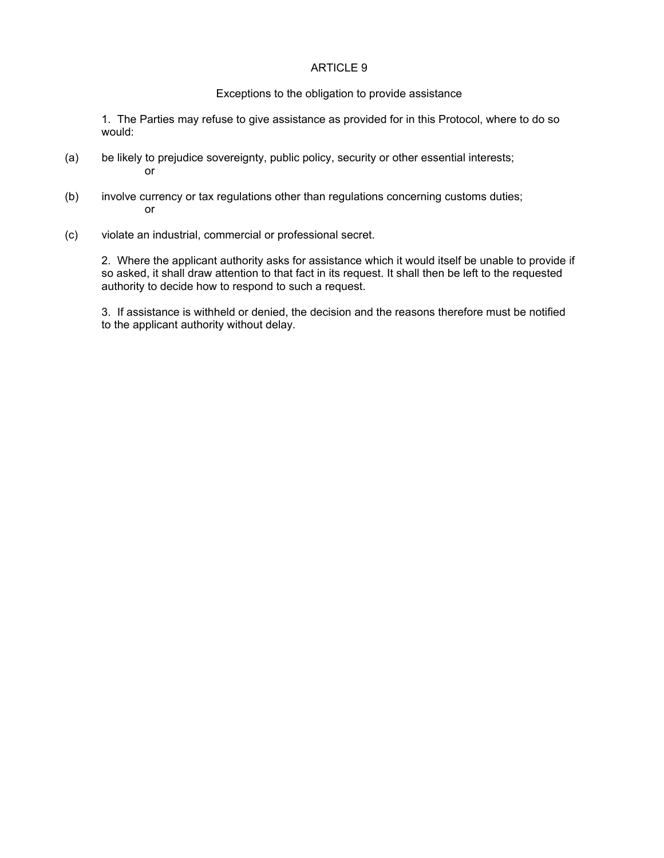#### Exceptions to the obligation to provide assistance

1. The Parties may refuse to give assistance as provided for in this Protocol, where to do so would:

- (a) be likely to prejudice sovereignty, public policy, security or other essential interests; or
- (b) involve currency or tax regulations other than regulations concerning customs duties; or
- (c) violate an industrial, commercial or professional secret.

2. Where the applicant authority asks for assistance which it would itself be unable to provide if so asked, it shall draw attention to that fact in its request. It shall then be left to the requested authority to decide how to respond to such a request.

3. If assistance is withheld or denied, the decision and the reasons therefore must be notified to the applicant authority without delay.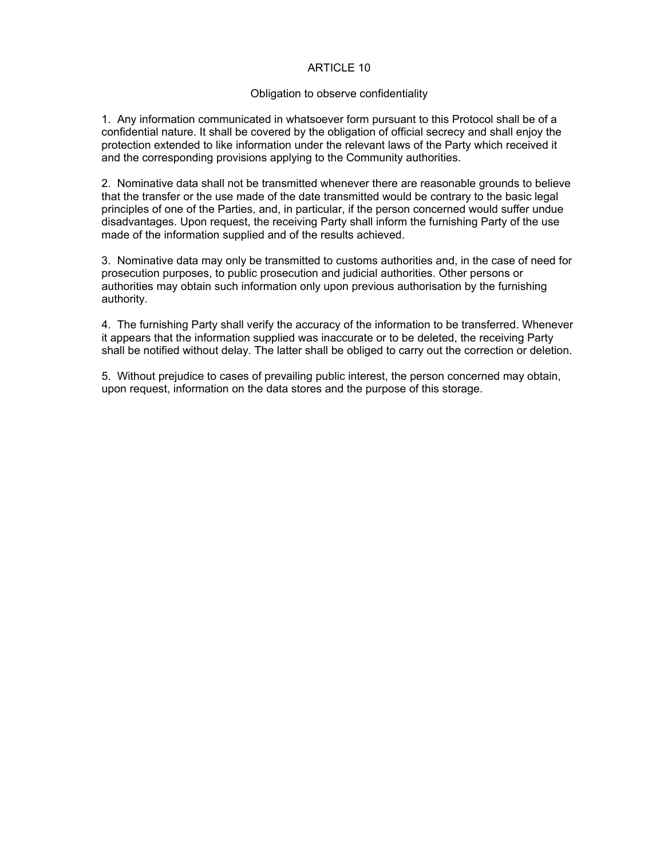#### Obligation to observe confidentiality

1. Any information communicated in whatsoever form pursuant to this Protocol shall be of a confidential nature. It shall be covered by the obligation of official secrecy and shall enjoy the protection extended to like information under the relevant laws of the Party which received it and the corresponding provisions applying to the Community authorities.

2. Nominative data shall not be transmitted whenever there are reasonable grounds to believe that the transfer or the use made of the date transmitted would be contrary to the basic legal principles of one of the Parties, and, in particular, if the person concerned would suffer undue disadvantages. Upon request, the receiving Party shall inform the furnishing Party of the use made of the information supplied and of the results achieved.

3. Nominative data may only be transmitted to customs authorities and, in the case of need for prosecution purposes, to public prosecution and judicial authorities. Other persons or authorities may obtain such information only upon previous authorisation by the furnishing authority.

4. The furnishing Party shall verify the accuracy of the information to be transferred. Whenever it appears that the information supplied was inaccurate or to be deleted, the receiving Party shall be notified without delay. The latter shall be obliged to carry out the correction or deletion.

5. Without prejudice to cases of prevailing public interest, the person concerned may obtain, upon request, information on the data stores and the purpose of this storage.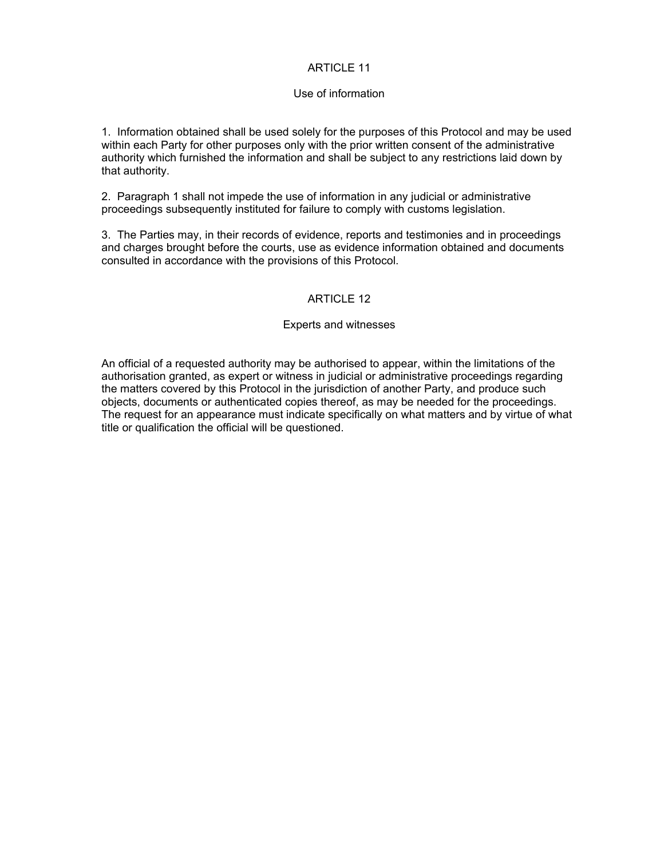## Use of information

1. Information obtained shall be used solely for the purposes of this Protocol and may be used within each Party for other purposes only with the prior written consent of the administrative authority which furnished the information and shall be subject to any restrictions laid down by that authority.

2. Paragraph 1 shall not impede the use of information in any judicial or administrative proceedings subsequently instituted for failure to comply with customs legislation.

3. The Parties may, in their records of evidence, reports and testimonies and in proceedings and charges brought before the courts, use as evidence information obtained and documents consulted in accordance with the provisions of this Protocol.

## ARTICLE 12

## Experts and witnesses

An official of a requested authority may be authorised to appear, within the limitations of the authorisation granted, as expert or witness in judicial or administrative proceedings regarding the matters covered by this Protocol in the jurisdiction of another Party, and produce such objects, documents or authenticated copies thereof, as may be needed for the proceedings. The request for an appearance must indicate specifically on what matters and by virtue of what title or qualification the official will be questioned.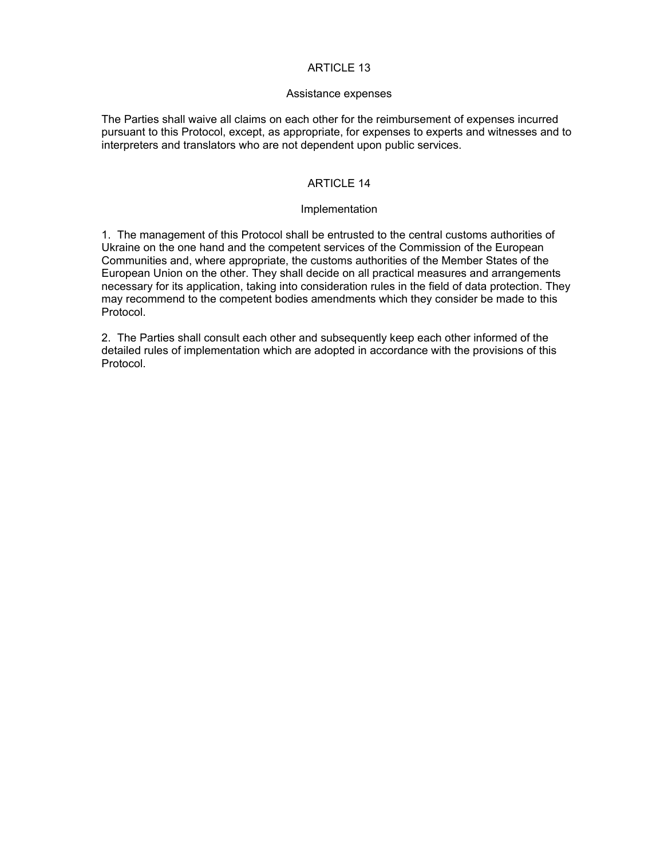#### Assistance expenses

The Parties shall waive all claims on each other for the reimbursement of expenses incurred pursuant to this Protocol, except, as appropriate, for expenses to experts and witnesses and to interpreters and translators who are not dependent upon public services.

## ARTICLE 14

## Implementation

1. The management of this Protocol shall be entrusted to the central customs authorities of Ukraine on the one hand and the competent services of the Commission of the European Communities and, where appropriate, the customs authorities of the Member States of the European Union on the other. They shall decide on all practical measures and arrangements necessary for its application, taking into consideration rules in the field of data protection. They may recommend to the competent bodies amendments which they consider be made to this Protocol.

2. The Parties shall consult each other and subsequently keep each other informed of the detailed rules of implementation which are adopted in accordance with the provisions of this Protocol.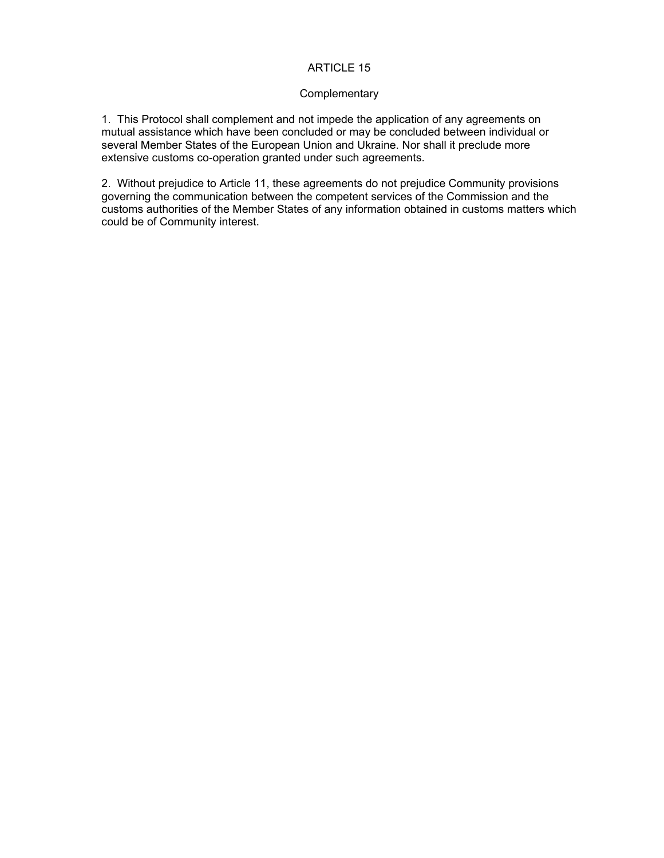#### **Complementary**

1. This Protocol shall complement and not impede the application of any agreements on mutual assistance which have been concluded or may be concluded between individual or several Member States of the European Union and Ukraine. Nor shall it preclude more extensive customs co-operation granted under such agreements.

2. Without prejudice to Article 11, these agreements do not prejudice Community provisions governing the communication between the competent services of the Commission and the customs authorities of the Member States of any information obtained in customs matters which could be of Community interest.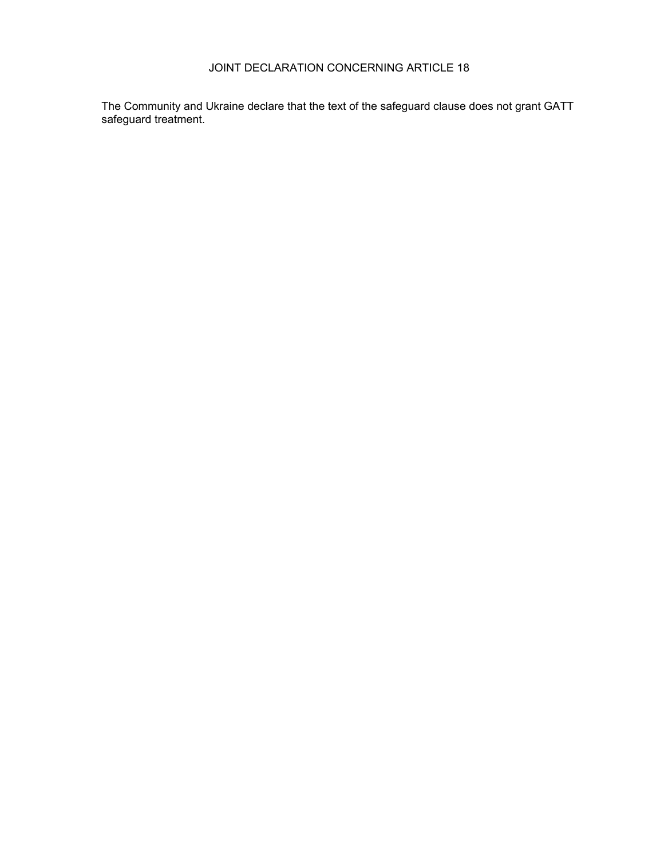The Community and Ukraine declare that the text of the safeguard clause does not grant GATT safeguard treatment.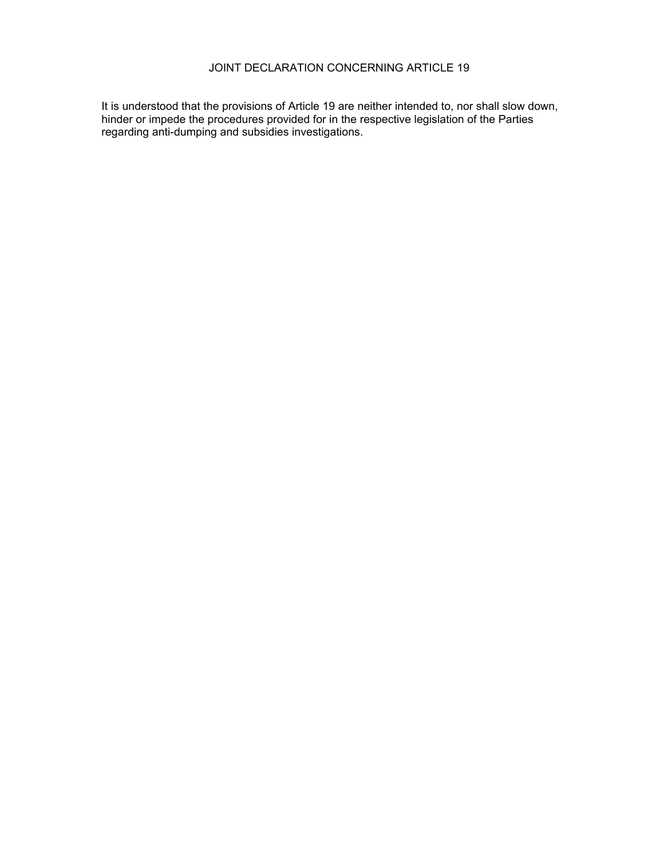It is understood that the provisions of Article 19 are neither intended to, nor shall slow down, hinder or impede the procedures provided for in the respective legislation of the Parties regarding anti-dumping and subsidies investigations.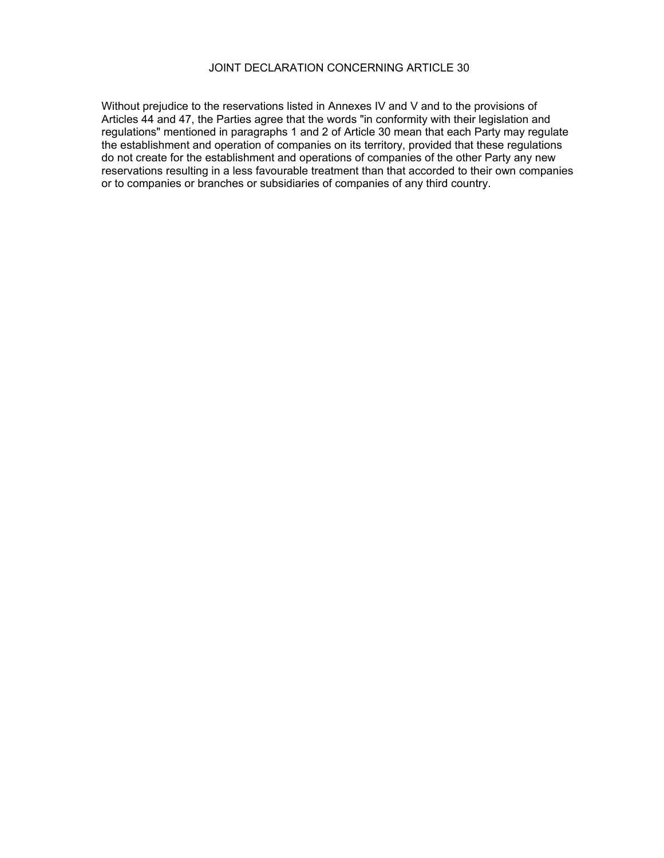Without prejudice to the reservations listed in Annexes IV and V and to the provisions of Articles 44 and 47, the Parties agree that the words "in conformity with their legislation and regulations" mentioned in paragraphs 1 and 2 of Article 30 mean that each Party may regulate the establishment and operation of companies on its territory, provided that these regulations do not create for the establishment and operations of companies of the other Party any new reservations resulting in a less favourable treatment than that accorded to their own companies or to companies or branches or subsidiaries of companies of any third country.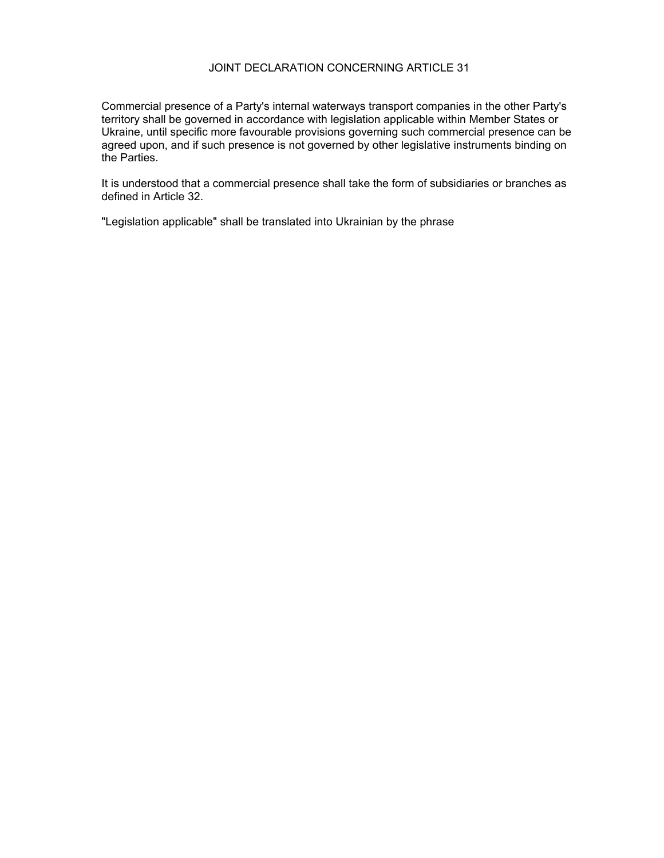Commercial presence of a Party's internal waterways transport companies in the other Party's territory shall be governed in accordance with legislation applicable within Member States or Ukraine, until specific more favourable provisions governing such commercial presence can be agreed upon, and if such presence is not governed by other legislative instruments binding on the Parties.

It is understood that a commercial presence shall take the form of subsidiaries or branches as defined in Article 32.

"Legislation applicable" shall be translated into Ukrainian by the phrase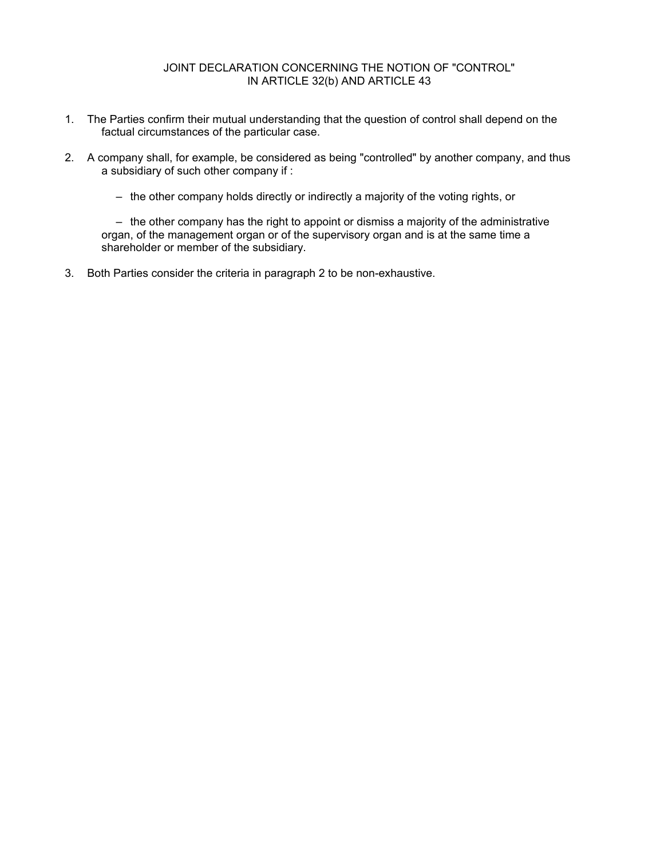# JOINT DECLARATION CONCERNING THE NOTION OF "CONTROL" IN ARTICLE 32(b) AND ARTICLE 43

- 1. The Parties confirm their mutual understanding that the question of control shall depend on the factual circumstances of the particular case.
- 2. A company shall, for example, be considered as being "controlled" by another company, and thus a subsidiary of such other company if :
	- the other company holds directly or indirectly a majority of the voting rights, or

 – the other company has the right to appoint or dismiss a majority of the administrative organ, of the management organ or of the supervisory organ and is at the same time a shareholder or member of the subsidiary.

3. Both Parties consider the criteria in paragraph 2 to be non-exhaustive.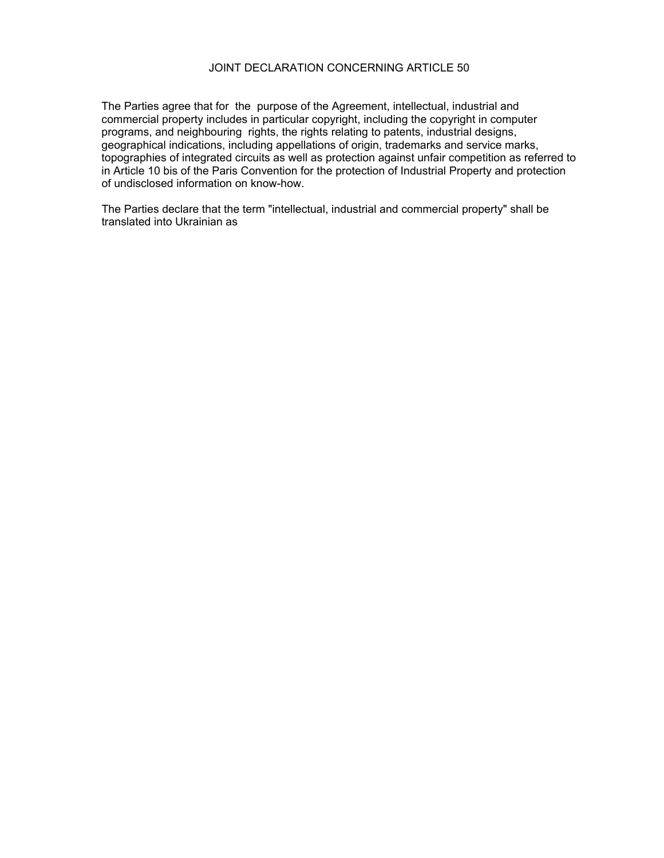#### JOINT DECLARATION CONCERNING ARTICLE 50

The Parties agree that for the purpose of the Agreement, intellectual, industrial and commercial property includes in particular copyright, including the copyright in computer programs, and neighbouring rights, the rights relating to patents, industrial designs, geographical indications, including appellations of origin, trademarks and service marks, topographies of integrated circuits as well as protection against unfair competition as referred to in Article 10 bis of the Paris Convention for the protection of Industrial Property and protection of undisclosed information on know-how.

The Parties declare that the term "intellectual, industrial and commercial property" shall be translated into Ukrainian as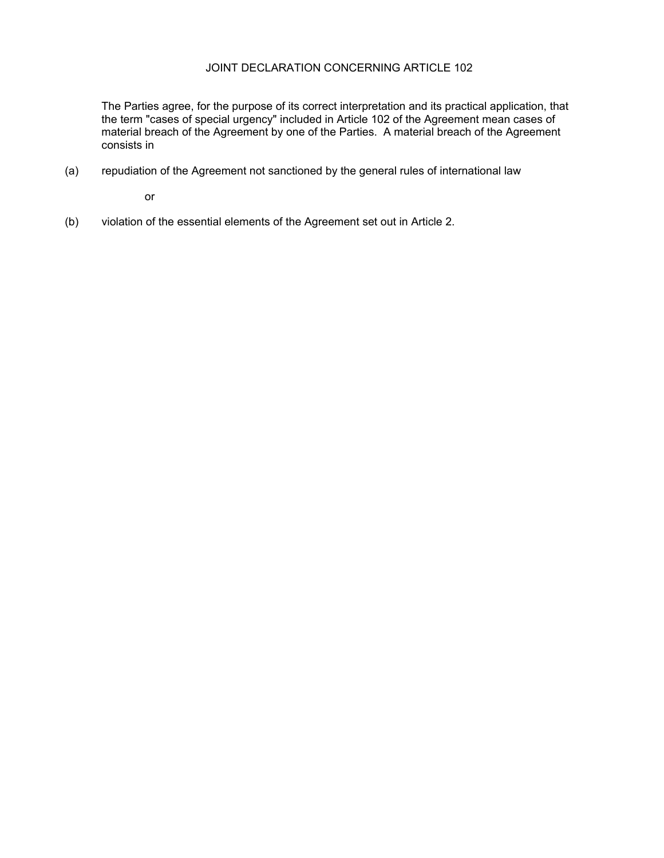# JOINT DECLARATION CONCERNING ARTICLE 102

The Parties agree, for the purpose of its correct interpretation and its practical application, that the term "cases of special urgency" included in Article 102 of the Agreement mean cases of material breach of the Agreement by one of the Parties. A material breach of the Agreement consists in

(a) repudiation of the Agreement not sanctioned by the general rules of international law

or

(b) violation of the essential elements of the Agreement set out in Article 2.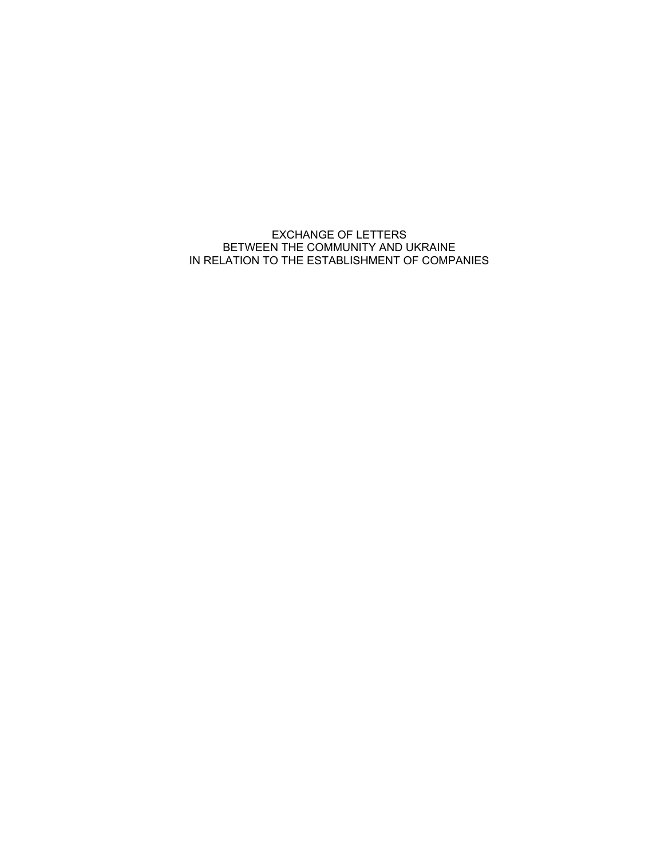EXCHANGE OF LETTERS BETWEEN THE COMMUNITY AND UKRAINE IN RELATION TO THE ESTABLISHMENT OF COMPANIES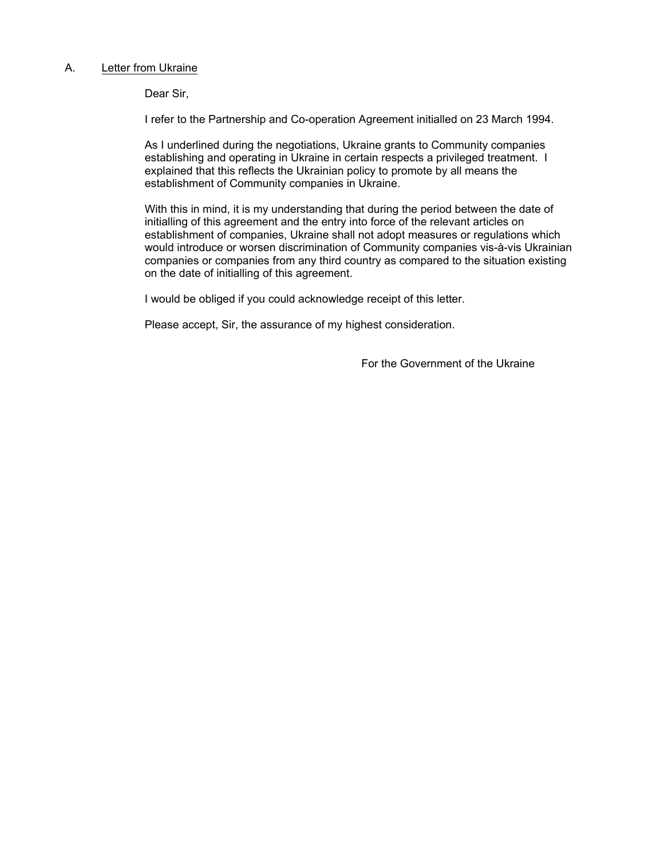## A. Letter from Ukraine

Dear Sir,

I refer to the Partnership and Co-operation Agreement initialled on 23 March 1994.

As I underlined during the negotiations, Ukraine grants to Community companies establishing and operating in Ukraine in certain respects a privileged treatment. I explained that this reflects the Ukrainian policy to promote by all means the establishment of Community companies in Ukraine.

With this in mind, it is my understanding that during the period between the date of initialling of this agreement and the entry into force of the relevant articles on establishment of companies, Ukraine shall not adopt measures or regulations which would introduce or worsen discrimination of Community companies vis-à-vis Ukrainian companies or companies from any third country as compared to the situation existing on the date of initialling of this agreement.

I would be obliged if you could acknowledge receipt of this letter.

Please accept, Sir, the assurance of my highest consideration.

For the Government of the Ukraine